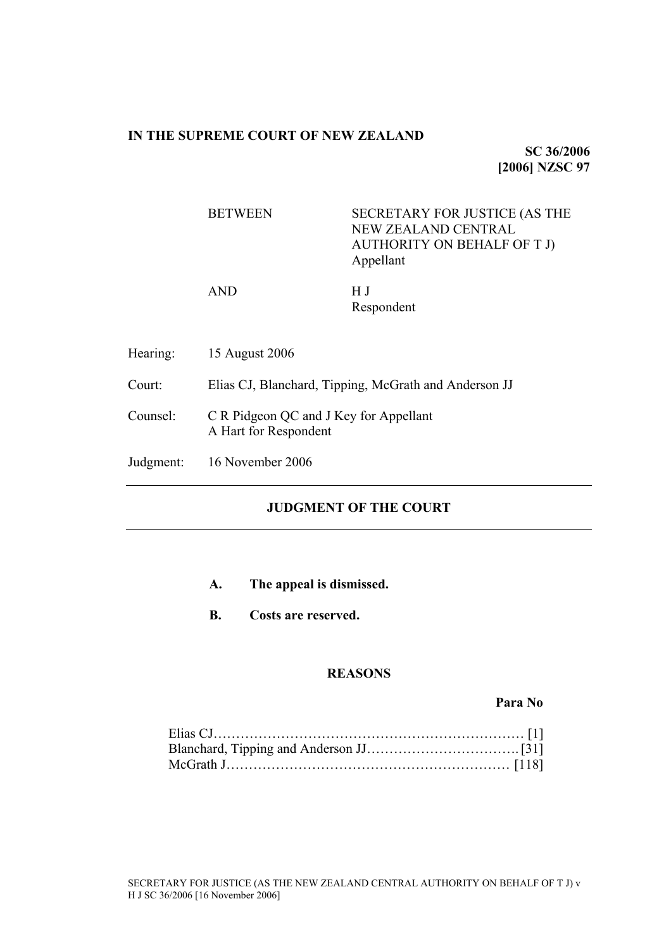# **IN THE SUPREME COURT OF NEW ZEALAND**

**SC 36/2006 [2006] NZSC 97**

BETWEEN SECRETARY FOR JUSTICE (AS THE NEW ZEALAND CENTRAL AUTHORITY ON BEHALF OF T J) Appellant

AND H J

Respondent

Hearing: 15 August 2006

Court: Elias CJ, Blanchard, Tipping, McGrath and Anderson JJ

- Counsel: C R Pidgeon QC and J Key for Appellant A Hart for Respondent
- Judgment: 16 November 2006

# **JUDGMENT OF THE COURT**

- **A. The appeal is dismissed.**
- **B. Costs are reserved.**

# **REASONS**

**Para No**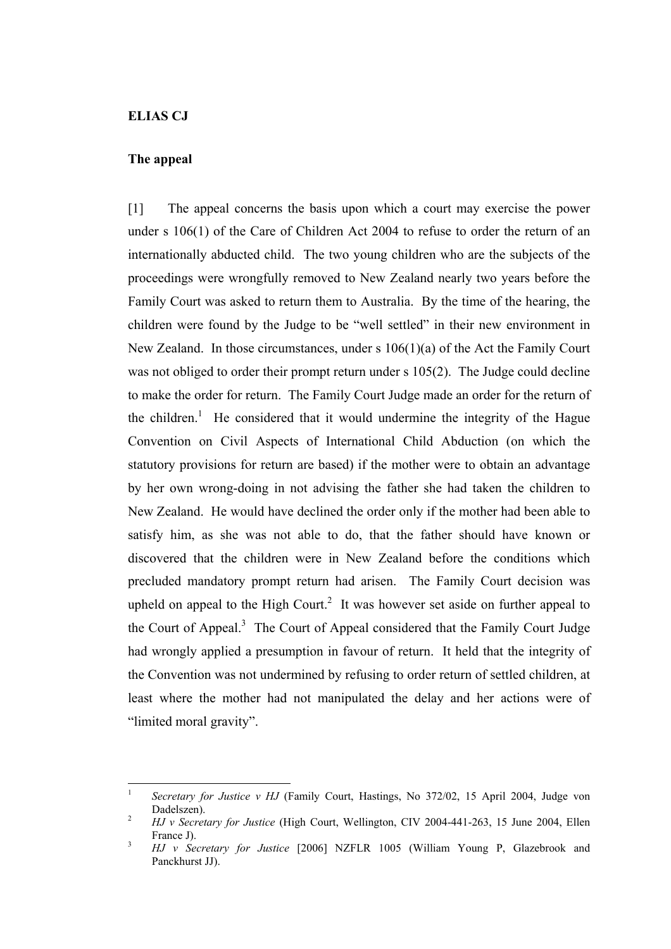#### **ELIAS CJ**

## **The appeal**

[1] The appeal concerns the basis upon which a court may exercise the power under s 106(1) of the Care of Children Act 2004 to refuse to order the return of an internationally abducted child. The two young children who are the subjects of the proceedings were wrongfully removed to New Zealand nearly two years before the Family Court was asked to return them to Australia. By the time of the hearing, the children were found by the Judge to be "well settled" in their new environment in New Zealand. In those circumstances, under s 106(1)(a) of the Act the Family Court was not obliged to order their prompt return under s 105(2). The Judge could decline to make the order for return. The Family Court Judge made an order for the return of the children.<sup>1</sup> He considered that it would undermine the integrity of the Hague Convention on Civil Aspects of International Child Abduction (on which the statutory provisions for return are based) if the mother were to obtain an advantage by her own wrong-doing in not advising the father she had taken the children to New Zealand. He would have declined the order only if the mother had been able to satisfy him, as she was not able to do, that the father should have known or discovered that the children were in New Zealand before the conditions which precluded mandatory prompt return had arisen. The Family Court decision was upheld on appeal to the High Court.<sup>2</sup> It was however set aside on further appeal to the Court of Appeal.<sup>3</sup> The Court of Appeal considered that the Family Court Judge had wrongly applied a presumption in favour of return. It held that the integrity of the Convention was not undermined by refusing to order return of settled children, at least where the mother had not manipulated the delay and her actions were of "limited moral gravity".

 $\mathbf{1}$ <sup>1</sup> *Secretary for Justice v HJ* (Family Court, Hastings, No 372/02, 15 April 2004, Judge von Dadelszen). 2 *HJ v Secretary for Justice* (High Court, Wellington, CIV 2004-441-263, 15 June 2004, Ellen

France J).<br>*HJ v Secretary for Justice* [2006] NZFLR 1005 (William Young P, Glazebrook and

Panckhurst JJ).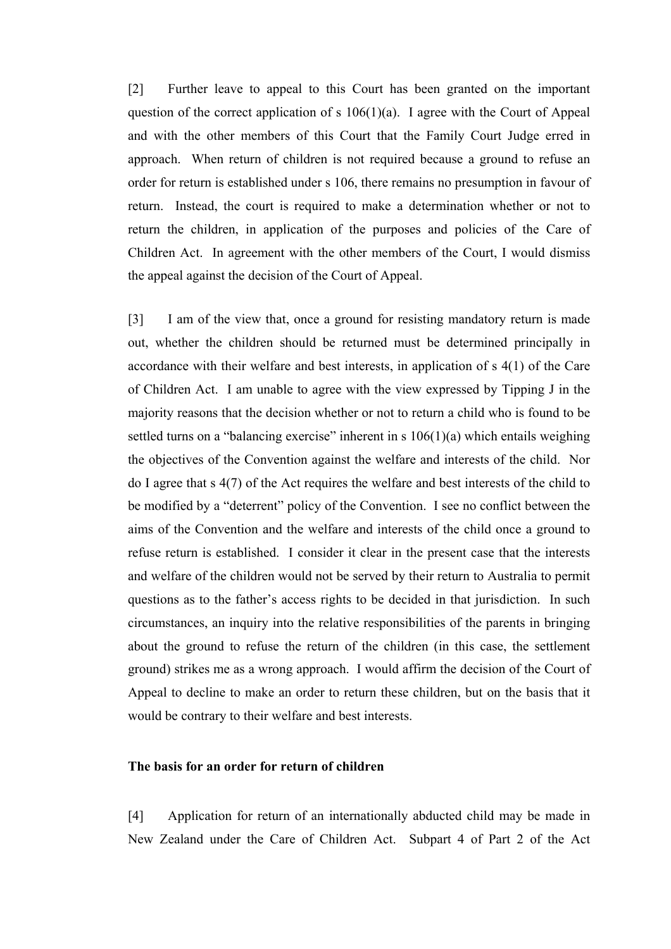[2] Further leave to appeal to this Court has been granted on the important question of the correct application of s  $106(1)(a)$ . I agree with the Court of Appeal and with the other members of this Court that the Family Court Judge erred in approach. When return of children is not required because a ground to refuse an order for return is established under s 106, there remains no presumption in favour of return. Instead, the court is required to make a determination whether or not to return the children, in application of the purposes and policies of the Care of Children Act. In agreement with the other members of the Court, I would dismiss the appeal against the decision of the Court of Appeal.

[3] I am of the view that, once a ground for resisting mandatory return is made out, whether the children should be returned must be determined principally in accordance with their welfare and best interests, in application of s 4(1) of the Care of Children Act. I am unable to agree with the view expressed by Tipping J in the majority reasons that the decision whether or not to return a child who is found to be settled turns on a "balancing exercise" inherent in s  $106(1)(a)$  which entails weighing the objectives of the Convention against the welfare and interests of the child. Nor do I agree that s 4(7) of the Act requires the welfare and best interests of the child to be modified by a "deterrent" policy of the Convention. I see no conflict between the aims of the Convention and the welfare and interests of the child once a ground to refuse return is established. I consider it clear in the present case that the interests and welfare of the children would not be served by their return to Australia to permit questions as to the father's access rights to be decided in that jurisdiction. In such circumstances, an inquiry into the relative responsibilities of the parents in bringing about the ground to refuse the return of the children (in this case, the settlement ground) strikes me as a wrong approach. I would affirm the decision of the Court of Appeal to decline to make an order to return these children, but on the basis that it would be contrary to their welfare and best interests.

# **The basis for an order for return of children**

[4] Application for return of an internationally abducted child may be made in New Zealand under the Care of Children Act. Subpart 4 of Part 2 of the Act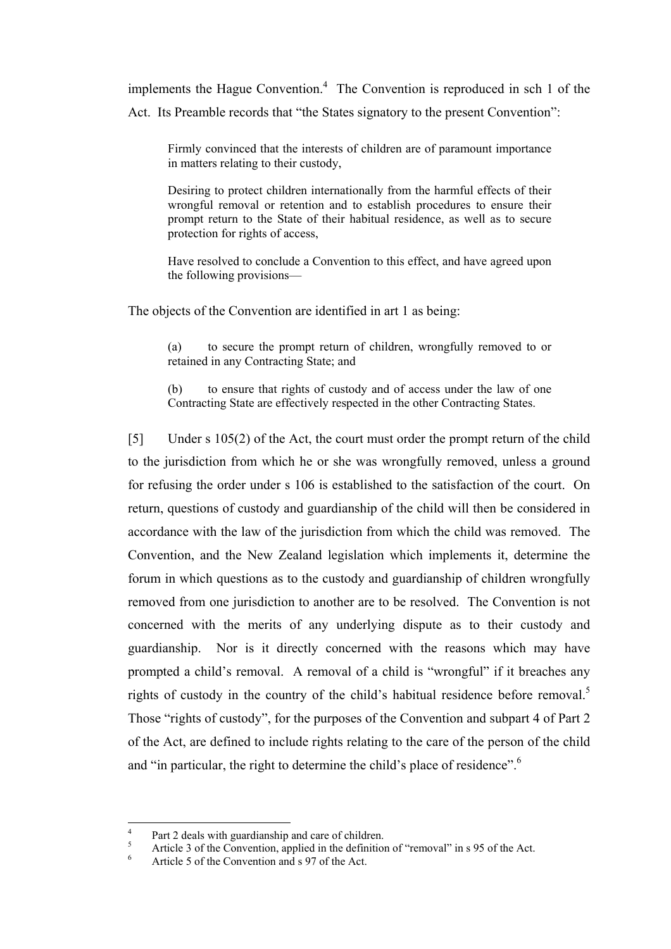implements the Hague Convention. $4$  The Convention is reproduced in sch 1 of the Act. Its Preamble records that "the States signatory to the present Convention":

Firmly convinced that the interests of children are of paramount importance in matters relating to their custody,

Desiring to protect children internationally from the harmful effects of their wrongful removal or retention and to establish procedures to ensure their prompt return to the State of their habitual residence, as well as to secure protection for rights of access,

Have resolved to conclude a Convention to this effect, and have agreed upon the following provisions—

The objects of the Convention are identified in art 1 as being:

(a) to secure the prompt return of children, wrongfully removed to or retained in any Contracting State; and

(b) to ensure that rights of custody and of access under the law of one Contracting State are effectively respected in the other Contracting States.

[5] Under s 105(2) of the Act, the court must order the prompt return of the child to the jurisdiction from which he or she was wrongfully removed, unless a ground for refusing the order under s 106 is established to the satisfaction of the court. On return, questions of custody and guardianship of the child will then be considered in accordance with the law of the jurisdiction from which the child was removed. The Convention, and the New Zealand legislation which implements it, determine the forum in which questions as to the custody and guardianship of children wrongfully removed from one jurisdiction to another are to be resolved. The Convention is not concerned with the merits of any underlying dispute as to their custody and guardianship. Nor is it directly concerned with the reasons which may have prompted a child's removal. A removal of a child is "wrongful" if it breaches any rights of custody in the country of the child's habitual residence before removal.<sup>5</sup> Those "rights of custody", for the purposes of the Convention and subpart 4 of Part 2 of the Act, are defined to include rights relating to the care of the person of the child and "in particular, the right to determine the child's place of residence".<sup>6</sup>

 $\overline{4}$ 

Part 2 deals with guardianship and care of children.<br>  $\frac{5}{6}$  Article 3 of the Convention, applied in the definition of "removal" in s 95 of the Act.<br>
Article 5 of the Convention and s 97 of the Act.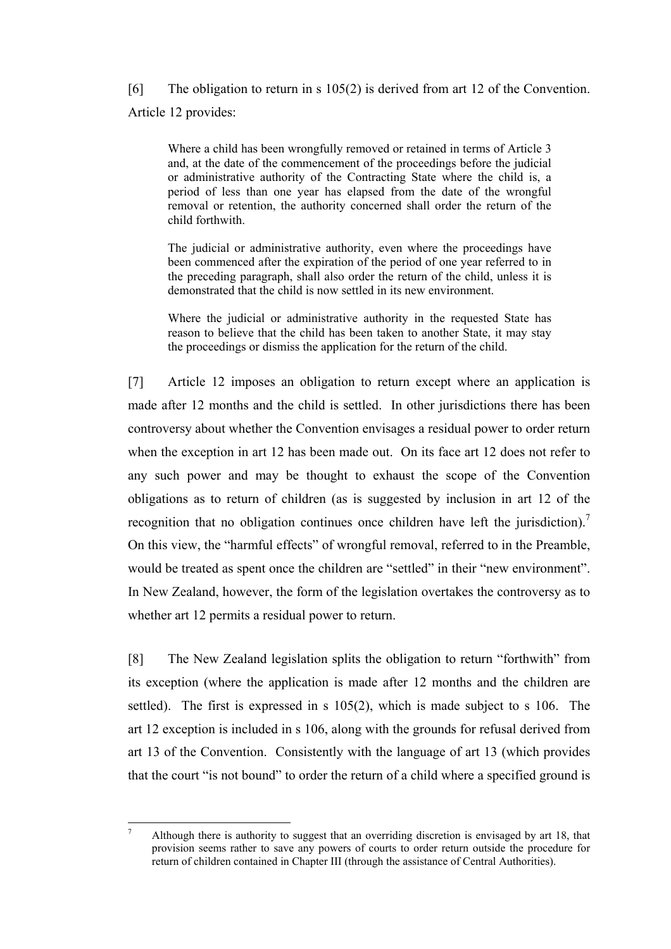[6] The obligation to return in s 105(2) is derived from art 12 of the Convention. Article 12 provides:

Where a child has been wrongfully removed or retained in terms of Article 3 and, at the date of the commencement of the proceedings before the judicial or administrative authority of the Contracting State where the child is, a period of less than one year has elapsed from the date of the wrongful removal or retention, the authority concerned shall order the return of the child forthwith.

The judicial or administrative authority, even where the proceedings have been commenced after the expiration of the period of one year referred to in the preceding paragraph, shall also order the return of the child, unless it is demonstrated that the child is now settled in its new environment.

Where the judicial or administrative authority in the requested State has reason to believe that the child has been taken to another State, it may stay the proceedings or dismiss the application for the return of the child.

[7] Article 12 imposes an obligation to return except where an application is made after 12 months and the child is settled. In other jurisdictions there has been controversy about whether the Convention envisages a residual power to order return when the exception in art 12 has been made out. On its face art 12 does not refer to any such power and may be thought to exhaust the scope of the Convention obligations as to return of children (as is suggested by inclusion in art 12 of the recognition that no obligation continues once children have left the jurisdiction). On this view, the "harmful effects" of wrongful removal, referred to in the Preamble, would be treated as spent once the children are "settled" in their "new environment". In New Zealand, however, the form of the legislation overtakes the controversy as to whether art 12 permits a residual power to return.

[8] The New Zealand legislation splits the obligation to return "forthwith" from its exception (where the application is made after 12 months and the children are settled). The first is expressed in s 105(2), which is made subject to s 106. The art 12 exception is included in s 106, along with the grounds for refusal derived from art 13 of the Convention. Consistently with the language of art 13 (which provides that the court "is not bound" to order the return of a child where a specified ground is

 $\overline{a}$ <sup>7</sup> Although there is authority to suggest that an overriding discretion is envisaged by art 18, that provision seems rather to save any powers of courts to order return outside the procedure for return of children contained in Chapter III (through the assistance of Central Authorities).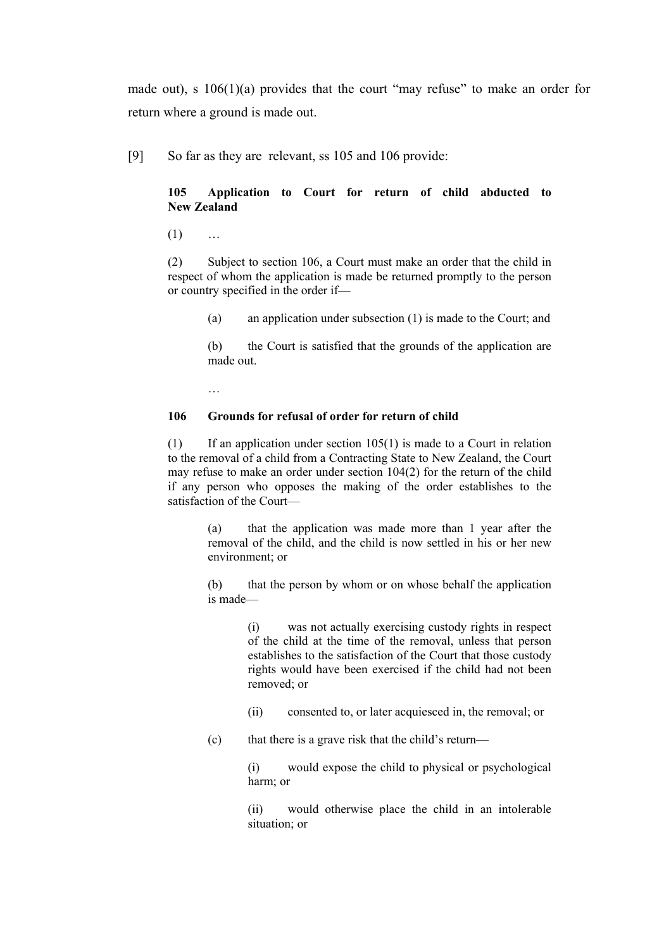made out), s 106(1)(a) provides that the court "may refuse" to make an order for return where a ground is made out.

[9] So far as they are relevant, ss 105 and 106 provide:

## **105 Application to Court for return of child abducted to New Zealand**

 $(1)$  …

(2) Subject to section 106, a Court must make an order that the child in respect of whom the application is made be returned promptly to the person or country specified in the order if—

(a) an application under subsection (1) is made to the Court; and

(b) the Court is satisfied that the grounds of the application are made out.

…

## **106 Grounds for refusal of order for return of child**

(1) If an application under section 105(1) is made to a Court in relation to the removal of a child from a Contracting State to New Zealand, the Court may refuse to make an order under section 104(2) for the return of the child if any person who opposes the making of the order establishes to the satisfaction of the Court—

> (a) that the application was made more than 1 year after the removal of the child, and the child is now settled in his or her new environment; or

> (b) that the person by whom or on whose behalf the application is made—

> > (i) was not actually exercising custody rights in respect of the child at the time of the removal, unless that person establishes to the satisfaction of the Court that those custody rights would have been exercised if the child had not been removed; or

- (ii) consented to, or later acquiesced in, the removal; or
- (c) that there is a grave risk that the child's return—

(i) would expose the child to physical or psychological harm; or

(ii) would otherwise place the child in an intolerable situation; or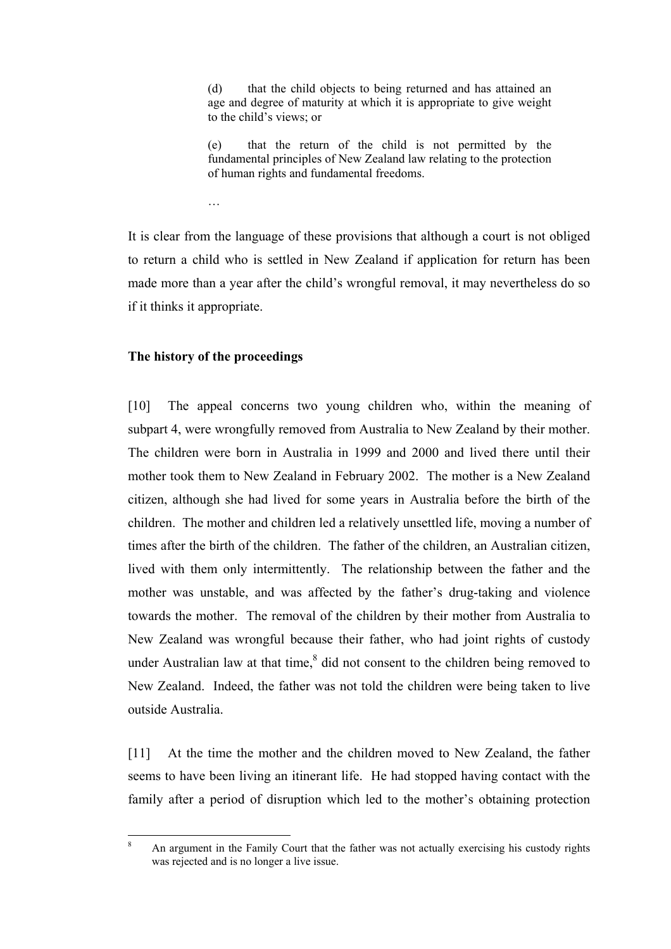(d) that the child objects to being returned and has attained an age and degree of maturity at which it is appropriate to give weight to the child's views; or

(e) that the return of the child is not permitted by the fundamental principles of New Zealand law relating to the protection of human rights and fundamental freedoms.

…

It is clear from the language of these provisions that although a court is not obliged to return a child who is settled in New Zealand if application for return has been made more than a year after the child's wrongful removal, it may nevertheless do so if it thinks it appropriate.

## **The history of the proceedings**

[10] The appeal concerns two young children who, within the meaning of subpart 4, were wrongfully removed from Australia to New Zealand by their mother. The children were born in Australia in 1999 and 2000 and lived there until their mother took them to New Zealand in February 2002. The mother is a New Zealand citizen, although she had lived for some years in Australia before the birth of the children. The mother and children led a relatively unsettled life, moving a number of times after the birth of the children. The father of the children, an Australian citizen, lived with them only intermittently. The relationship between the father and the mother was unstable, and was affected by the father's drug-taking and violence towards the mother. The removal of the children by their mother from Australia to New Zealand was wrongful because their father, who had joint rights of custody under Australian law at that time, $<sup>8</sup>$  did not consent to the children being removed to</sup> New Zealand. Indeed, the father was not told the children were being taken to live outside Australia.

[11] At the time the mother and the children moved to New Zealand, the father seems to have been living an itinerant life. He had stopped having contact with the family after a period of disruption which led to the mother's obtaining protection

<sup>8</sup> <sup>8</sup> An argument in the Family Court that the father was not actually exercising his custody rights was rejected and is no longer a live issue.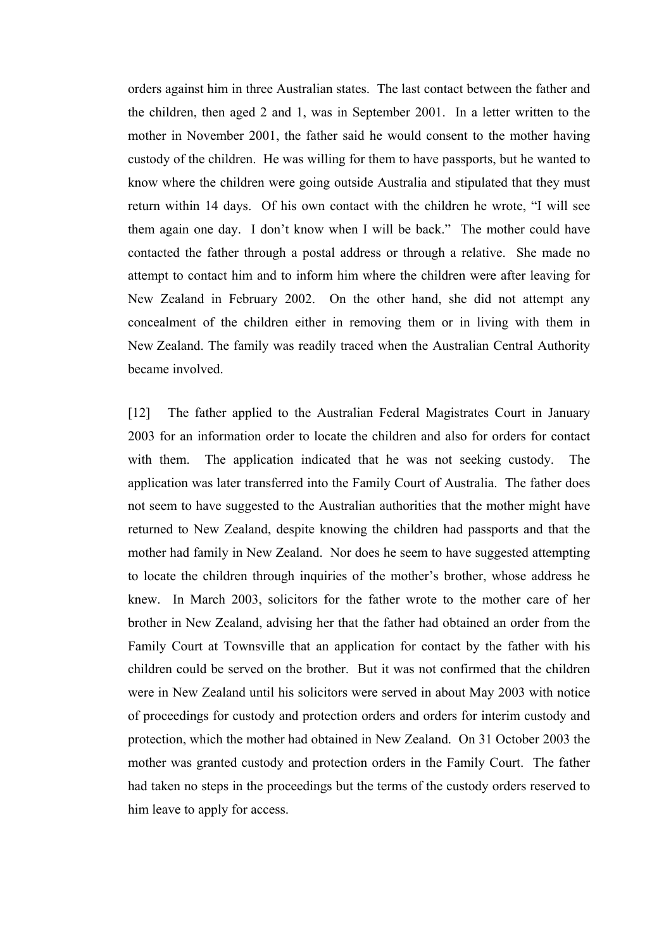orders against him in three Australian states. The last contact between the father and the children, then aged 2 and 1, was in September 2001. In a letter written to the mother in November 2001, the father said he would consent to the mother having custody of the children. He was willing for them to have passports, but he wanted to know where the children were going outside Australia and stipulated that they must return within 14 days. Of his own contact with the children he wrote, "I will see them again one day. I don't know when I will be back." The mother could have contacted the father through a postal address or through a relative. She made no attempt to contact him and to inform him where the children were after leaving for New Zealand in February 2002. On the other hand, she did not attempt any concealment of the children either in removing them or in living with them in New Zealand. The family was readily traced when the Australian Central Authority became involved.

[12] The father applied to the Australian Federal Magistrates Court in January 2003 for an information order to locate the children and also for orders for contact with them. The application indicated that he was not seeking custody. The application was later transferred into the Family Court of Australia. The father does not seem to have suggested to the Australian authorities that the mother might have returned to New Zealand, despite knowing the children had passports and that the mother had family in New Zealand. Nor does he seem to have suggested attempting to locate the children through inquiries of the mother's brother, whose address he knew. In March 2003, solicitors for the father wrote to the mother care of her brother in New Zealand, advising her that the father had obtained an order from the Family Court at Townsville that an application for contact by the father with his children could be served on the brother. But it was not confirmed that the children were in New Zealand until his solicitors were served in about May 2003 with notice of proceedings for custody and protection orders and orders for interim custody and protection, which the mother had obtained in New Zealand. On 31 October 2003 the mother was granted custody and protection orders in the Family Court. The father had taken no steps in the proceedings but the terms of the custody orders reserved to him leave to apply for access.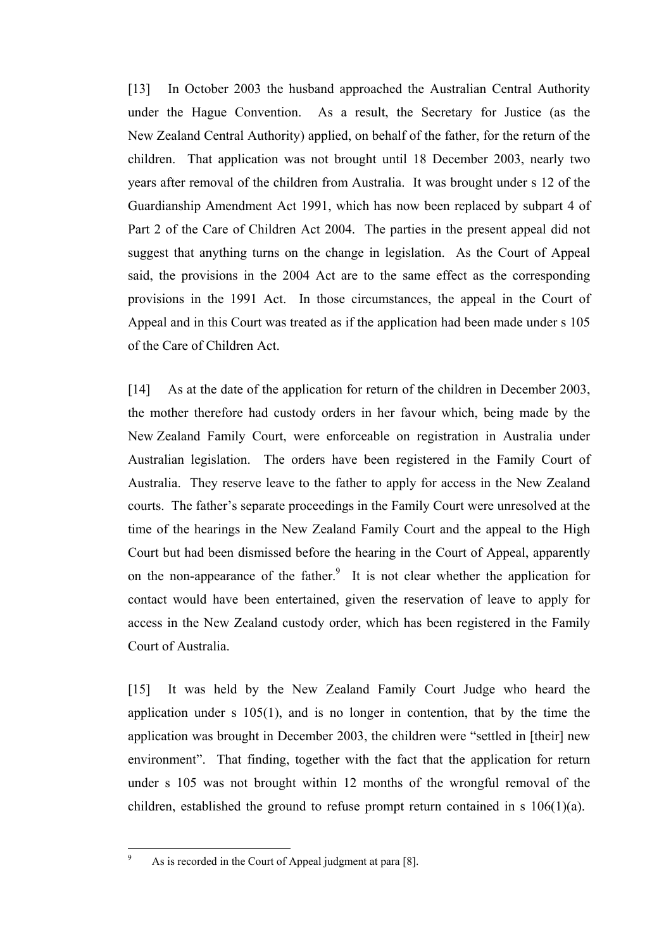[13] In October 2003 the husband approached the Australian Central Authority under the Hague Convention. As a result, the Secretary for Justice (as the New Zealand Central Authority) applied, on behalf of the father, for the return of the children. That application was not brought until 18 December 2003, nearly two years after removal of the children from Australia. It was brought under s 12 of the Guardianship Amendment Act 1991, which has now been replaced by subpart 4 of Part 2 of the Care of Children Act 2004. The parties in the present appeal did not suggest that anything turns on the change in legislation. As the Court of Appeal said, the provisions in the 2004 Act are to the same effect as the corresponding provisions in the 1991 Act. In those circumstances, the appeal in the Court of Appeal and in this Court was treated as if the application had been made under s 105 of the Care of Children Act.

[14] As at the date of the application for return of the children in December 2003, the mother therefore had custody orders in her favour which, being made by the New Zealand Family Court, were enforceable on registration in Australia under Australian legislation. The orders have been registered in the Family Court of Australia. They reserve leave to the father to apply for access in the New Zealand courts. The father's separate proceedings in the Family Court were unresolved at the time of the hearings in the New Zealand Family Court and the appeal to the High Court but had been dismissed before the hearing in the Court of Appeal, apparently on the non-appearance of the father.<sup>9</sup> It is not clear whether the application for contact would have been entertained, given the reservation of leave to apply for access in the New Zealand custody order, which has been registered in the Family Court of Australia.

[15] It was held by the New Zealand Family Court Judge who heard the application under s 105(1), and is no longer in contention, that by the time the application was brought in December 2003, the children were "settled in [their] new environment". That finding, together with the fact that the application for return under s 105 was not brought within 12 months of the wrongful removal of the children, established the ground to refuse prompt return contained in s 106(1)(a).

As is recorded in the Court of Appeal judgment at para [8].

 $\overline{a}$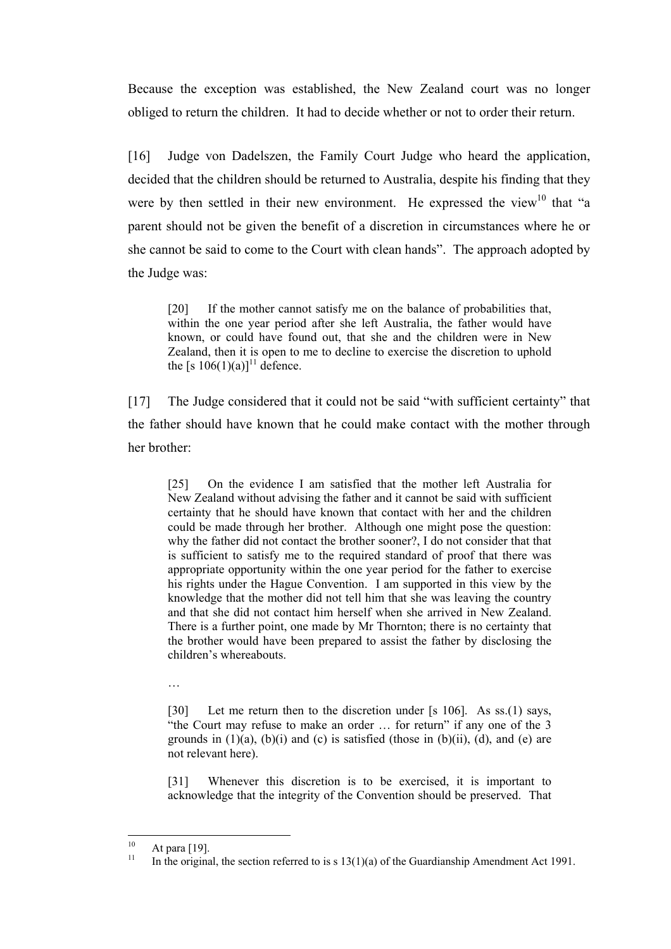Because the exception was established, the New Zealand court was no longer obliged to return the children. It had to decide whether or not to order their return.

[16] Judge von Dadelszen, the Family Court Judge who heard the application, decided that the children should be returned to Australia, despite his finding that they were by then settled in their new environment. He expressed the view $10$  that "a parent should not be given the benefit of a discretion in circumstances where he or she cannot be said to come to the Court with clean hands". The approach adopted by the Judge was:

[20] If the mother cannot satisfy me on the balance of probabilities that, within the one year period after she left Australia, the father would have known, or could have found out, that she and the children were in New Zealand, then it is open to me to decline to exercise the discretion to uphold the [s  $106(1)(a)$ ]<sup>11</sup> defence.

[17] The Judge considered that it could not be said "with sufficient certainty" that the father should have known that he could make contact with the mother through her brother:

[25] On the evidence I am satisfied that the mother left Australia for New Zealand without advising the father and it cannot be said with sufficient certainty that he should have known that contact with her and the children could be made through her brother. Although one might pose the question: why the father did not contact the brother sooner?, I do not consider that that is sufficient to satisfy me to the required standard of proof that there was appropriate opportunity within the one year period for the father to exercise his rights under the Hague Convention. I am supported in this view by the knowledge that the mother did not tell him that she was leaving the country and that she did not contact him herself when she arrived in New Zealand. There is a further point, one made by Mr Thornton; there is no certainty that the brother would have been prepared to assist the father by disclosing the children's whereabouts.

…

[30] Let me return then to the discretion under [s 106]. As ss.(1) says, "the Court may refuse to make an order … for return" if any one of the 3 grounds in  $(1)(a)$ ,  $(b)(i)$  and  $(c)$  is satisfied (those in  $(b)(ii)$ ,  $(d)$ , and  $(e)$  are not relevant here).

[31] Whenever this discretion is to be exercised, it is important to acknowledge that the integrity of the Convention should be preserved. That

 $10$ 

<sup>&</sup>lt;sup>10</sup> At para [19].<br><sup>11</sup> In the original, the section referred to is s 13(1)(a) of the Guardianship Amendment Act 1991.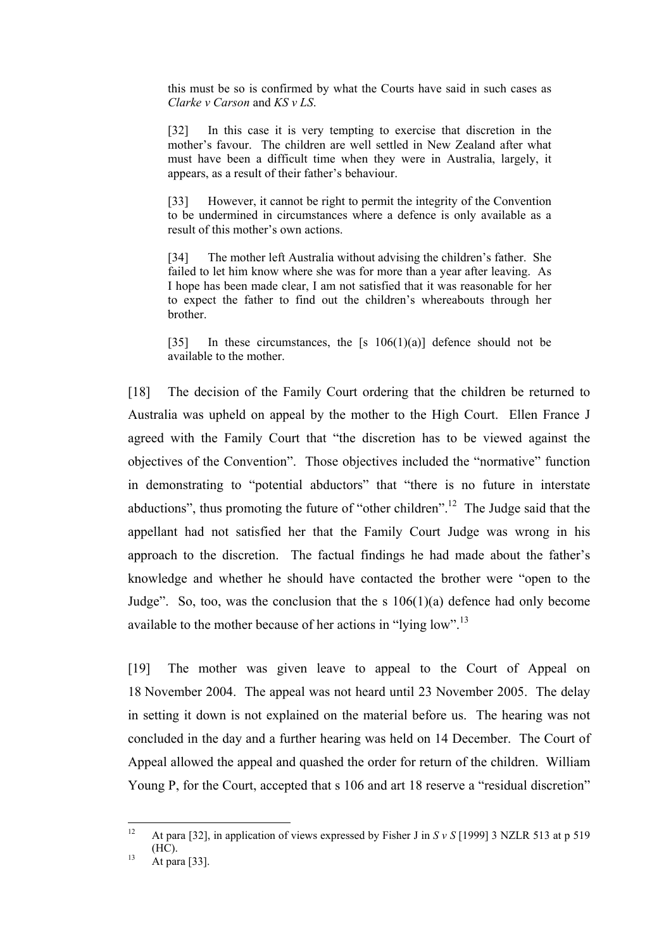this must be so is confirmed by what the Courts have said in such cases as *Clarke v Carson* and *KS v LS*.

[32] In this case it is very tempting to exercise that discretion in the mother's favour. The children are well settled in New Zealand after what must have been a difficult time when they were in Australia, largely, it appears, as a result of their father's behaviour.

[33] However, it cannot be right to permit the integrity of the Convention to be undermined in circumstances where a defence is only available as a result of this mother's own actions.

[34] The mother left Australia without advising the children's father. She failed to let him know where she was for more than a year after leaving. As I hope has been made clear, I am not satisfied that it was reasonable for her to expect the father to find out the children's whereabouts through her brother.

[35] In these circumstances, the  $[s \ 106(1)(a)]$  defence should not be available to the mother.

[18] The decision of the Family Court ordering that the children be returned to Australia was upheld on appeal by the mother to the High Court. Ellen France J agreed with the Family Court that "the discretion has to be viewed against the objectives of the Convention". Those objectives included the "normative" function in demonstrating to "potential abductors" that "there is no future in interstate abductions", thus promoting the future of "other children".12 The Judge said that the appellant had not satisfied her that the Family Court Judge was wrong in his approach to the discretion. The factual findings he had made about the father's knowledge and whether he should have contacted the brother were "open to the Judge". So, too, was the conclusion that the s  $106(1)(a)$  defence had only become available to the mother because of her actions in "lying low".13

[19] The mother was given leave to appeal to the Court of Appeal on 18 November 2004. The appeal was not heard until 23 November 2005. The delay in setting it down is not explained on the material before us. The hearing was not concluded in the day and a further hearing was held on 14 December. The Court of Appeal allowed the appeal and quashed the order for return of the children. William Young P, for the Court, accepted that s 106 and art 18 reserve a "residual discretion"

 $12$ <sup>12</sup> At para [32], in application of views expressed by Fisher J in *S v S* [1999] 3 NZLR 513 at p 519 (HC). 13 At para [33].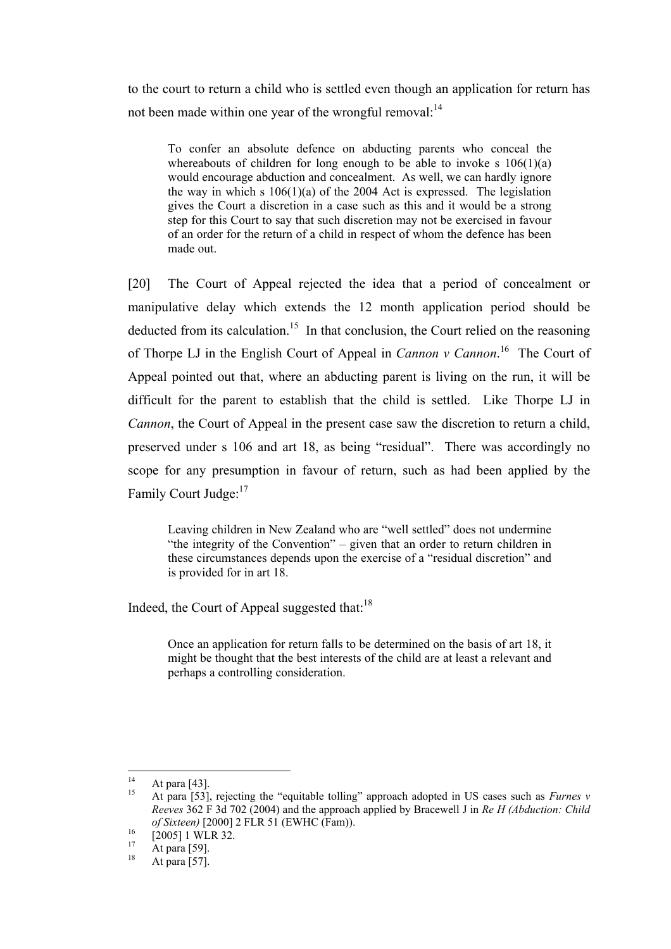to the court to return a child who is settled even though an application for return has not been made within one year of the wrongful removal: $^{14}$ 

To confer an absolute defence on abducting parents who conceal the whereabouts of children for long enough to be able to invoke s  $106(1)(a)$ would encourage abduction and concealment. As well, we can hardly ignore the way in which s  $106(1)(a)$  of the 2004 Act is expressed. The legislation gives the Court a discretion in a case such as this and it would be a strong step for this Court to say that such discretion may not be exercised in favour of an order for the return of a child in respect of whom the defence has been made out.

[20] The Court of Appeal rejected the idea that a period of concealment or manipulative delay which extends the 12 month application period should be deducted from its calculation.<sup>15</sup> In that conclusion, the Court relied on the reasoning of Thorpe LJ in the English Court of Appeal in *Cannon v Cannon*. 16 The Court of Appeal pointed out that, where an abducting parent is living on the run, it will be difficult for the parent to establish that the child is settled. Like Thorpe LJ in *Cannon*, the Court of Appeal in the present case saw the discretion to return a child, preserved under s 106 and art 18, as being "residual". There was accordingly no scope for any presumption in favour of return, such as had been applied by the Family Court Judge:<sup>17</sup>

Leaving children in New Zealand who are "well settled" does not undermine "the integrity of the Convention" – given that an order to return children in these circumstances depends upon the exercise of a "residual discretion" and is provided for in art 18.

Indeed, the Court of Appeal suggested that:<sup>18</sup>

Once an application for return falls to be determined on the basis of art 18, it might be thought that the best interests of the child are at least a relevant and perhaps a controlling consideration.

 $14$ 

<sup>&</sup>lt;sup>14</sup> At para [43].<br><sup>15</sup> At para [53], rejecting the "equitable tolling" approach adopted in US cases such as *Furnes v Reeves* 362 F 3d 702 (2004) and the approach applied by Bracewell J in *Re H (Abduction: Child of Sixteen*) [2000] 2 FLR 51 (EWHC (Fam)).<br>
[2005] 1 WLR 32.<br>
<sup>17</sup> At para [59].<br>
At para [57].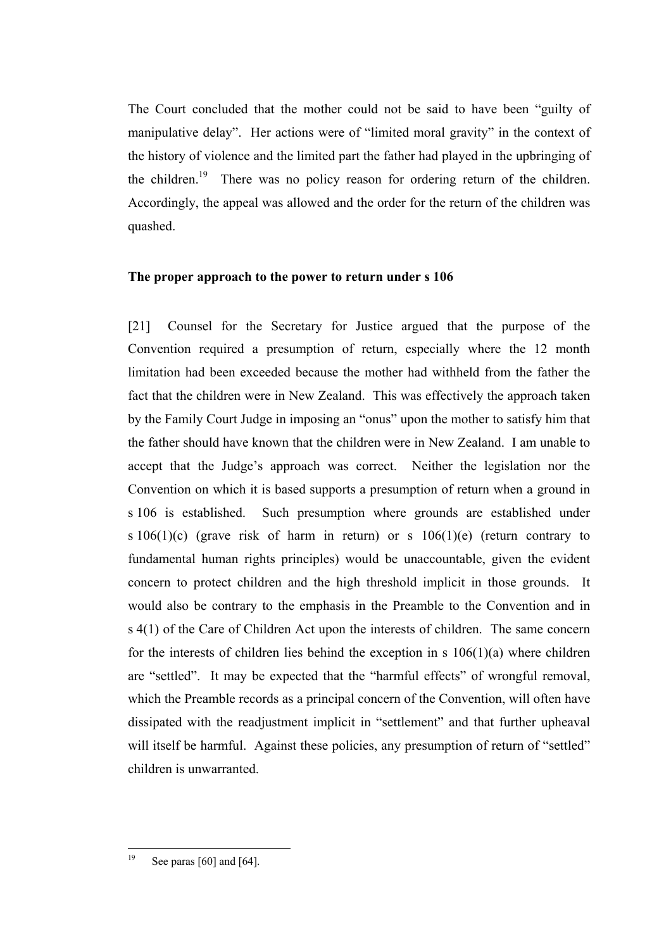The Court concluded that the mother could not be said to have been "guilty of manipulative delay". Her actions were of "limited moral gravity" in the context of the history of violence and the limited part the father had played in the upbringing of the children.<sup>19</sup> There was no policy reason for ordering return of the children. Accordingly, the appeal was allowed and the order for the return of the children was quashed.

# **The proper approach to the power to return under s 106**

[21] Counsel for the Secretary for Justice argued that the purpose of the Convention required a presumption of return, especially where the 12 month limitation had been exceeded because the mother had withheld from the father the fact that the children were in New Zealand. This was effectively the approach taken by the Family Court Judge in imposing an "onus" upon the mother to satisfy him that the father should have known that the children were in New Zealand. I am unable to accept that the Judge's approach was correct. Neither the legislation nor the Convention on which it is based supports a presumption of return when a ground in s 106 is established. Such presumption where grounds are established under s  $106(1)(c)$  (grave risk of harm in return) or s  $106(1)(e)$  (return contrary to fundamental human rights principles) would be unaccountable, given the evident concern to protect children and the high threshold implicit in those grounds. It would also be contrary to the emphasis in the Preamble to the Convention and in s 4(1) of the Care of Children Act upon the interests of children. The same concern for the interests of children lies behind the exception in s  $106(1)(a)$  where children are "settled". It may be expected that the "harmful effects" of wrongful removal, which the Preamble records as a principal concern of the Convention, will often have dissipated with the readjustment implicit in "settlement" and that further upheaval will itself be harmful. Against these policies, any presumption of return of "settled" children is unwarranted.

<sup>19</sup> See paras  $[60]$  and  $[64]$ .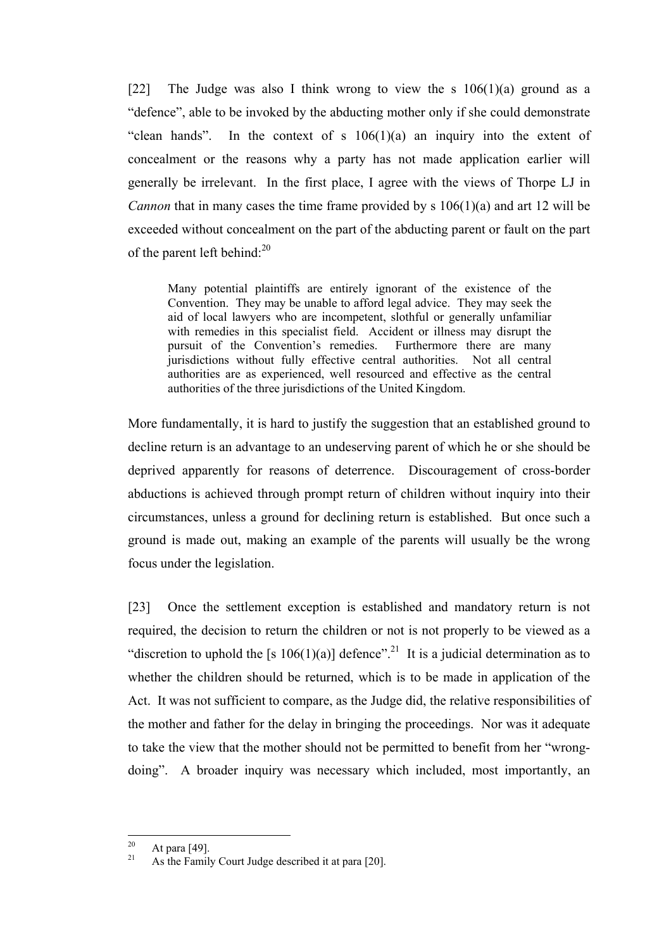[22] The Judge was also I think wrong to view the s  $106(1)(a)$  ground as a "defence", able to be invoked by the abducting mother only if she could demonstrate "clean hands". In the context of s  $106(1)(a)$  an inquiry into the extent of concealment or the reasons why a party has not made application earlier will generally be irrelevant. In the first place, I agree with the views of Thorpe LJ in *Cannon* that in many cases the time frame provided by s 106(1)(a) and art 12 will be exceeded without concealment on the part of the abducting parent or fault on the part of the parent left behind: $^{20}$ 

Many potential plaintiffs are entirely ignorant of the existence of the Convention. They may be unable to afford legal advice. They may seek the aid of local lawyers who are incompetent, slothful or generally unfamiliar with remedies in this specialist field. Accident or illness may disrupt the pursuit of the Convention's remedies. Furthermore there are many jurisdictions without fully effective central authorities. Not all central authorities are as experienced, well resourced and effective as the central authorities of the three jurisdictions of the United Kingdom.

More fundamentally, it is hard to justify the suggestion that an established ground to decline return is an advantage to an undeserving parent of which he or she should be deprived apparently for reasons of deterrence. Discouragement of cross-border abductions is achieved through prompt return of children without inquiry into their circumstances, unless a ground for declining return is established. But once such a ground is made out, making an example of the parents will usually be the wrong focus under the legislation.

[23] Once the settlement exception is established and mandatory return is not required, the decision to return the children or not is not properly to be viewed as a "discretion to uphold the [s  $106(1)(a)$ ] defence".<sup>21</sup> It is a judicial determination as to whether the children should be returned, which is to be made in application of the Act. It was not sufficient to compare, as the Judge did, the relative responsibilities of the mother and father for the delay in bringing the proceedings. Nor was it adequate to take the view that the mother should not be permitted to benefit from her "wrongdoing". A broader inquiry was necessary which included, most importantly, an

 $20$ 

<sup>&</sup>lt;sup>20</sup> At para [49].<br><sup>21</sup> As the Family Court Judge described it at para [20].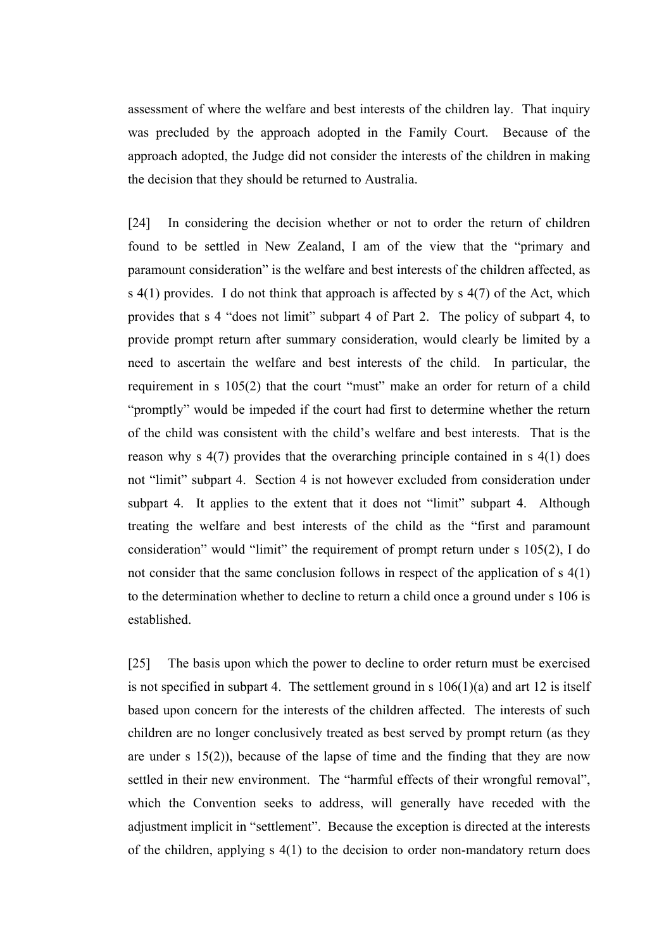assessment of where the welfare and best interests of the children lay. That inquiry was precluded by the approach adopted in the Family Court. Because of the approach adopted, the Judge did not consider the interests of the children in making the decision that they should be returned to Australia.

[24] In considering the decision whether or not to order the return of children found to be settled in New Zealand, I am of the view that the "primary and paramount consideration" is the welfare and best interests of the children affected, as s  $4(1)$  provides. I do not think that approach is affected by s  $4(7)$  of the Act, which provides that s 4 "does not limit" subpart 4 of Part 2. The policy of subpart 4, to provide prompt return after summary consideration, would clearly be limited by a need to ascertain the welfare and best interests of the child. In particular, the requirement in s 105(2) that the court "must" make an order for return of a child "promptly" would be impeded if the court had first to determine whether the return of the child was consistent with the child's welfare and best interests. That is the reason why s 4(7) provides that the overarching principle contained in s 4(1) does not "limit" subpart 4. Section 4 is not however excluded from consideration under subpart 4. It applies to the extent that it does not "limit" subpart 4. Although treating the welfare and best interests of the child as the "first and paramount consideration" would "limit" the requirement of prompt return under s 105(2), I do not consider that the same conclusion follows in respect of the application of s 4(1) to the determination whether to decline to return a child once a ground under s 106 is established.

[25] The basis upon which the power to decline to order return must be exercised is not specified in subpart 4. The settlement ground in s  $106(1)(a)$  and art 12 is itself based upon concern for the interests of the children affected. The interests of such children are no longer conclusively treated as best served by prompt return (as they are under s 15(2)), because of the lapse of time and the finding that they are now settled in their new environment. The "harmful effects of their wrongful removal", which the Convention seeks to address, will generally have receded with the adjustment implicit in "settlement". Because the exception is directed at the interests of the children, applying s 4(1) to the decision to order non-mandatory return does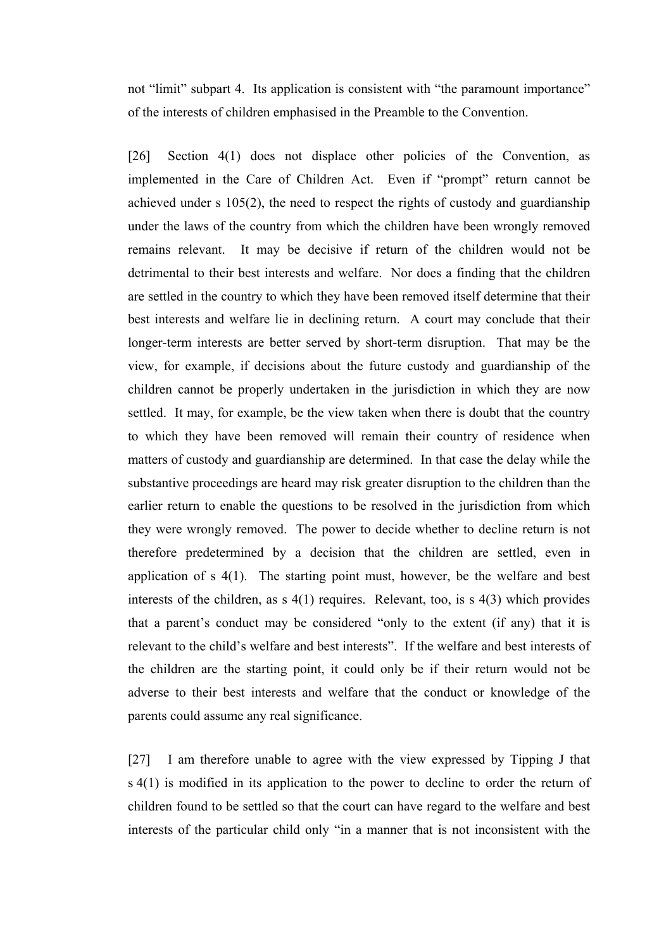not "limit" subpart 4. Its application is consistent with "the paramount importance" of the interests of children emphasised in the Preamble to the Convention.

[26] Section 4(1) does not displace other policies of the Convention, as implemented in the Care of Children Act. Even if "prompt" return cannot be achieved under s 105(2), the need to respect the rights of custody and guardianship under the laws of the country from which the children have been wrongly removed remains relevant. It may be decisive if return of the children would not be detrimental to their best interests and welfare. Nor does a finding that the children are settled in the country to which they have been removed itself determine that their best interests and welfare lie in declining return. A court may conclude that their longer-term interests are better served by short-term disruption. That may be the view, for example, if decisions about the future custody and guardianship of the children cannot be properly undertaken in the jurisdiction in which they are now settled. It may, for example, be the view taken when there is doubt that the country to which they have been removed will remain their country of residence when matters of custody and guardianship are determined. In that case the delay while the substantive proceedings are heard may risk greater disruption to the children than the earlier return to enable the questions to be resolved in the jurisdiction from which they were wrongly removed. The power to decide whether to decline return is not therefore predetermined by a decision that the children are settled, even in application of s 4(1). The starting point must, however, be the welfare and best interests of the children, as s 4(1) requires. Relevant, too, is s 4(3) which provides that a parent's conduct may be considered "only to the extent (if any) that it is relevant to the child's welfare and best interests". If the welfare and best interests of the children are the starting point, it could only be if their return would not be adverse to their best interests and welfare that the conduct or knowledge of the parents could assume any real significance.

[27] I am therefore unable to agree with the view expressed by Tipping J that s 4(1) is modified in its application to the power to decline to order the return of children found to be settled so that the court can have regard to the welfare and best interests of the particular child only "in a manner that is not inconsistent with the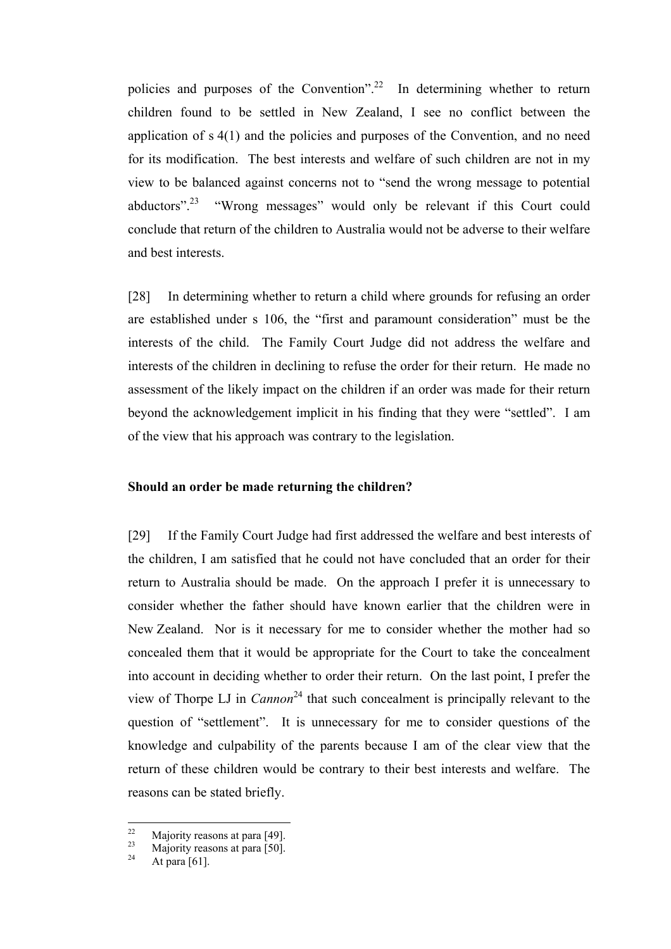policies and purposes of the Convention".<sup>22</sup> In determining whether to return children found to be settled in New Zealand, I see no conflict between the application of s 4(1) and the policies and purposes of the Convention, and no need for its modification. The best interests and welfare of such children are not in my view to be balanced against concerns not to "send the wrong message to potential abductors".23 "Wrong messages" would only be relevant if this Court could conclude that return of the children to Australia would not be adverse to their welfare and best interests.

[28] In determining whether to return a child where grounds for refusing an order are established under s 106, the "first and paramount consideration" must be the interests of the child. The Family Court Judge did not address the welfare and interests of the children in declining to refuse the order for their return. He made no assessment of the likely impact on the children if an order was made for their return beyond the acknowledgement implicit in his finding that they were "settled". I am of the view that his approach was contrary to the legislation.

## **Should an order be made returning the children?**

[29] If the Family Court Judge had first addressed the welfare and best interests of the children, I am satisfied that he could not have concluded that an order for their return to Australia should be made. On the approach I prefer it is unnecessary to consider whether the father should have known earlier that the children were in New Zealand. Nor is it necessary for me to consider whether the mother had so concealed them that it would be appropriate for the Court to take the concealment into account in deciding whether to order their return. On the last point, I prefer the view of Thorpe LJ in *Cannon*<sup>24</sup> that such concealment is principally relevant to the question of "settlement". It is unnecessary for me to consider questions of the knowledge and culpability of the parents because I am of the clear view that the return of these children would be contrary to their best interests and welfare. The reasons can be stated briefly.

 $22$ <sup>22</sup> Majority reasons at para [49].<br>
<sup>23</sup> Majority reasons at para [50].<br>
<sup>24</sup> At para [61].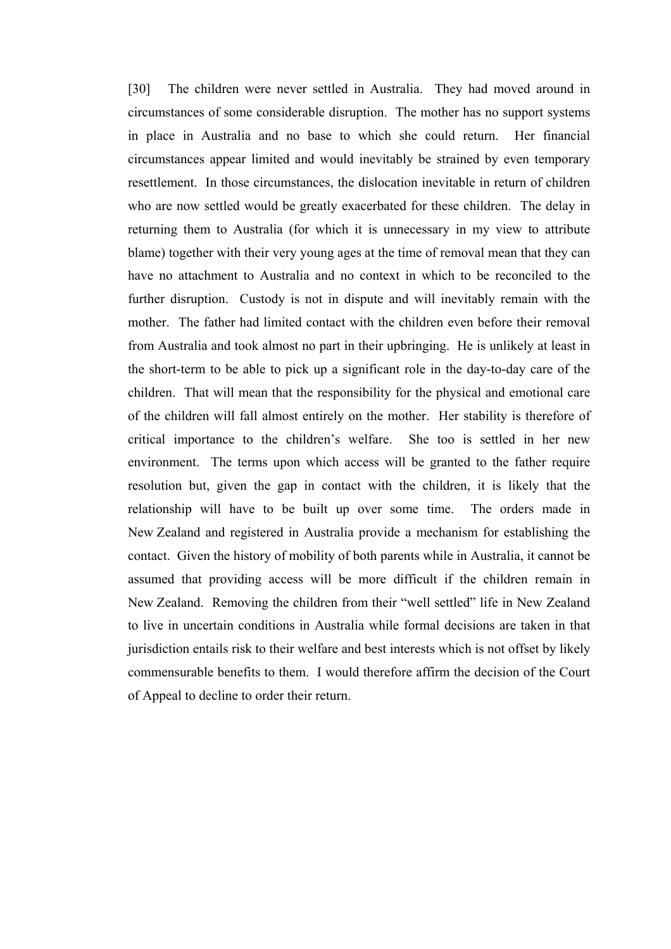[30] The children were never settled in Australia. They had moved around in circumstances of some considerable disruption. The mother has no support systems in place in Australia and no base to which she could return. Her financial circumstances appear limited and would inevitably be strained by even temporary resettlement. In those circumstances, the dislocation inevitable in return of children who are now settled would be greatly exacerbated for these children. The delay in returning them to Australia (for which it is unnecessary in my view to attribute blame) together with their very young ages at the time of removal mean that they can have no attachment to Australia and no context in which to be reconciled to the further disruption. Custody is not in dispute and will inevitably remain with the mother. The father had limited contact with the children even before their removal from Australia and took almost no part in their upbringing. He is unlikely at least in the short-term to be able to pick up a significant role in the day-to-day care of the children. That will mean that the responsibility for the physical and emotional care of the children will fall almost entirely on the mother. Her stability is therefore of critical importance to the children's welfare. She too is settled in her new environment. The terms upon which access will be granted to the father require resolution but, given the gap in contact with the children, it is likely that the relationship will have to be built up over some time. The orders made in New Zealand and registered in Australia provide a mechanism for establishing the contact. Given the history of mobility of both parents while in Australia, it cannot be assumed that providing access will be more difficult if the children remain in New Zealand. Removing the children from their "well settled" life in New Zealand to live in uncertain conditions in Australia while formal decisions are taken in that jurisdiction entails risk to their welfare and best interests which is not offset by likely commensurable benefits to them. I would therefore affirm the decision of the Court of Appeal to decline to order their return.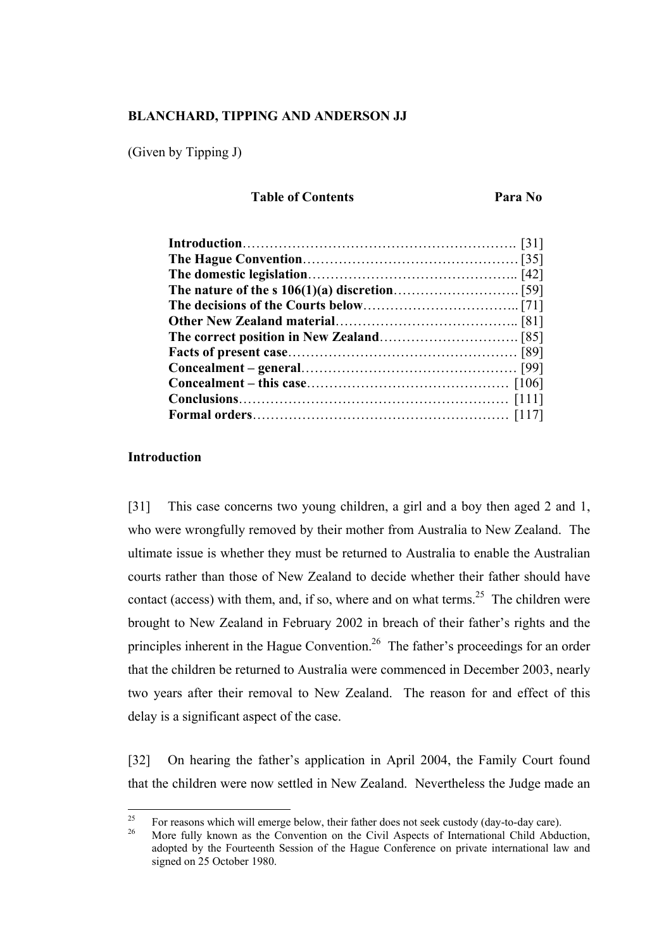## **BLANCHARD, TIPPING AND ANDERSON JJ**

(Given by Tipping J)

# **Table of Contents** Para No

# **Introduction**

[31] This case concerns two young children, a girl and a boy then aged 2 and 1, who were wrongfully removed by their mother from Australia to New Zealand. The ultimate issue is whether they must be returned to Australia to enable the Australian courts rather than those of New Zealand to decide whether their father should have contact (access) with them, and, if so, where and on what terms.<sup>25</sup> The children were brought to New Zealand in February 2002 in breach of their father's rights and the principles inherent in the Hague Convention.<sup>26</sup> The father's proceedings for an order that the children be returned to Australia were commenced in December 2003, nearly two years after their removal to New Zealand. The reason for and effect of this delay is a significant aspect of the case.

[32] On hearing the father's application in April 2004, the Family Court found that the children were now settled in New Zealand. Nevertheless the Judge made an

<sup>25</sup> <sup>25</sup> For reasons which will emerge below, their father does not seek custody (day-to-day care).<br><sup>26</sup> More fully known as the Convention on the Civil Aspects of International Child Abduction,

adopted by the Fourteenth Session of the Hague Conference on private international law and signed on 25 October 1980.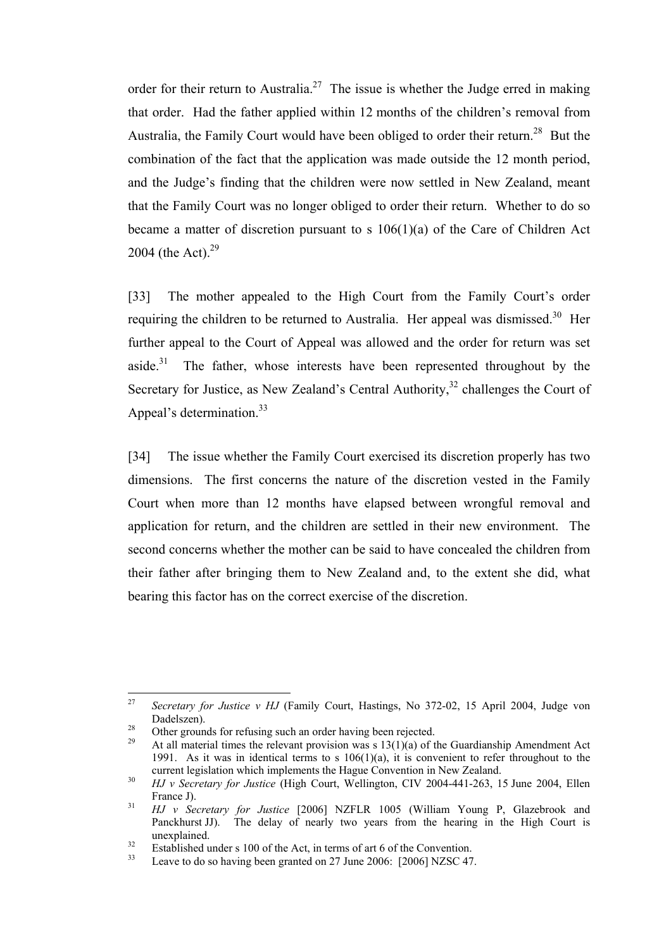order for their return to Australia.<sup>27</sup> The issue is whether the Judge erred in making that order. Had the father applied within 12 months of the children's removal from Australia, the Family Court would have been obliged to order their return.<sup>28</sup> But the combination of the fact that the application was made outside the 12 month period, and the Judge's finding that the children were now settled in New Zealand, meant that the Family Court was no longer obliged to order their return. Whether to do so became a matter of discretion pursuant to s 106(1)(a) of the Care of Children Act 2004 (the Act). $^{29}$ 

[33] The mother appealed to the High Court from the Family Court's order requiring the children to be returned to Australia. Her appeal was dismissed.<sup>30</sup> Her further appeal to the Court of Appeal was allowed and the order for return was set aside.<sup>31</sup> The father, whose interests have been represented throughout by the Secretary for Justice, as New Zealand's Central Authority,<sup>32</sup> challenges the Court of Appeal's determination.<sup>33</sup>

[34] The issue whether the Family Court exercised its discretion properly has two dimensions. The first concerns the nature of the discretion vested in the Family Court when more than 12 months have elapsed between wrongful removal and application for return, and the children are settled in their new environment. The second concerns whether the mother can be said to have concealed the children from their father after bringing them to New Zealand and, to the extent she did, what bearing this factor has on the correct exercise of the discretion.

<sup>27</sup> <sup>27</sup> *Secretary for Justice v HJ* (Family Court, Hastings, No 372-02, 15 April 2004, Judge von Dadelszen).<br>
28 Other grounds for refusing such an order having been rejected.<br>
29 At all material times the relevant provision was s 13(1)(a) of the Guardianship Amendment Act

<sup>1991.</sup> As it was in identical terms to s  $106(1)(a)$ , it is convenient to refer throughout to the current legislation which implements the Hague Convention in New Zealand.

<sup>&</sup>lt;sup>30</sup> *HJ v Secretary for Justice* (High Court, Wellington, CIV 2004-441-263, 15 June 2004, Ellen France J). 31 *HJ v Secretary for Justice* [2006] NZFLR 1005 (William Young P, Glazebrook and

Panckhurst JJ). The delay of nearly two years from the hearing in the High Court is unexplained.<br><sup>32</sup> Established under s 100 of the Act, in terms of art 6 of the Convention.<br><sup>33</sup> Leave to do so having been granted on 27 June 2006: [2006] NZSC 47.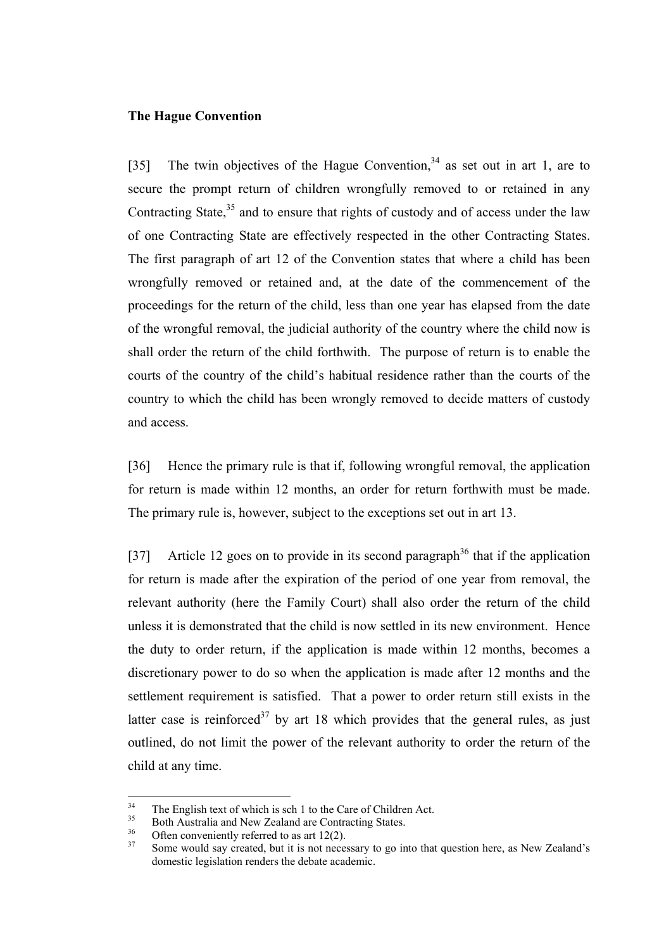## **The Hague Convention**

[35] The twin objectives of the Hague Convention,<sup>34</sup> as set out in art 1, are to secure the prompt return of children wrongfully removed to or retained in any Contracting State,  $35$  and to ensure that rights of custody and of access under the law of one Contracting State are effectively respected in the other Contracting States. The first paragraph of art 12 of the Convention states that where a child has been wrongfully removed or retained and, at the date of the commencement of the proceedings for the return of the child, less than one year has elapsed from the date of the wrongful removal, the judicial authority of the country where the child now is shall order the return of the child forthwith. The purpose of return is to enable the courts of the country of the child's habitual residence rather than the courts of the country to which the child has been wrongly removed to decide matters of custody and access.

[36] Hence the primary rule is that if, following wrongful removal, the application for return is made within 12 months, an order for return forthwith must be made. The primary rule is, however, subject to the exceptions set out in art 13.

[37] Article 12 goes on to provide in its second paragraph<sup>36</sup> that if the application for return is made after the expiration of the period of one year from removal, the relevant authority (here the Family Court) shall also order the return of the child unless it is demonstrated that the child is now settled in its new environment. Hence the duty to order return, if the application is made within 12 months, becomes a discretionary power to do so when the application is made after 12 months and the settlement requirement is satisfied. That a power to order return still exists in the latter case is reinforced<sup>37</sup> by art 18 which provides that the general rules, as just outlined, do not limit the power of the relevant authority to order the return of the child at any time.

 $34$ 

<sup>&</sup>lt;sup>34</sup><br>
<sup>35</sup><br>
Both Australia and New Zealand are Contracting States.<br>
Often conveniently referred to as art 12(2).<br>
Some would say created, but it is not necessary to go into that question here, as New Zealand's domestic legislation renders the debate academic.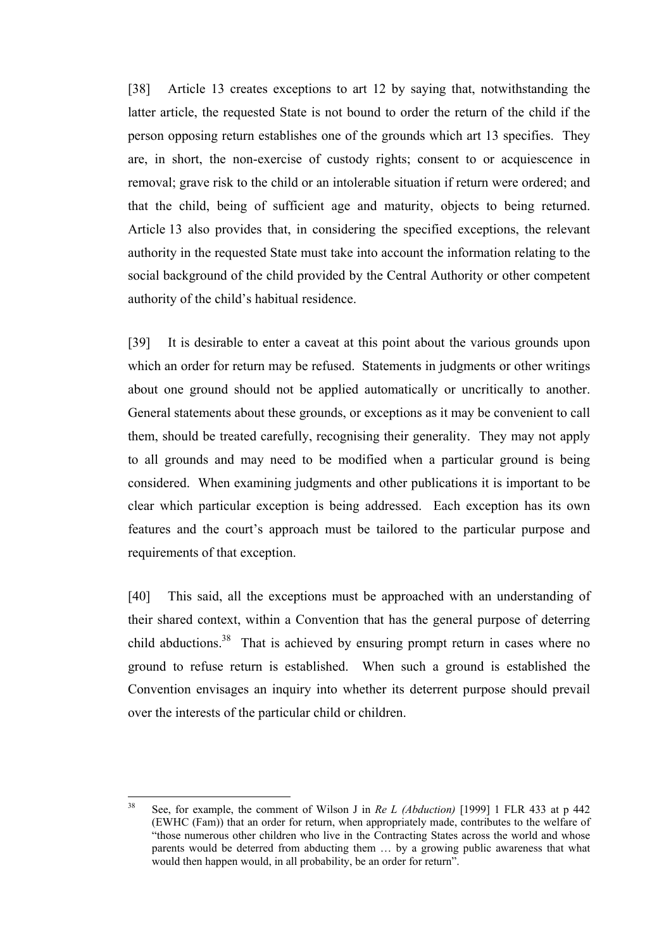[38] Article 13 creates exceptions to art 12 by saying that, notwithstanding the latter article, the requested State is not bound to order the return of the child if the person opposing return establishes one of the grounds which art 13 specifies. They are, in short, the non-exercise of custody rights; consent to or acquiescence in removal; grave risk to the child or an intolerable situation if return were ordered; and that the child, being of sufficient age and maturity, objects to being returned. Article 13 also provides that, in considering the specified exceptions, the relevant authority in the requested State must take into account the information relating to the social background of the child provided by the Central Authority or other competent authority of the child's habitual residence.

[39] It is desirable to enter a caveat at this point about the various grounds upon which an order for return may be refused. Statements in judgments or other writings about one ground should not be applied automatically or uncritically to another. General statements about these grounds, or exceptions as it may be convenient to call them, should be treated carefully, recognising their generality. They may not apply to all grounds and may need to be modified when a particular ground is being considered. When examining judgments and other publications it is important to be clear which particular exception is being addressed. Each exception has its own features and the court's approach must be tailored to the particular purpose and requirements of that exception.

[40] This said, all the exceptions must be approached with an understanding of their shared context, within a Convention that has the general purpose of deterring child abductions.<sup>38</sup> That is achieved by ensuring prompt return in cases where no ground to refuse return is established. When such a ground is established the Convention envisages an inquiry into whether its deterrent purpose should prevail over the interests of the particular child or children.

 $38$ <sup>38</sup> See, for example, the comment of Wilson J in *Re L (Abduction)* [1999] 1 FLR 433 at p 442 (EWHC (Fam)) that an order for return, when appropriately made, contributes to the welfare of "those numerous other children who live in the Contracting States across the world and whose parents would be deterred from abducting them … by a growing public awareness that what would then happen would, in all probability, be an order for return".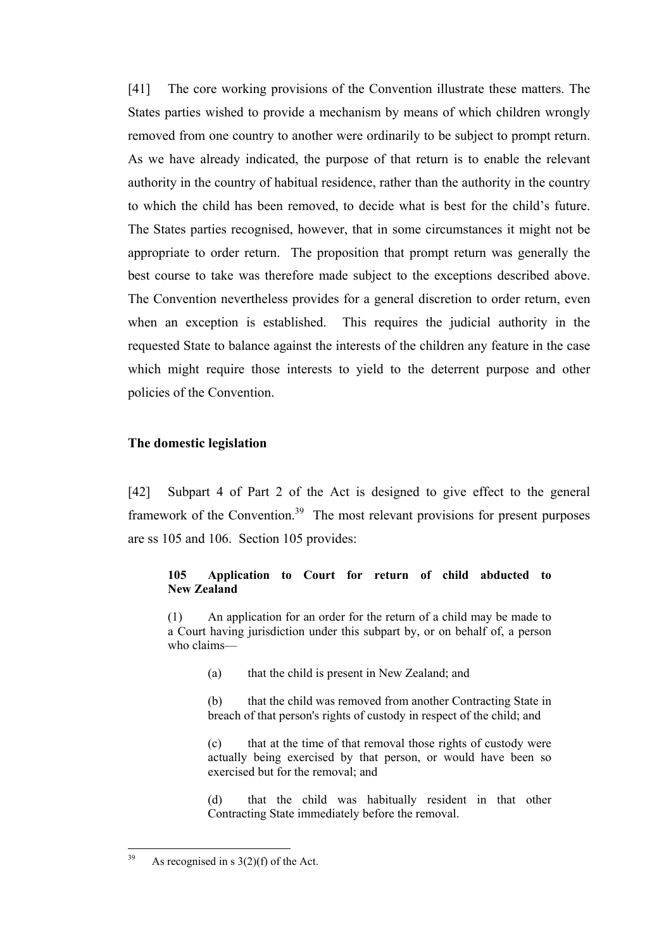[41] The core working provisions of the Convention illustrate these matters. The States parties wished to provide a mechanism by means of which children wrongly removed from one country to another were ordinarily to be subject to prompt return. As we have already indicated, the purpose of that return is to enable the relevant authority in the country of habitual residence, rather than the authority in the country to which the child has been removed, to decide what is best for the child's future. The States parties recognised, however, that in some circumstances it might not be appropriate to order return. The proposition that prompt return was generally the best course to take was therefore made subject to the exceptions described above. The Convention nevertheless provides for a general discretion to order return, even when an exception is established. This requires the judicial authority in the requested State to balance against the interests of the children any feature in the case which might require those interests to yield to the deterrent purpose and other policies of the Convention.

#### **The domestic legislation**

[42] Subpart 4 of Part 2 of the Act is designed to give effect to the general framework of the Convention.<sup>39</sup> The most relevant provisions for present purposes are ss 105 and 106. Section 105 provides:

# **105 Application to Court for return of child abducted to New Zealand**

(1) An application for an order for the return of a child may be made to a Court having jurisdiction under this subpart by, or on behalf of, a person who claims—

(a) that the child is present in New Zealand; and

(b) that the child was removed from another Contracting State in breach of that person's rights of custody in respect of the child; and

(c) that at the time of that removal those rights of custody were actually being exercised by that person, or would have been so exercised but for the removal; and

(d) that the child was habitually resident in that other Contracting State immediately before the removal.

<sup>39</sup> As recognised in s  $3(2)(f)$  of the Act.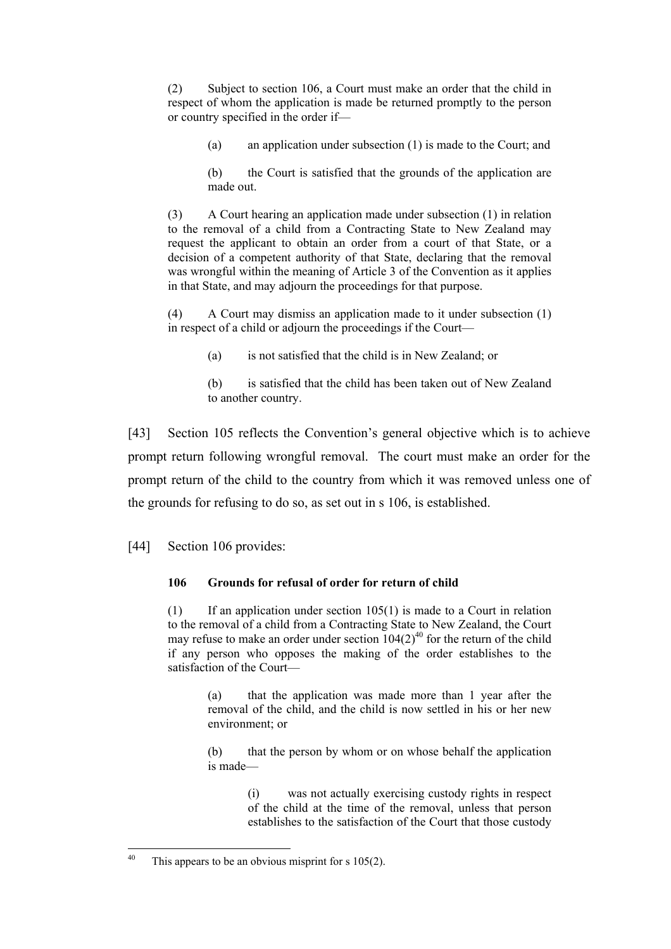(2) Subject to section 106, a Court must make an order that the child in respect of whom the application is made be returned promptly to the person or country specified in the order if—

(a) an application under subsection (1) is made to the Court; and

(b) the Court is satisfied that the grounds of the application are made out.

(3) A Court hearing an application made under subsection (1) in relation to the removal of a child from a Contracting State to New Zealand may request the applicant to obtain an order from a court of that State, or a decision of a competent authority of that State, declaring that the removal was wrongful within the meaning of Article 3 of the Convention as it applies in that State, and may adjourn the proceedings for that purpose.

(4) A Court may dismiss an application made to it under subsection (1) in respect of a child or adjourn the proceedings if the Court—

(a) is not satisfied that the child is in New Zealand; or

(b) is satisfied that the child has been taken out of New Zealand to another country.

[43] Section 105 reflects the Convention's general objective which is to achieve prompt return following wrongful removal. The court must make an order for the prompt return of the child to the country from which it was removed unless one of the grounds for refusing to do so, as set out in s 106, is established.

[44] Section 106 provides:

# **106 Grounds for refusal of order for return of child**

(1) If an application under section  $105(1)$  is made to a Court in relation to the removal of a child from a Contracting State to New Zealand, the Court may refuse to make an order under section  $104(2)^{40}$  for the return of the child if any person who opposes the making of the order establishes to the satisfaction of the Court—

> (a) that the application was made more than 1 year after the removal of the child, and the child is now settled in his or her new environment; or

> (b) that the person by whom or on whose behalf the application is made—

> > (i) was not actually exercising custody rights in respect of the child at the time of the removal, unless that person establishes to the satisfaction of the Court that those custody

<sup>40</sup> This appears to be an obvious misprint for s  $105(2)$ .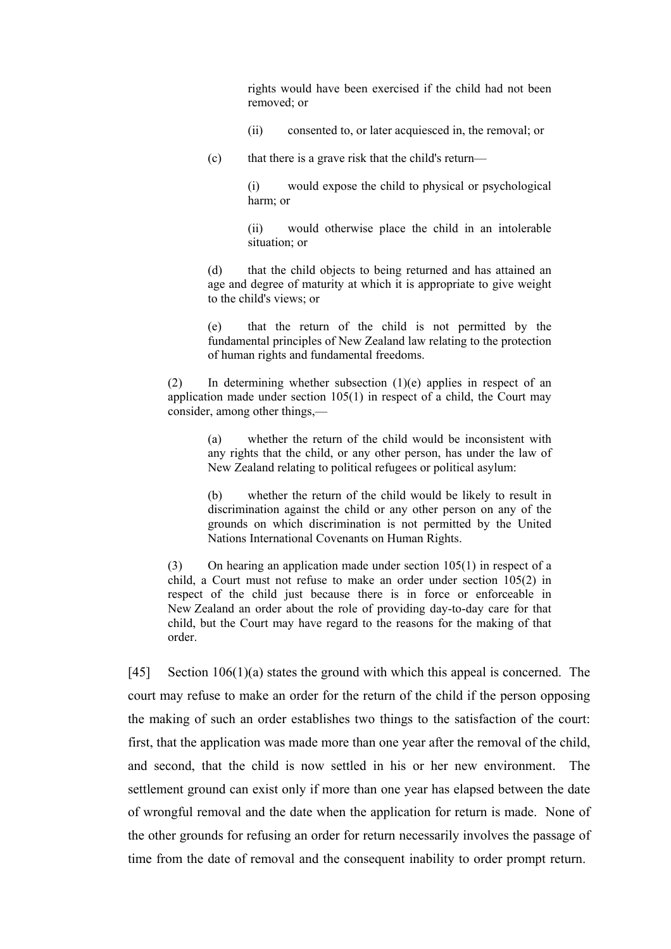rights would have been exercised if the child had not been removed; or

- (ii) consented to, or later acquiesced in, the removal; or
- (c) that there is a grave risk that the child's return—

(i) would expose the child to physical or psychological harm; or

(ii) would otherwise place the child in an intolerable situation; or

(d) that the child objects to being returned and has attained an age and degree of maturity at which it is appropriate to give weight to the child's views; or

(e) that the return of the child is not permitted by the fundamental principles of New Zealand law relating to the protection of human rights and fundamental freedoms.

(2) In determining whether subsection (1)(e) applies in respect of an application made under section 105(1) in respect of a child, the Court may consider, among other things,—

> (a) whether the return of the child would be inconsistent with any rights that the child, or any other person, has under the law of New Zealand relating to political refugees or political asylum:

> (b) whether the return of the child would be likely to result in discrimination against the child or any other person on any of the grounds on which discrimination is not permitted by the United Nations International Covenants on Human Rights.

(3) On hearing an application made under section 105(1) in respect of a child, a Court must not refuse to make an order under section 105(2) in respect of the child just because there is in force or enforceable in New Zealand an order about the role of providing day-to-day care for that child, but the Court may have regard to the reasons for the making of that order.

[45] Section 106(1)(a) states the ground with which this appeal is concerned. The court may refuse to make an order for the return of the child if the person opposing the making of such an order establishes two things to the satisfaction of the court: first, that the application was made more than one year after the removal of the child, and second, that the child is now settled in his or her new environment. The settlement ground can exist only if more than one year has elapsed between the date of wrongful removal and the date when the application for return is made. None of the other grounds for refusing an order for return necessarily involves the passage of time from the date of removal and the consequent inability to order prompt return.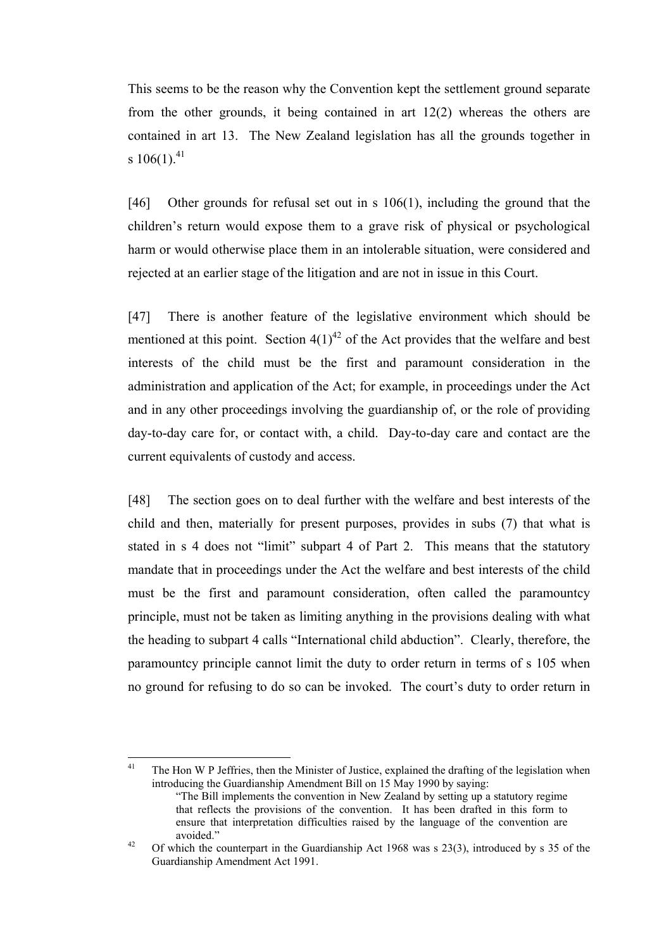This seems to be the reason why the Convention kept the settlement ground separate from the other grounds, it being contained in art 12(2) whereas the others are contained in art 13. The New Zealand legislation has all the grounds together in s  $106(1)$ .<sup>41</sup>

[46] Other grounds for refusal set out in s 106(1), including the ground that the children's return would expose them to a grave risk of physical or psychological harm or would otherwise place them in an intolerable situation, were considered and rejected at an earlier stage of the litigation and are not in issue in this Court.

[47] There is another feature of the legislative environment which should be mentioned at this point. Section  $4(1)^{42}$  of the Act provides that the welfare and best interests of the child must be the first and paramount consideration in the administration and application of the Act; for example, in proceedings under the Act and in any other proceedings involving the guardianship of, or the role of providing day-to-day care for, or contact with, a child. Day-to-day care and contact are the current equivalents of custody and access.

[48] The section goes on to deal further with the welfare and best interests of the child and then, materially for present purposes, provides in subs (7) that what is stated in s 4 does not "limit" subpart 4 of Part 2. This means that the statutory mandate that in proceedings under the Act the welfare and best interests of the child must be the first and paramount consideration, often called the paramountcy principle, must not be taken as limiting anything in the provisions dealing with what the heading to subpart 4 calls "International child abduction". Clearly, therefore, the paramountcy principle cannot limit the duty to order return in terms of s 105 when no ground for refusing to do so can be invoked. The court's duty to order return in

 $41$ The Hon W P Jeffries, then the Minister of Justice, explained the drafting of the legislation when introducing the Guardianship Amendment Bill on 15 May 1990 by saying:

<sup>&</sup>quot;The Bill implements the convention in New Zealand by setting up a statutory regime that reflects the provisions of the convention. It has been drafted in this form to ensure that interpretation difficulties raised by the language of the convention are avoided."<br>
<sup>42</sup> Of which the counterpart in the Guardianship Act 1968 was s 23(3), introduced by s 35 of the

Guardianship Amendment Act 1991.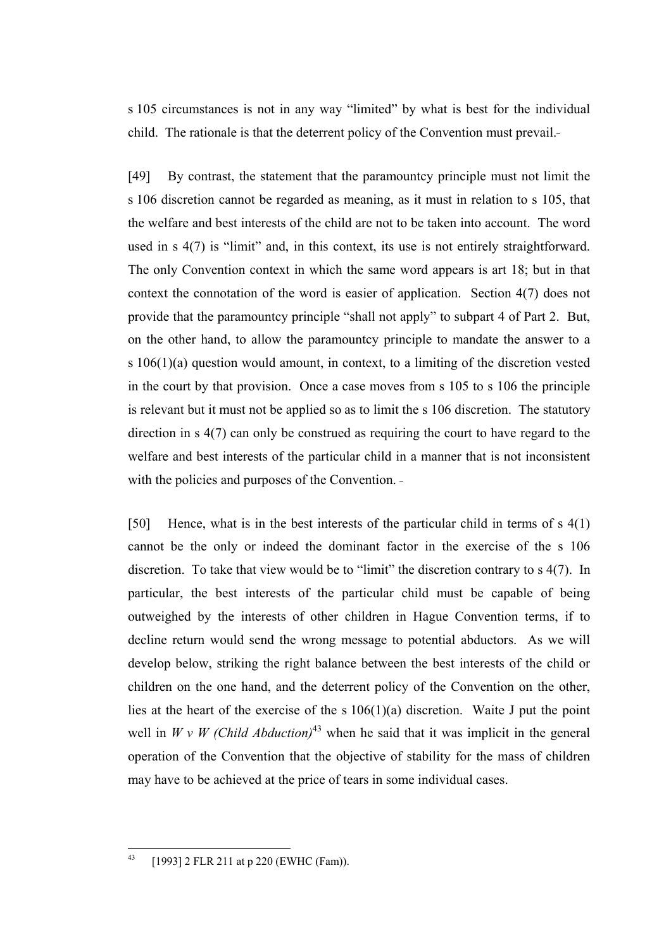s 105 circumstances is not in any way "limited" by what is best for the individual child. The rationale is that the deterrent policy of the Convention must prevail.

[49] By contrast, the statement that the paramountcy principle must not limit the s 106 discretion cannot be regarded as meaning, as it must in relation to s 105, that the welfare and best interests of the child are not to be taken into account. The word used in s 4(7) is "limit" and, in this context, its use is not entirely straightforward. The only Convention context in which the same word appears is art 18; but in that context the connotation of the word is easier of application. Section 4(7) does not provide that the paramountcy principle "shall not apply" to subpart 4 of Part 2. But, on the other hand, to allow the paramountcy principle to mandate the answer to a s 106(1)(a) question would amount, in context, to a limiting of the discretion vested in the court by that provision. Once a case moves from s 105 to s 106 the principle is relevant but it must not be applied so as to limit the s 106 discretion. The statutory direction in s 4(7) can only be construed as requiring the court to have regard to the welfare and best interests of the particular child in a manner that is not inconsistent with the policies and purposes of the Convention. -

[50] Hence, what is in the best interests of the particular child in terms of s 4(1) cannot be the only or indeed the dominant factor in the exercise of the s 106 discretion. To take that view would be to "limit" the discretion contrary to s 4(7). In particular, the best interests of the particular child must be capable of being outweighed by the interests of other children in Hague Convention terms, if to decline return would send the wrong message to potential abductors. As we will develop below, striking the right balance between the best interests of the child or children on the one hand, and the deterrent policy of the Convention on the other, lies at the heart of the exercise of the s  $106(1)(a)$  discretion. Waite J put the point well in *W v W (Child Abduction)*<sup>43</sup> when he said that it was implicit in the general operation of the Convention that the objective of stability for the mass of children may have to be achieved at the price of tears in some individual cases.

 $43$ [1993] 2 FLR 211 at p 220 (EWHC (Fam)).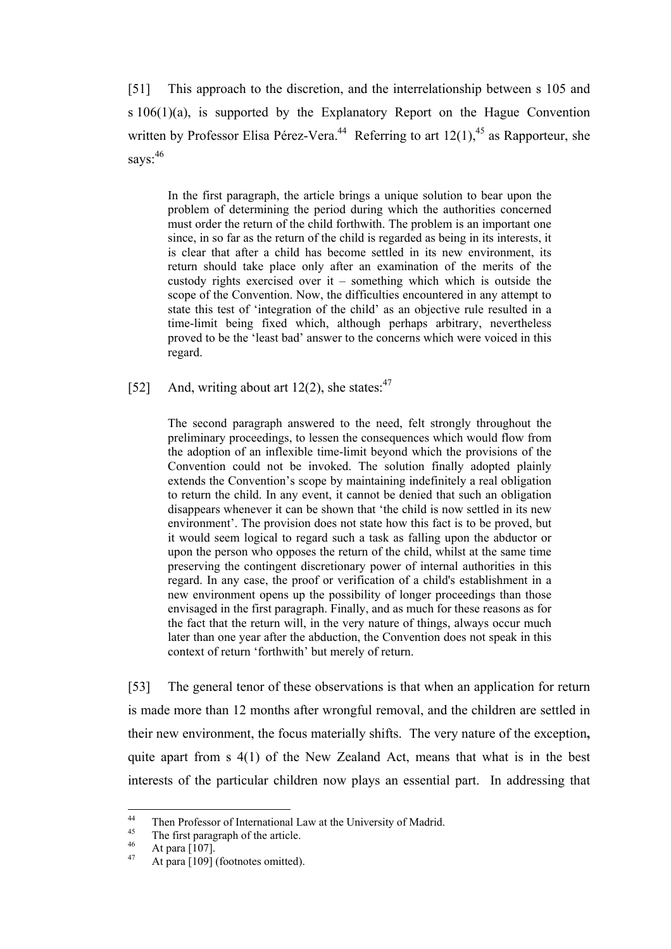[51] This approach to the discretion, and the interrelationship between s 105 and s 106(1)(a), is supported by the Explanatory Report on the Hague Convention written by Professor Elisa Pérez-Vera.<sup>44</sup> Referring to art  $12(1)$ ,<sup>45</sup> as Rapporteur, she says:  $46$ 

In the first paragraph, the article brings a unique solution to bear upon the problem of determining the period during which the authorities concerned must order the return of the child forthwith. The problem is an important one since, in so far as the return of the child is regarded as being in its interests, it is clear that after a child has become settled in its new environment, its return should take place only after an examination of the merits of the custody rights exercised over it – something which which is outside the scope of the Convention. Now, the difficulties encountered in any attempt to state this test of 'integration of the child' as an objective rule resulted in a time-limit being fixed which, although perhaps arbitrary, nevertheless proved to be the 'least bad' answer to the concerns which were voiced in this regard.

[52] And, writing about art 12(2), she states: $47$ 

The second paragraph answered to the need, felt strongly throughout the preliminary proceedings, to lessen the consequences which would flow from the adoption of an inflexible time-limit beyond which the provisions of the Convention could not be invoked. The solution finally adopted plainly extends the Convention's scope by maintaining indefinitely a real obligation to return the child. In any event, it cannot be denied that such an obligation disappears whenever it can be shown that 'the child is now settled in its new environment'. The provision does not state how this fact is to be proved, but it would seem logical to regard such a task as falling upon the abductor or upon the person who opposes the return of the child, whilst at the same time preserving the contingent discretionary power of internal authorities in this regard. In any case, the proof or verification of a child's establishment in a new environment opens up the possibility of longer proceedings than those envisaged in the first paragraph. Finally, and as much for these reasons as for the fact that the return will, in the very nature of things, always occur much later than one year after the abduction, the Convention does not speak in this context of return 'forthwith' but merely of return.

[53] The general tenor of these observations is that when an application for return is made more than 12 months after wrongful removal, and the children are settled in their new environment, the focus materially shifts. The very nature of the exception**,** quite apart from s 4(1) of the New Zealand Act, means that what is in the best interests of the particular children now plays an essential part. In addressing that

 $44$ Then Professor of International Law at the University of Madrid.<br>
45 The first paragraph of the article.<br>
47 At para [109] (footnotes omitted).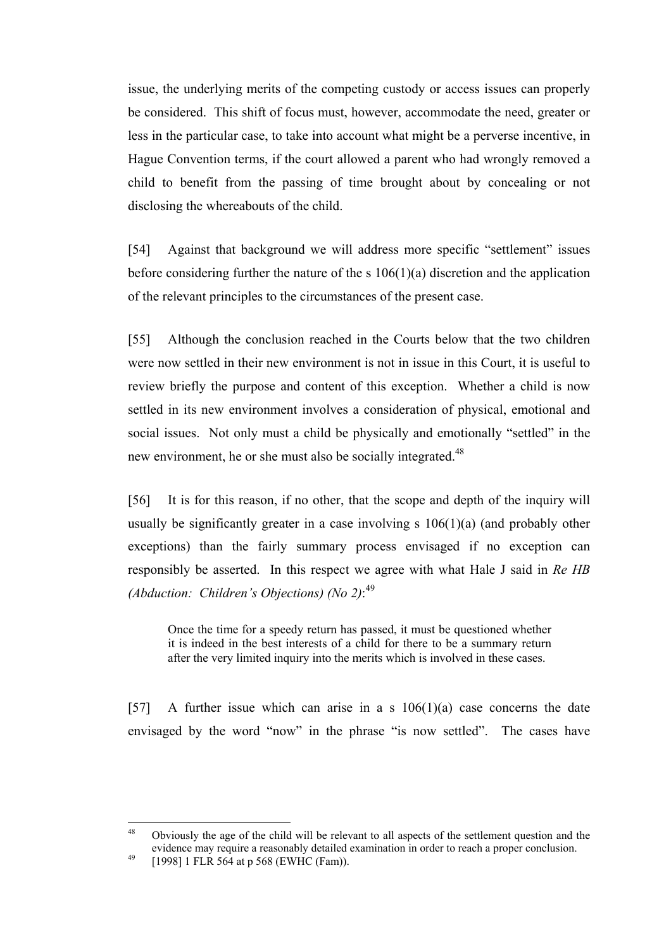issue, the underlying merits of the competing custody or access issues can properly be considered. This shift of focus must, however, accommodate the need, greater or less in the particular case, to take into account what might be a perverse incentive, in Hague Convention terms, if the court allowed a parent who had wrongly removed a child to benefit from the passing of time brought about by concealing or not disclosing the whereabouts of the child.

[54] Against that background we will address more specific "settlement" issues before considering further the nature of the s 106(1)(a) discretion and the application of the relevant principles to the circumstances of the present case.

[55] Although the conclusion reached in the Courts below that the two children were now settled in their new environment is not in issue in this Court, it is useful to review briefly the purpose and content of this exception. Whether a child is now settled in its new environment involves a consideration of physical, emotional and social issues. Not only must a child be physically and emotionally "settled" in the new environment, he or she must also be socially integrated.<sup>48</sup>

[56] It is for this reason, if no other, that the scope and depth of the inquiry will usually be significantly greater in a case involving  $s$  106(1)(a) (and probably other exceptions) than the fairly summary process envisaged if no exception can responsibly be asserted. In this respect we agree with what Hale J said in *Re HB (Abduction: Children's Objections) (No 2)*: 49

Once the time for a speedy return has passed, it must be questioned whether it is indeed in the best interests of a child for there to be a summary return after the very limited inquiry into the merits which is involved in these cases.

[57] A further issue which can arise in a s  $106(1)(a)$  case concerns the date envisaged by the word "now" in the phrase "is now settled". The cases have

<sup>48</sup> <sup>48</sup> Obviously the age of the child will be relevant to all aspects of the settlement question and the evidence may require a reasonably detailed examination in order to reach a proper conclusion.<br>
[1998] 1 FLR 564 at p 568 (EWHC (Fam)).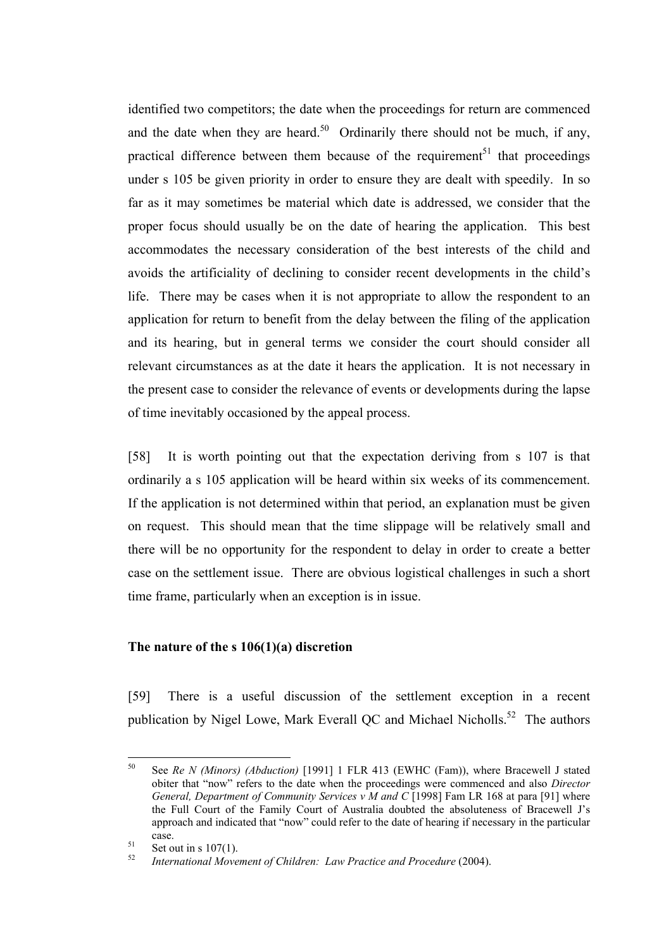identified two competitors; the date when the proceedings for return are commenced and the date when they are heard.<sup>50</sup> Ordinarily there should not be much, if any, practical difference between them because of the requirement<sup>51</sup> that proceedings under s 105 be given priority in order to ensure they are dealt with speedily. In so far as it may sometimes be material which date is addressed, we consider that the proper focus should usually be on the date of hearing the application. This best accommodates the necessary consideration of the best interests of the child and avoids the artificiality of declining to consider recent developments in the child's life. There may be cases when it is not appropriate to allow the respondent to an application for return to benefit from the delay between the filing of the application and its hearing, but in general terms we consider the court should consider all relevant circumstances as at the date it hears the application. It is not necessary in the present case to consider the relevance of events or developments during the lapse of time inevitably occasioned by the appeal process.

[58] It is worth pointing out that the expectation deriving from s 107 is that ordinarily a s 105 application will be heard within six weeks of its commencement. If the application is not determined within that period, an explanation must be given on request. This should mean that the time slippage will be relatively small and there will be no opportunity for the respondent to delay in order to create a better case on the settlement issue. There are obvious logistical challenges in such a short time frame, particularly when an exception is in issue.

# **The nature of the s 106(1)(a) discretion**

[59] There is a useful discussion of the settlement exception in a recent publication by Nigel Lowe, Mark Everall QC and Michael Nicholls.<sup>52</sup> The authors

 $50$ <sup>50</sup> See *Re N (Minors) (Abduction)* [1991] 1 FLR 413 (EWHC (Fam)), where Bracewell J stated obiter that "now" refers to the date when the proceedings were commenced and also *Director General, Department of Community Services v M and C* [1998] Fam LR 168 at para [91] where the Full Court of the Family Court of Australia doubted the absoluteness of Bracewell J's approach and indicated that "now" could refer to the date of hearing if necessary in the particular case. 51 Set out in s 107(1). 52 *International Movement of Children: Law Practice and Procedure* (2004).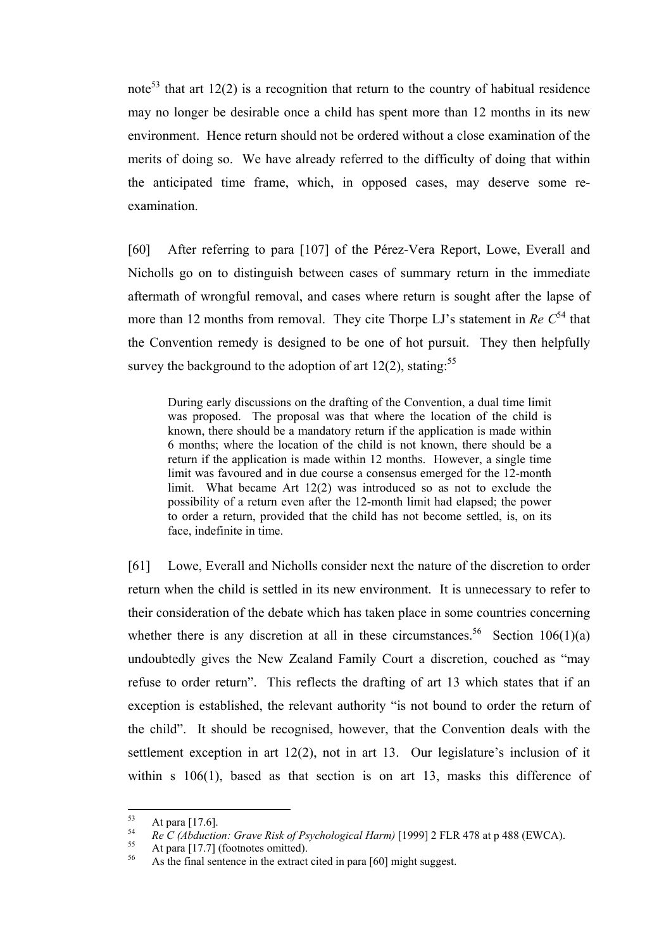note<sup>53</sup> that art 12(2) is a recognition that return to the country of habitual residence may no longer be desirable once a child has spent more than 12 months in its new environment. Hence return should not be ordered without a close examination of the merits of doing so. We have already referred to the difficulty of doing that within the anticipated time frame, which, in opposed cases, may deserve some reexamination.

[60] After referring to para [107] of the Pérez-Vera Report, Lowe, Everall and Nicholls go on to distinguish between cases of summary return in the immediate aftermath of wrongful removal, and cases where return is sought after the lapse of more than 12 months from removal. They cite Thorpe LJ's statement in  $Re C<sup>54</sup>$  that the Convention remedy is designed to be one of hot pursuit. They then helpfully survey the background to the adoption of art  $12(2)$ , stating:<sup>55</sup>

During early discussions on the drafting of the Convention, a dual time limit was proposed. The proposal was that where the location of the child is known, there should be a mandatory return if the application is made within 6 months; where the location of the child is not known, there should be a return if the application is made within 12 months. However, a single time limit was favoured and in due course a consensus emerged for the 12-month limit. What became Art 12(2) was introduced so as not to exclude the possibility of a return even after the 12-month limit had elapsed; the power to order a return, provided that the child has not become settled, is, on its face, indefinite in time.

[61] Lowe, Everall and Nicholls consider next the nature of the discretion to order return when the child is settled in its new environment. It is unnecessary to refer to their consideration of the debate which has taken place in some countries concerning whether there is any discretion at all in these circumstances.<sup>56</sup> Section 106(1)(a) undoubtedly gives the New Zealand Family Court a discretion, couched as "may refuse to order return". This reflects the drafting of art 13 which states that if an exception is established, the relevant authority "is not bound to order the return of the child". It should be recognised, however, that the Convention deals with the settlement exception in art 12(2), not in art 13. Our legislature's inclusion of it within s 106(1), based as that section is on art 13, masks this difference of

<sup>53</sup> 

<sup>&</sup>lt;sup>53</sup> At para [17.6].<br> *Re C (Abduction: Grave Risk of Psychological Harm)* [1999] 2 FLR 478 at p 488 (EWCA).<br>
<sup>55</sup> At para [17.7] (footnotes omitted).<br>
<sup>56</sup> As the final sentence in the extract cited in para [60] might su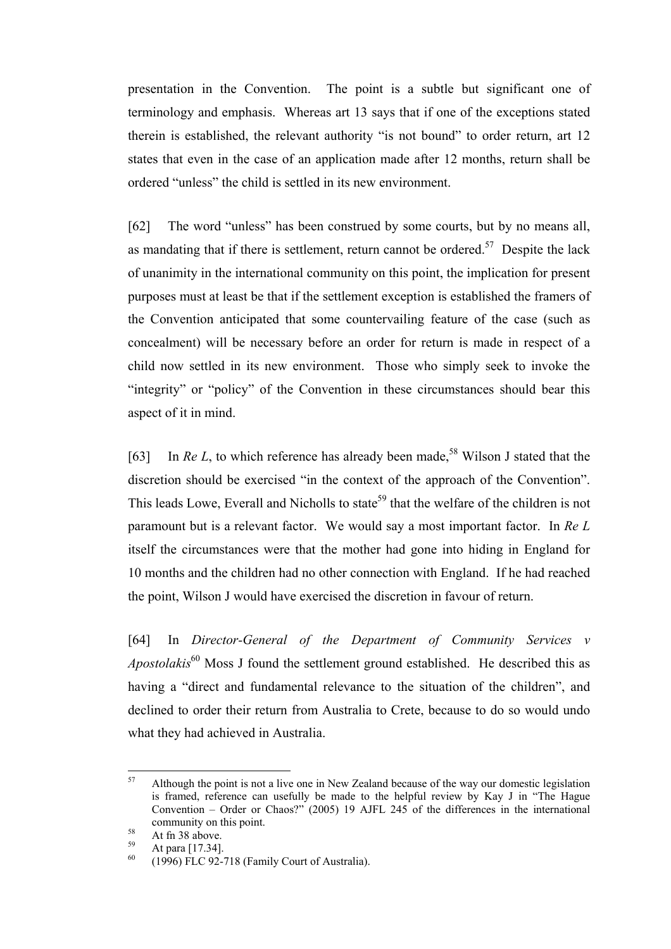presentation in the Convention. The point is a subtle but significant one of terminology and emphasis. Whereas art 13 says that if one of the exceptions stated therein is established, the relevant authority "is not bound" to order return, art 12 states that even in the case of an application made after 12 months, return shall be ordered "unless" the child is settled in its new environment.

[62] The word "unless" has been construed by some courts, but by no means all, as mandating that if there is settlement, return cannot be ordered.<sup>57</sup> Despite the lack of unanimity in the international community on this point, the implication for present purposes must at least be that if the settlement exception is established the framers of the Convention anticipated that some countervailing feature of the case (such as concealment) will be necessary before an order for return is made in respect of a child now settled in its new environment. Those who simply seek to invoke the "integrity" or "policy" of the Convention in these circumstances should bear this aspect of it in mind.

[63] In *Re L*, to which reference has already been made,<sup>58</sup> Wilson J stated that the discretion should be exercised "in the context of the approach of the Convention". This leads Lowe, Everall and Nicholls to state<sup>59</sup> that the welfare of the children is not paramount but is a relevant factor. We would say a most important factor. In *Re L* itself the circumstances were that the mother had gone into hiding in England for 10 months and the children had no other connection with England. If he had reached the point, Wilson J would have exercised the discretion in favour of return.

[64] In *Director-General of the Department of Community Services v Apostolakis*<sup>60</sup> Moss J found the settlement ground established. He described this as having a "direct and fundamental relevance to the situation of the children", and declined to order their return from Australia to Crete, because to do so would undo what they had achieved in Australia.

<sup>57</sup> <sup>57</sup> Although the point is not a live one in New Zealand because of the way our domestic legislation is framed, reference can usefully be made to the helpful review by Kay J in "The Hague Convention – Order or Chaos?" (2005) 19 AJFL 245 of the differences in the international community on this point.<br>
58 At fn 38 above.<br>
59 At para [17.34].<br>
60 (1996) FLC 92-718 (Family Court of Australia).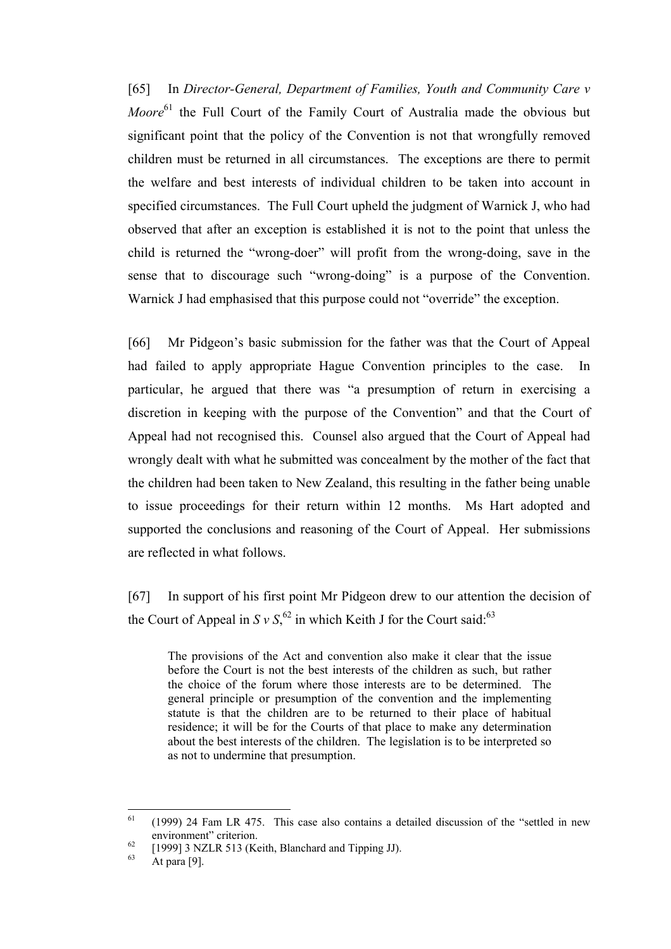[65] In *Director-General, Department of Families, Youth and Community Care v Moore*<sup>61</sup> the Full Court of the Family Court of Australia made the obvious but significant point that the policy of the Convention is not that wrongfully removed children must be returned in all circumstances. The exceptions are there to permit the welfare and best interests of individual children to be taken into account in specified circumstances. The Full Court upheld the judgment of Warnick J, who had observed that after an exception is established it is not to the point that unless the child is returned the "wrong-doer" will profit from the wrong-doing, save in the sense that to discourage such "wrong-doing" is a purpose of the Convention. Warnick J had emphasised that this purpose could not "override" the exception.

[66] Mr Pidgeon's basic submission for the father was that the Court of Appeal had failed to apply appropriate Hague Convention principles to the case. In particular, he argued that there was "a presumption of return in exercising a discretion in keeping with the purpose of the Convention" and that the Court of Appeal had not recognised this. Counsel also argued that the Court of Appeal had wrongly dealt with what he submitted was concealment by the mother of the fact that the children had been taken to New Zealand, this resulting in the father being unable to issue proceedings for their return within 12 months. Ms Hart adopted and supported the conclusions and reasoning of the Court of Appeal. Her submissions are reflected in what follows.

[67] In support of his first point Mr Pidgeon drew to our attention the decision of the Court of Appeal in  $S v S<sub>1</sub><sup>62</sup>$  in which Keith J for the Court said:<sup>63</sup>

The provisions of the Act and convention also make it clear that the issue before the Court is not the best interests of the children as such, but rather the choice of the forum where those interests are to be determined. The general principle or presumption of the convention and the implementing statute is that the children are to be returned to their place of habitual residence; it will be for the Courts of that place to make any determination about the best interests of the children. The legislation is to be interpreted so as not to undermine that presumption.

<sup>61</sup> <sup>61</sup> (1999) 24 Fam LR 475. This case also contains a detailed discussion of the "settled in new environment" criterion.<br>
<sup>62</sup> [1999] 3 NZLR 513 (Keith, Blanchard and Tipping JJ).<br>
<sup>63</sup> At para [9].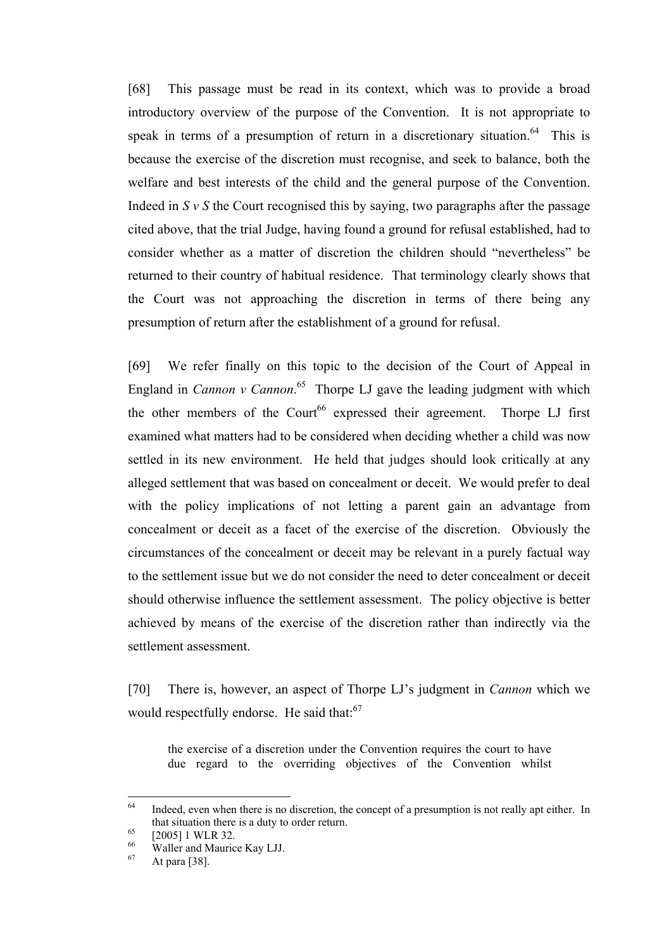[68] This passage must be read in its context, which was to provide a broad introductory overview of the purpose of the Convention. It is not appropriate to speak in terms of a presumption of return in a discretionary situation.<sup>64</sup> This is because the exercise of the discretion must recognise, and seek to balance, both the welfare and best interests of the child and the general purpose of the Convention. Indeed in  $S y S$  the Court recognised this by saying, two paragraphs after the passage cited above, that the trial Judge, having found a ground for refusal established, had to consider whether as a matter of discretion the children should "nevertheless" be returned to their country of habitual residence. That terminology clearly shows that the Court was not approaching the discretion in terms of there being any presumption of return after the establishment of a ground for refusal.

[69] We refer finally on this topic to the decision of the Court of Appeal in England in *Cannon v Cannon*.<sup>65</sup> Thorpe LJ gave the leading judgment with which the other members of the Court<sup>66</sup> expressed their agreement. Thorpe LJ first examined what matters had to be considered when deciding whether a child was now settled in its new environment. He held that judges should look critically at any alleged settlement that was based on concealment or deceit. We would prefer to deal with the policy implications of not letting a parent gain an advantage from concealment or deceit as a facet of the exercise of the discretion. Obviously the circumstances of the concealment or deceit may be relevant in a purely factual way to the settlement issue but we do not consider the need to deter concealment or deceit should otherwise influence the settlement assessment. The policy objective is better achieved by means of the exercise of the discretion rather than indirectly via the settlement assessment.

[70] There is, however, an aspect of Thorpe LJ's judgment in *Cannon* which we would respectfully endorse. He said that:<sup>67</sup>

the exercise of a discretion under the Convention requires the court to have due regard to the overriding objectives of the Convention whilst

<sup>64</sup> Indeed, even when there is no discretion, the concept of a presumption is not really apt either. In that situation there is a duty to order return.<br>
[2005] 1 WLR 32.<br>
66 Waller and Maurice Kay LJJ.<br>
67 At para [38].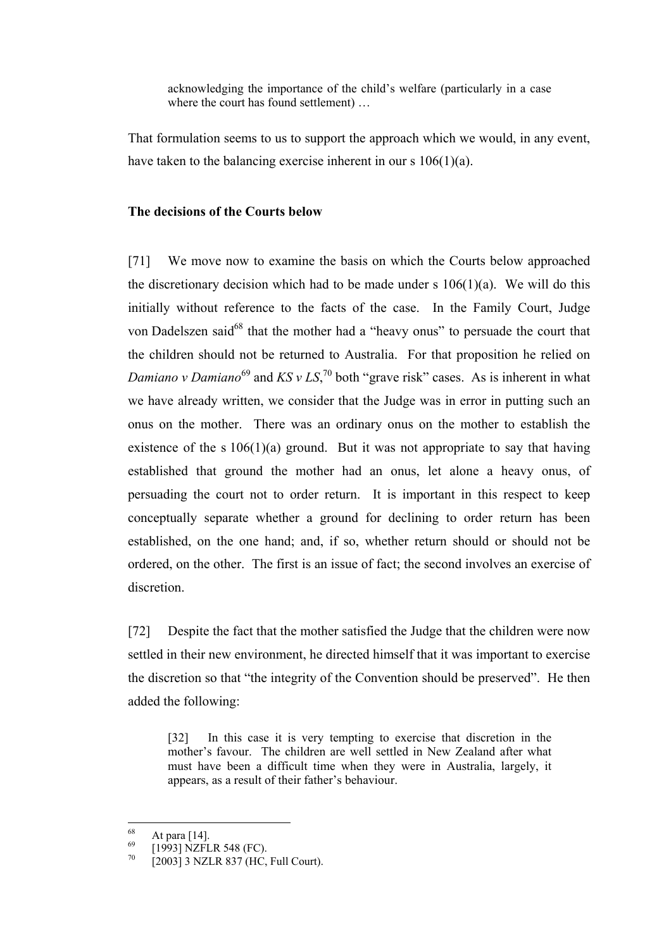acknowledging the importance of the child's welfare (particularly in a case where the court has found settlement) ...

That formulation seems to us to support the approach which we would, in any event, have taken to the balancing exercise inherent in our s 106(1)(a).

#### **The decisions of the Courts below**

[71] We move now to examine the basis on which the Courts below approached the discretionary decision which had to be made under s  $106(1)(a)$ . We will do this initially without reference to the facts of the case. In the Family Court, Judge von Dadelszen said<sup>68</sup> that the mother had a "heavy onus" to persuade the court that the children should not be returned to Australia. For that proposition he relied on *Damiano v Damiano*<sup>69</sup> and  $KS$  *v LS*,<sup>70</sup> both "grave risk" cases. As is inherent in what we have already written, we consider that the Judge was in error in putting such an onus on the mother. There was an ordinary onus on the mother to establish the existence of the s  $106(1)(a)$  ground. But it was not appropriate to say that having established that ground the mother had an onus, let alone a heavy onus, of persuading the court not to order return. It is important in this respect to keep conceptually separate whether a ground for declining to order return has been established, on the one hand; and, if so, whether return should or should not be ordered, on the other. The first is an issue of fact; the second involves an exercise of discretion.

[72] Despite the fact that the mother satisfied the Judge that the children were now settled in their new environment, he directed himself that it was important to exercise the discretion so that "the integrity of the Convention should be preserved". He then added the following:

[32] In this case it is very tempting to exercise that discretion in the mother's favour. The children are well settled in New Zealand after what must have been a difficult time when they were in Australia, largely, it appears, as a result of their father's behaviour.

<sup>68</sup> 

<sup>&</sup>lt;sup>68</sup> At para [14].<br><sup>69</sup> [1993] NZFLR 548 (FC).<br><sup>70</sup> [2003] 3 NZLR 837 (HC, Full Court).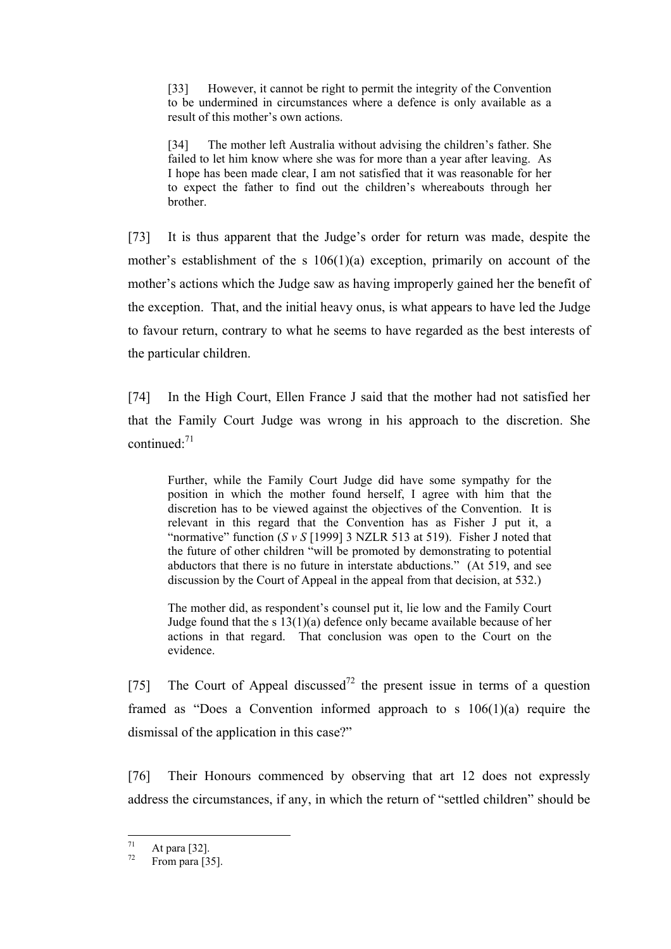[33] However, it cannot be right to permit the integrity of the Convention to be undermined in circumstances where a defence is only available as a result of this mother's own actions.

[34] The mother left Australia without advising the children's father. She failed to let him know where she was for more than a year after leaving. As I hope has been made clear, I am not satisfied that it was reasonable for her to expect the father to find out the children's whereabouts through her brother.

[73] It is thus apparent that the Judge's order for return was made, despite the mother's establishment of the s 106(1)(a) exception, primarily on account of the mother's actions which the Judge saw as having improperly gained her the benefit of the exception. That, and the initial heavy onus, is what appears to have led the Judge to favour return, contrary to what he seems to have regarded as the best interests of the particular children.

[74] In the High Court, Ellen France J said that the mother had not satisfied her that the Family Court Judge was wrong in his approach to the discretion. She continued: $71$ 

Further, while the Family Court Judge did have some sympathy for the position in which the mother found herself, I agree with him that the discretion has to be viewed against the objectives of the Convention. It is relevant in this regard that the Convention has as Fisher J put it, a "normative" function (*S v S* [1999] 3 NZLR 513 at 519). Fisher J noted that the future of other children "will be promoted by demonstrating to potential abductors that there is no future in interstate abductions." (At 519, and see discussion by the Court of Appeal in the appeal from that decision, at 532.)

The mother did, as respondent's counsel put it, lie low and the Family Court Judge found that the s 13(1)(a) defence only became available because of her actions in that regard. That conclusion was open to the Court on the evidence.

[75] The Court of Appeal discussed<sup>72</sup> the present issue in terms of a question framed as "Does a Convention informed approach to s 106(1)(a) require the dismissal of the application in this case?"

[76] Their Honours commenced by observing that art 12 does not expressly address the circumstances, if any, in which the return of "settled children" should be

<sup>71</sup> 

 $\frac{71}{72}$  At para [32].<br>From para [35].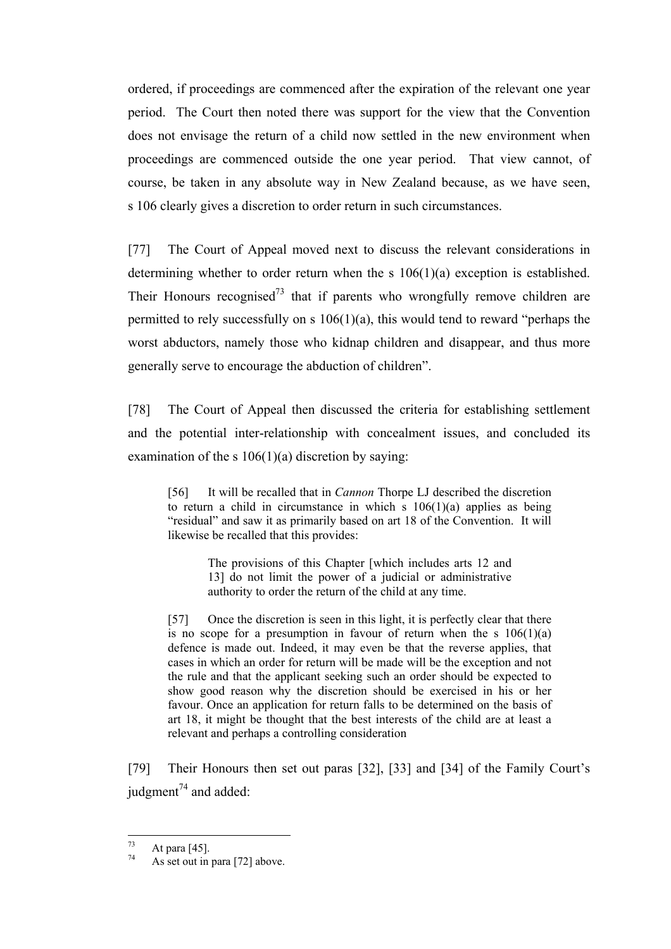ordered, if proceedings are commenced after the expiration of the relevant one year period. The Court then noted there was support for the view that the Convention does not envisage the return of a child now settled in the new environment when proceedings are commenced outside the one year period. That view cannot, of course, be taken in any absolute way in New Zealand because, as we have seen, s 106 clearly gives a discretion to order return in such circumstances.

[77] The Court of Appeal moved next to discuss the relevant considerations in determining whether to order return when the s 106(1)(a) exception is established. Their Honours recognised<sup>73</sup> that if parents who wrongfully remove children are permitted to rely successfully on s 106(1)(a), this would tend to reward "perhaps the worst abductors, namely those who kidnap children and disappear, and thus more generally serve to encourage the abduction of children".

[78] The Court of Appeal then discussed the criteria for establishing settlement and the potential inter-relationship with concealment issues, and concluded its examination of the s  $106(1)(a)$  discretion by saying:

[56] It will be recalled that in *Cannon* Thorpe LJ described the discretion to return a child in circumstance in which s  $106(1)(a)$  applies as being "residual" and saw it as primarily based on art 18 of the Convention. It will likewise be recalled that this provides:

> The provisions of this Chapter [which includes arts 12 and 13] do not limit the power of a judicial or administrative authority to order the return of the child at any time.

[57] Once the discretion is seen in this light, it is perfectly clear that there is no scope for a presumption in favour of return when the s  $106(1)(a)$ defence is made out. Indeed, it may even be that the reverse applies, that cases in which an order for return will be made will be the exception and not the rule and that the applicant seeking such an order should be expected to show good reason why the discretion should be exercised in his or her favour. Once an application for return falls to be determined on the basis of art 18, it might be thought that the best interests of the child are at least a relevant and perhaps a controlling consideration

[79] Their Honours then set out paras [32], [33] and [34] of the Family Court's judgment $^{74}$  and added:

 $73$ 

 $7^{\frac{73}{74}}$  At para [45].<br>As set out in para [72] above.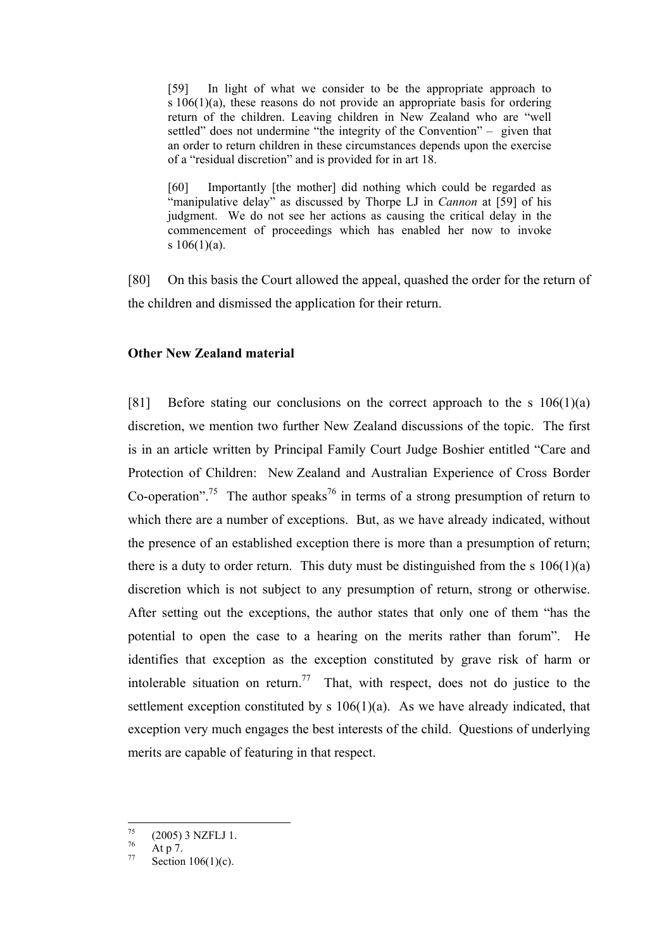[59] In light of what we consider to be the appropriate approach to s 106(1)(a), these reasons do not provide an appropriate basis for ordering return of the children. Leaving children in New Zealand who are "well settled" does not undermine "the integrity of the Convention" – given that an order to return children in these circumstances depends upon the exercise of a "residual discretion" and is provided for in art 18.

[60] Importantly [the mother] did nothing which could be regarded as "manipulative delay" as discussed by Thorpe LJ in *Cannon* at [59] of his judgment. We do not see her actions as causing the critical delay in the commencement of proceedings which has enabled her now to invoke s  $106(1)(a)$ .

[80] On this basis the Court allowed the appeal, quashed the order for the return of the children and dismissed the application for their return.

## **Other New Zealand material**

[81] Before stating our conclusions on the correct approach to the s  $106(1)(a)$ discretion, we mention two further New Zealand discussions of the topic. The first is in an article written by Principal Family Court Judge Boshier entitled "Care and Protection of Children: New Zealand and Australian Experience of Cross Border Co-operation".<sup>75</sup> The author speaks<sup>76</sup> in terms of a strong presumption of return to which there are a number of exceptions. But, as we have already indicated, without the presence of an established exception there is more than a presumption of return; there is a duty to order return. This duty must be distinguished from the s  $106(1)(a)$ discretion which is not subject to any presumption of return, strong or otherwise. After setting out the exceptions, the author states that only one of them "has the potential to open the case to a hearing on the merits rather than forum". He identifies that exception as the exception constituted by grave risk of harm or intolerable situation on return.<sup>77</sup> That, with respect, does not do justice to the settlement exception constituted by s  $106(1)(a)$ . As we have already indicated, that exception very much engages the best interests of the child. Questions of underlying merits are capable of featuring in that respect.

<sup>75</sup> <sup>75</sup> (2005) 3 NZFLJ 1.<br>
<sup>76</sup> At p 7.<br>
<sup>77</sup> Section 106(1)(c).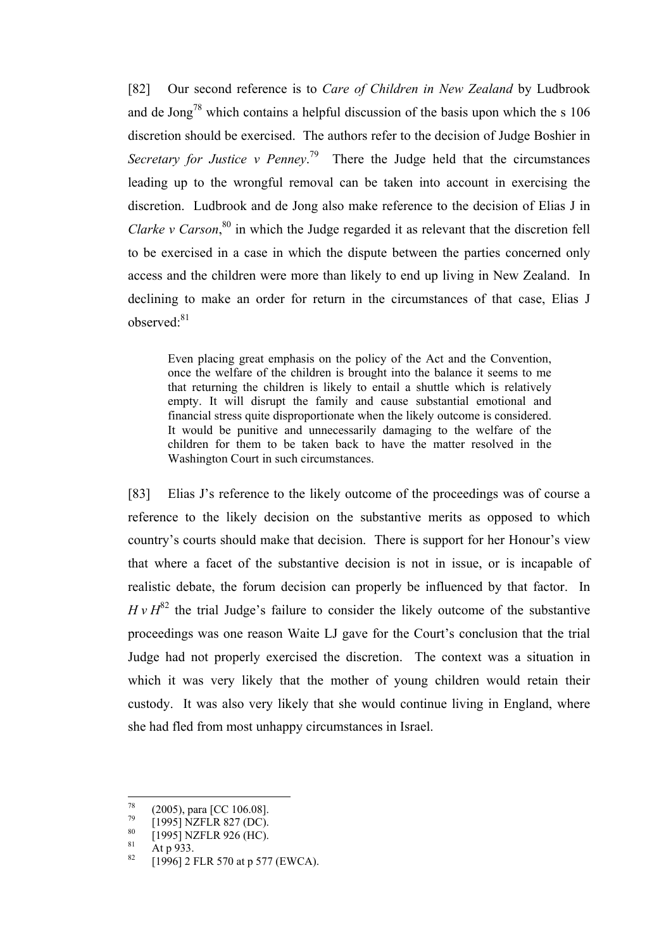[82] Our second reference is to *Care of Children in New Zealand* by Ludbrook and de Jong<sup>78</sup> which contains a helpful discussion of the basis upon which the s  $106$ discretion should be exercised. The authors refer to the decision of Judge Boshier in *Secretary for Justice v Penney*. 79 There the Judge held that the circumstances leading up to the wrongful removal can be taken into account in exercising the discretion. Ludbrook and de Jong also make reference to the decision of Elias J in *Clarke v Carson*, 80 in which the Judge regarded it as relevant that the discretion fell to be exercised in a case in which the dispute between the parties concerned only access and the children were more than likely to end up living in New Zealand. In declining to make an order for return in the circumstances of that case, Elias J observed:<sup>81</sup>

Even placing great emphasis on the policy of the Act and the Convention, once the welfare of the children is brought into the balance it seems to me that returning the children is likely to entail a shuttle which is relatively empty. It will disrupt the family and cause substantial emotional and financial stress quite disproportionate when the likely outcome is considered. It would be punitive and unnecessarily damaging to the welfare of the children for them to be taken back to have the matter resolved in the Washington Court in such circumstances.

[83] Elias J's reference to the likely outcome of the proceedings was of course a reference to the likely decision on the substantive merits as opposed to which country's courts should make that decision. There is support for her Honour's view that where a facet of the substantive decision is not in issue, or is incapable of realistic debate, the forum decision can properly be influenced by that factor. In  $H v H^{82}$  the trial Judge's failure to consider the likely outcome of the substantive proceedings was one reason Waite LJ gave for the Court's conclusion that the trial Judge had not properly exercised the discretion. The context was a situation in which it was very likely that the mother of young children would retain their custody. It was also very likely that she would continue living in England, where she had fled from most unhappy circumstances in Israel.

<sup>78</sup> 

<sup>&</sup>lt;sup>78</sup> (2005), para [CC 106.08].<br>
<sup>79</sup> [1995] NZFLR 827 (DC).<br>
<sup>80</sup> [1995] NZFLR 926 (HC).<br>
<sup>81</sup> At p 933.<br>
<sup>82</sup> [1996] 2 FLR 570 at p 577 (EWCA).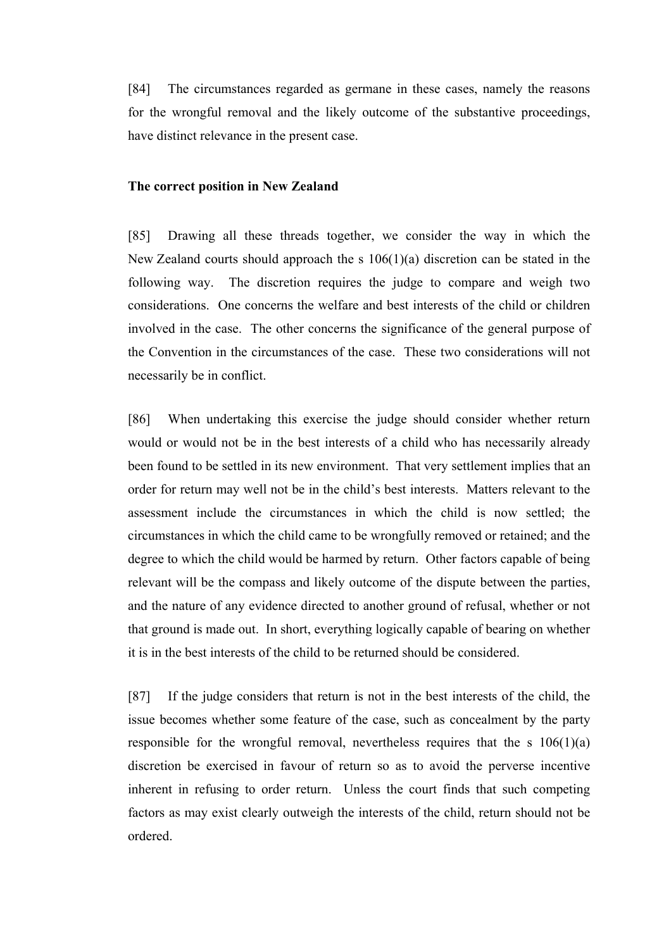[84] The circumstances regarded as germane in these cases, namely the reasons for the wrongful removal and the likely outcome of the substantive proceedings, have distinct relevance in the present case.

## **The correct position in New Zealand**

[85] Drawing all these threads together, we consider the way in which the New Zealand courts should approach the s 106(1)(a) discretion can be stated in the following way. The discretion requires the judge to compare and weigh two considerations. One concerns the welfare and best interests of the child or children involved in the case. The other concerns the significance of the general purpose of the Convention in the circumstances of the case. These two considerations will not necessarily be in conflict.

[86] When undertaking this exercise the judge should consider whether return would or would not be in the best interests of a child who has necessarily already been found to be settled in its new environment. That very settlement implies that an order for return may well not be in the child's best interests. Matters relevant to the assessment include the circumstances in which the child is now settled; the circumstances in which the child came to be wrongfully removed or retained; and the degree to which the child would be harmed by return. Other factors capable of being relevant will be the compass and likely outcome of the dispute between the parties, and the nature of any evidence directed to another ground of refusal, whether or not that ground is made out. In short, everything logically capable of bearing on whether it is in the best interests of the child to be returned should be considered.

[87] If the judge considers that return is not in the best interests of the child, the issue becomes whether some feature of the case, such as concealment by the party responsible for the wrongful removal, nevertheless requires that the s  $106(1)(a)$ discretion be exercised in favour of return so as to avoid the perverse incentive inherent in refusing to order return. Unless the court finds that such competing factors as may exist clearly outweigh the interests of the child, return should not be ordered.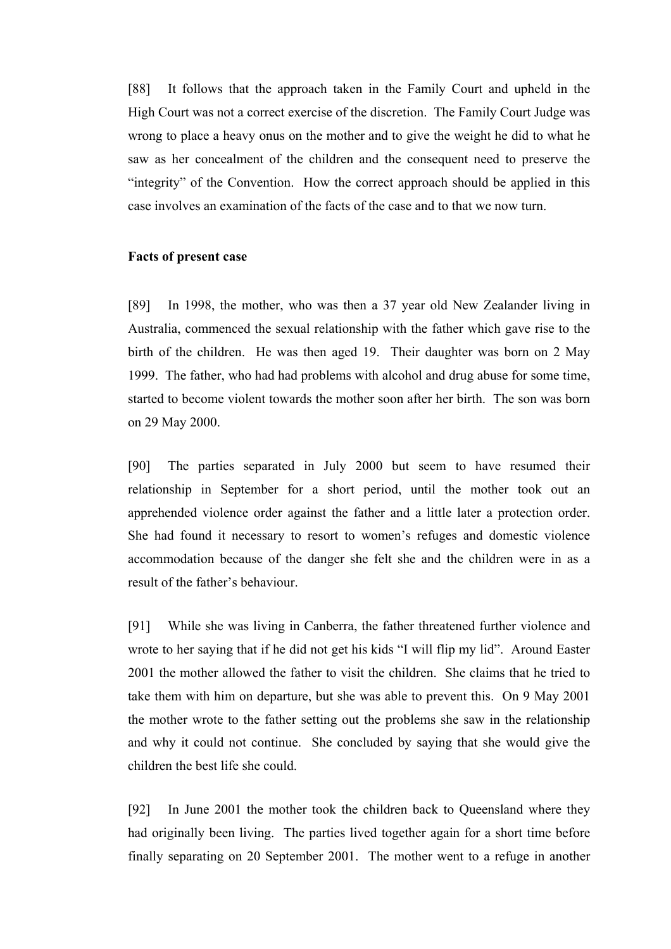[88] It follows that the approach taken in the Family Court and upheld in the High Court was not a correct exercise of the discretion. The Family Court Judge was wrong to place a heavy onus on the mother and to give the weight he did to what he saw as her concealment of the children and the consequent need to preserve the "integrity" of the Convention. How the correct approach should be applied in this case involves an examination of the facts of the case and to that we now turn.

### **Facts of present case**

[89] In 1998, the mother, who was then a 37 year old New Zealander living in Australia, commenced the sexual relationship with the father which gave rise to the birth of the children. He was then aged 19. Their daughter was born on 2 May 1999. The father, who had had problems with alcohol and drug abuse for some time, started to become violent towards the mother soon after her birth. The son was born on 29 May 2000.

[90] The parties separated in July 2000 but seem to have resumed their relationship in September for a short period, until the mother took out an apprehended violence order against the father and a little later a protection order. She had found it necessary to resort to women's refuges and domestic violence accommodation because of the danger she felt she and the children were in as a result of the father's behaviour.

[91] While she was living in Canberra, the father threatened further violence and wrote to her saying that if he did not get his kids "I will flip my lid". Around Easter 2001 the mother allowed the father to visit the children. She claims that he tried to take them with him on departure, but she was able to prevent this. On 9 May 2001 the mother wrote to the father setting out the problems she saw in the relationship and why it could not continue. She concluded by saying that she would give the children the best life she could.

[92] In June 2001 the mother took the children back to Queensland where they had originally been living. The parties lived together again for a short time before finally separating on 20 September 2001. The mother went to a refuge in another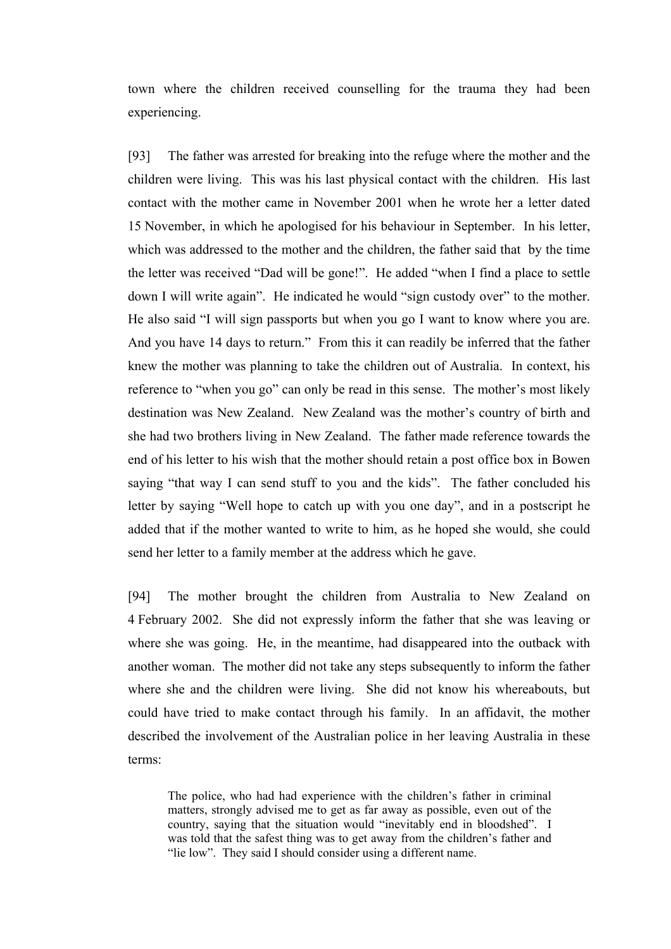town where the children received counselling for the trauma they had been experiencing.

[93] The father was arrested for breaking into the refuge where the mother and the children were living. This was his last physical contact with the children. His last contact with the mother came in November 2001 when he wrote her a letter dated 15 November, in which he apologised for his behaviour in September. In his letter, which was addressed to the mother and the children, the father said that by the time the letter was received "Dad will be gone!". He added "when I find a place to settle down I will write again". He indicated he would "sign custody over" to the mother. He also said "I will sign passports but when you go I want to know where you are. And you have 14 days to return." From this it can readily be inferred that the father knew the mother was planning to take the children out of Australia. In context, his reference to "when you go" can only be read in this sense. The mother's most likely destination was New Zealand. New Zealand was the mother's country of birth and she had two brothers living in New Zealand. The father made reference towards the end of his letter to his wish that the mother should retain a post office box in Bowen saying "that way I can send stuff to you and the kids". The father concluded his letter by saying "Well hope to catch up with you one day", and in a postscript he added that if the mother wanted to write to him, as he hoped she would, she could send her letter to a family member at the address which he gave.

[94] The mother brought the children from Australia to New Zealand on 4 February 2002. She did not expressly inform the father that she was leaving or where she was going. He, in the meantime, had disappeared into the outback with another woman. The mother did not take any steps subsequently to inform the father where she and the children were living. She did not know his whereabouts, but could have tried to make contact through his family. In an affidavit, the mother described the involvement of the Australian police in her leaving Australia in these terms:

The police, who had had experience with the children's father in criminal matters, strongly advised me to get as far away as possible, even out of the country, saying that the situation would "inevitably end in bloodshed". I was told that the safest thing was to get away from the children's father and "lie low". They said I should consider using a different name.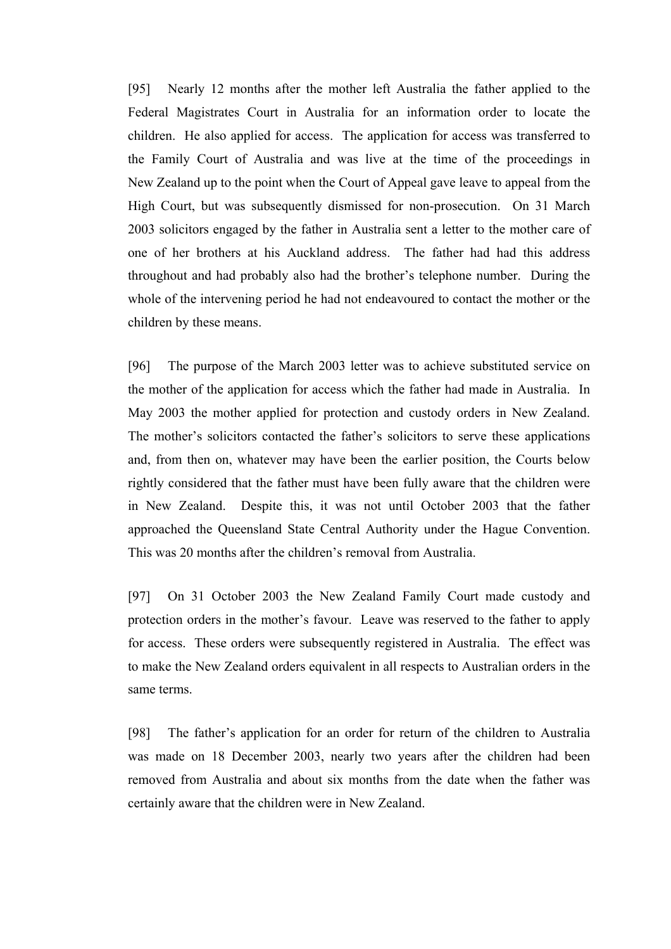[95] Nearly 12 months after the mother left Australia the father applied to the Federal Magistrates Court in Australia for an information order to locate the children. He also applied for access. The application for access was transferred to the Family Court of Australia and was live at the time of the proceedings in New Zealand up to the point when the Court of Appeal gave leave to appeal from the High Court, but was subsequently dismissed for non-prosecution. On 31 March 2003 solicitors engaged by the father in Australia sent a letter to the mother care of one of her brothers at his Auckland address. The father had had this address throughout and had probably also had the brother's telephone number. During the whole of the intervening period he had not endeavoured to contact the mother or the children by these means.

[96] The purpose of the March 2003 letter was to achieve substituted service on the mother of the application for access which the father had made in Australia. In May 2003 the mother applied for protection and custody orders in New Zealand. The mother's solicitors contacted the father's solicitors to serve these applications and, from then on, whatever may have been the earlier position, the Courts below rightly considered that the father must have been fully aware that the children were in New Zealand. Despite this, it was not until October 2003 that the father approached the Queensland State Central Authority under the Hague Convention. This was 20 months after the children's removal from Australia.

[97] On 31 October 2003 the New Zealand Family Court made custody and protection orders in the mother's favour. Leave was reserved to the father to apply for access. These orders were subsequently registered in Australia. The effect was to make the New Zealand orders equivalent in all respects to Australian orders in the same terms.

[98] The father's application for an order for return of the children to Australia was made on 18 December 2003, nearly two years after the children had been removed from Australia and about six months from the date when the father was certainly aware that the children were in New Zealand.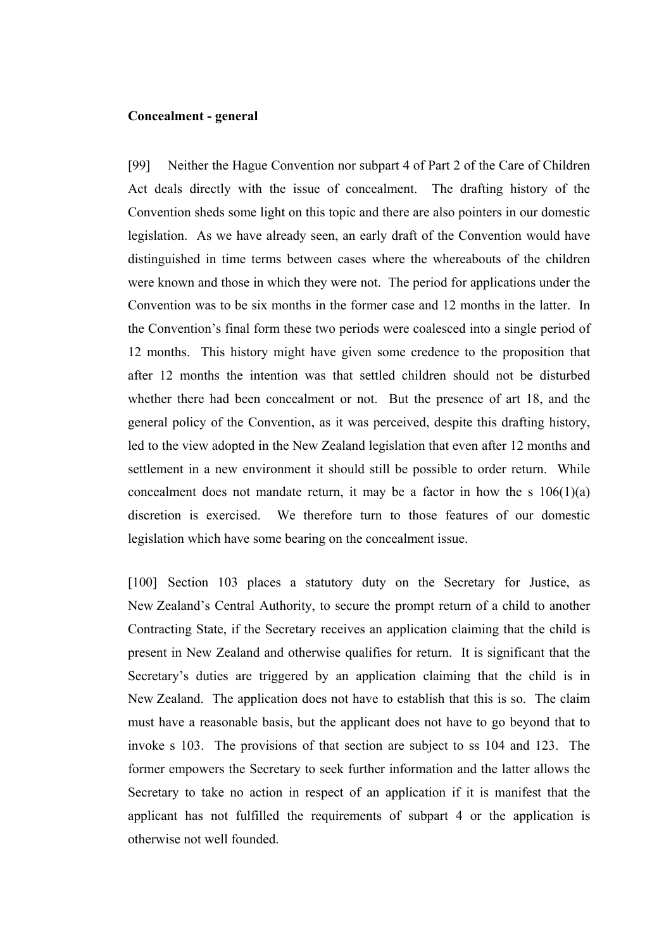## **Concealment - general**

[99] Neither the Hague Convention nor subpart 4 of Part 2 of the Care of Children Act deals directly with the issue of concealment. The drafting history of the Convention sheds some light on this topic and there are also pointers in our domestic legislation. As we have already seen, an early draft of the Convention would have distinguished in time terms between cases where the whereabouts of the children were known and those in which they were not. The period for applications under the Convention was to be six months in the former case and 12 months in the latter. In the Convention's final form these two periods were coalesced into a single period of 12 months. This history might have given some credence to the proposition that after 12 months the intention was that settled children should not be disturbed whether there had been concealment or not. But the presence of art 18, and the general policy of the Convention, as it was perceived, despite this drafting history, led to the view adopted in the New Zealand legislation that even after 12 months and settlement in a new environment it should still be possible to order return. While concealment does not mandate return, it may be a factor in how the s  $106(1)(a)$ discretion is exercised. We therefore turn to those features of our domestic legislation which have some bearing on the concealment issue.

[100] Section 103 places a statutory duty on the Secretary for Justice, as New Zealand's Central Authority, to secure the prompt return of a child to another Contracting State, if the Secretary receives an application claiming that the child is present in New Zealand and otherwise qualifies for return. It is significant that the Secretary's duties are triggered by an application claiming that the child is in New Zealand. The application does not have to establish that this is so. The claim must have a reasonable basis, but the applicant does not have to go beyond that to invoke s 103. The provisions of that section are subject to ss 104 and 123. The former empowers the Secretary to seek further information and the latter allows the Secretary to take no action in respect of an application if it is manifest that the applicant has not fulfilled the requirements of subpart 4 or the application is otherwise not well founded.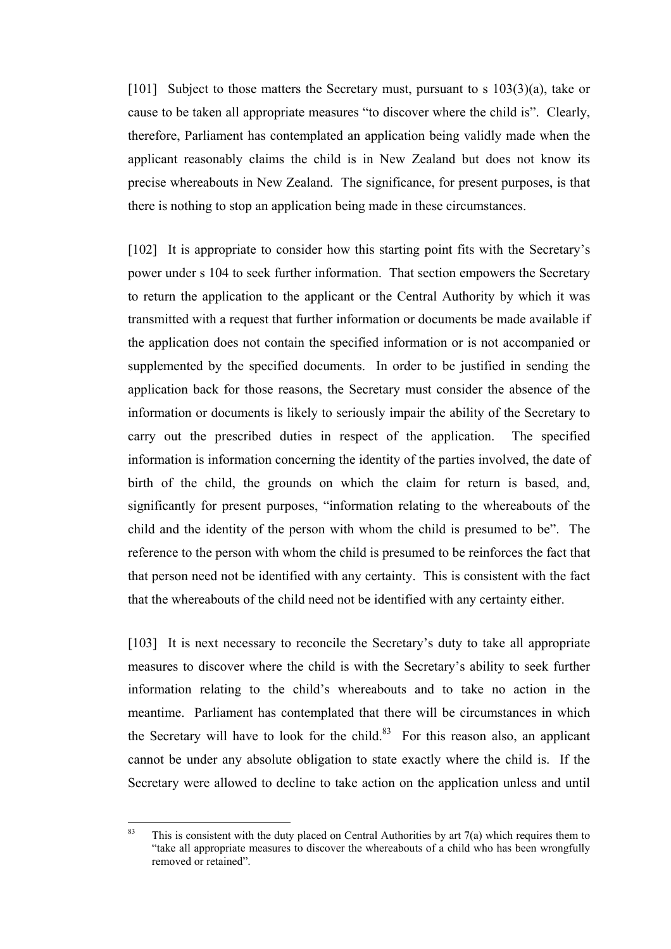[101] Subject to those matters the Secretary must, pursuant to s  $103(3)(a)$ , take or cause to be taken all appropriate measures "to discover where the child is". Clearly, therefore, Parliament has contemplated an application being validly made when the applicant reasonably claims the child is in New Zealand but does not know its precise whereabouts in New Zealand. The significance, for present purposes, is that there is nothing to stop an application being made in these circumstances.

[102] It is appropriate to consider how this starting point fits with the Secretary's power under s 104 to seek further information. That section empowers the Secretary to return the application to the applicant or the Central Authority by which it was transmitted with a request that further information or documents be made available if the application does not contain the specified information or is not accompanied or supplemented by the specified documents. In order to be justified in sending the application back for those reasons, the Secretary must consider the absence of the information or documents is likely to seriously impair the ability of the Secretary to carry out the prescribed duties in respect of the application. The specified information is information concerning the identity of the parties involved, the date of birth of the child, the grounds on which the claim for return is based, and, significantly for present purposes, "information relating to the whereabouts of the child and the identity of the person with whom the child is presumed to be". The reference to the person with whom the child is presumed to be reinforces the fact that that person need not be identified with any certainty. This is consistent with the fact that the whereabouts of the child need not be identified with any certainty either.

[103] It is next necessary to reconcile the Secretary's duty to take all appropriate measures to discover where the child is with the Secretary's ability to seek further information relating to the child's whereabouts and to take no action in the meantime. Parliament has contemplated that there will be circumstances in which the Secretary will have to look for the child. $83$  For this reason also, an applicant cannot be under any absolute obligation to state exactly where the child is. If the Secretary were allowed to decline to take action on the application unless and until

<sup>83</sup> This is consistent with the duty placed on Central Authorities by art  $7(a)$  which requires them to "take all appropriate measures to discover the whereabouts of a child who has been wrongfully removed or retained".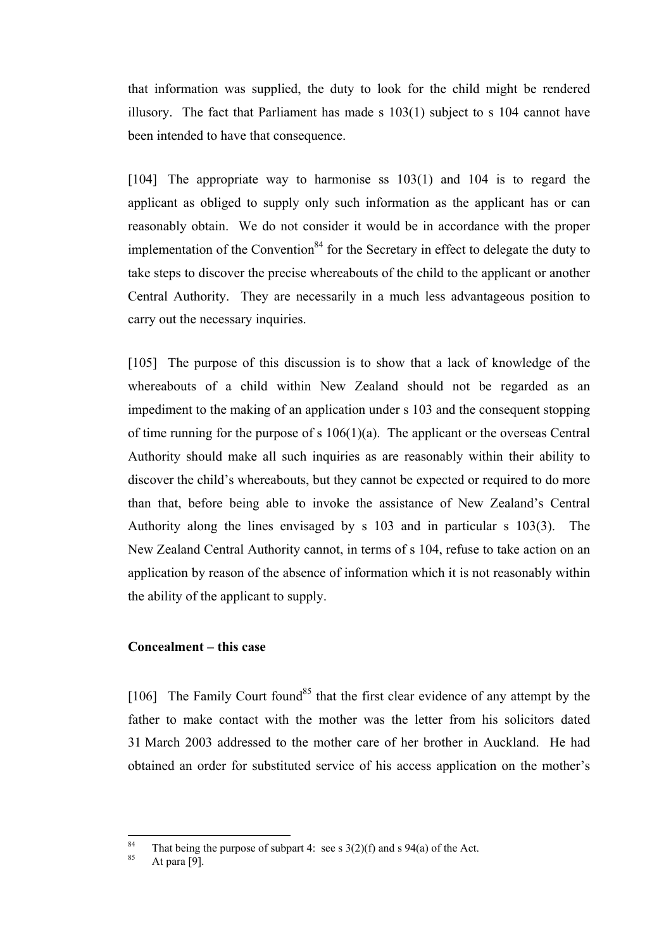that information was supplied, the duty to look for the child might be rendered illusory. The fact that Parliament has made s 103(1) subject to s 104 cannot have been intended to have that consequence.

[104] The appropriate way to harmonise ss 103(1) and 104 is to regard the applicant as obliged to supply only such information as the applicant has or can reasonably obtain. We do not consider it would be in accordance with the proper implementation of the Convention<sup>84</sup> for the Secretary in effect to delegate the duty to take steps to discover the precise whereabouts of the child to the applicant or another Central Authority. They are necessarily in a much less advantageous position to carry out the necessary inquiries.

[105] The purpose of this discussion is to show that a lack of knowledge of the whereabouts of a child within New Zealand should not be regarded as an impediment to the making of an application under s 103 and the consequent stopping of time running for the purpose of s  $106(1)(a)$ . The applicant or the overseas Central Authority should make all such inquiries as are reasonably within their ability to discover the child's whereabouts, but they cannot be expected or required to do more than that, before being able to invoke the assistance of New Zealand's Central Authority along the lines envisaged by s 103 and in particular s 103(3). The New Zealand Central Authority cannot, in terms of s 104, refuse to take action on an application by reason of the absence of information which it is not reasonably within the ability of the applicant to supply.

# **Concealment – this case**

[106] The Family Court found<sup>85</sup> that the first clear evidence of any attempt by the father to make contact with the mother was the letter from his solicitors dated 31 March 2003 addressed to the mother care of her brother in Auckland. He had obtained an order for substituted service of his access application on the mother's

 $\overline{84}$ <sup>84</sup> That being the purpose of subpart 4: see s  $3(2)(f)$  and s  $94(a)$  of the Act.<br>At para [9].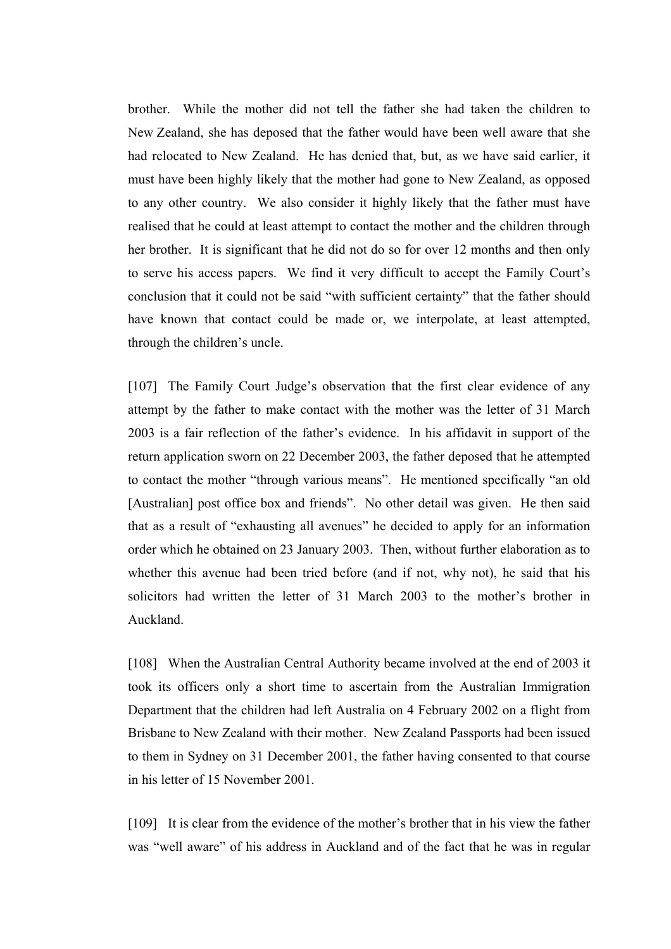brother. While the mother did not tell the father she had taken the children to New Zealand, she has deposed that the father would have been well aware that she had relocated to New Zealand. He has denied that, but, as we have said earlier, it must have been highly likely that the mother had gone to New Zealand, as opposed to any other country. We also consider it highly likely that the father must have realised that he could at least attempt to contact the mother and the children through her brother. It is significant that he did not do so for over 12 months and then only to serve his access papers. We find it very difficult to accept the Family Court's conclusion that it could not be said "with sufficient certainty" that the father should have known that contact could be made or, we interpolate, at least attempted, through the children's uncle.

[107] The Family Court Judge's observation that the first clear evidence of any attempt by the father to make contact with the mother was the letter of 31 March 2003 is a fair reflection of the father's evidence. In his affidavit in support of the return application sworn on 22 December 2003, the father deposed that he attempted to contact the mother "through various means". He mentioned specifically "an old [Australian] post office box and friends". No other detail was given. He then said that as a result of "exhausting all avenues" he decided to apply for an information order which he obtained on 23 January 2003. Then, without further elaboration as to whether this avenue had been tried before (and if not, why not), he said that his solicitors had written the letter of 31 March 2003 to the mother's brother in Auckland.

[108] When the Australian Central Authority became involved at the end of 2003 it took its officers only a short time to ascertain from the Australian Immigration Department that the children had left Australia on 4 February 2002 on a flight from Brisbane to New Zealand with their mother. New Zealand Passports had been issued to them in Sydney on 31 December 2001, the father having consented to that course in his letter of 15 November 2001.

[109] It is clear from the evidence of the mother's brother that in his view the father was "well aware" of his address in Auckland and of the fact that he was in regular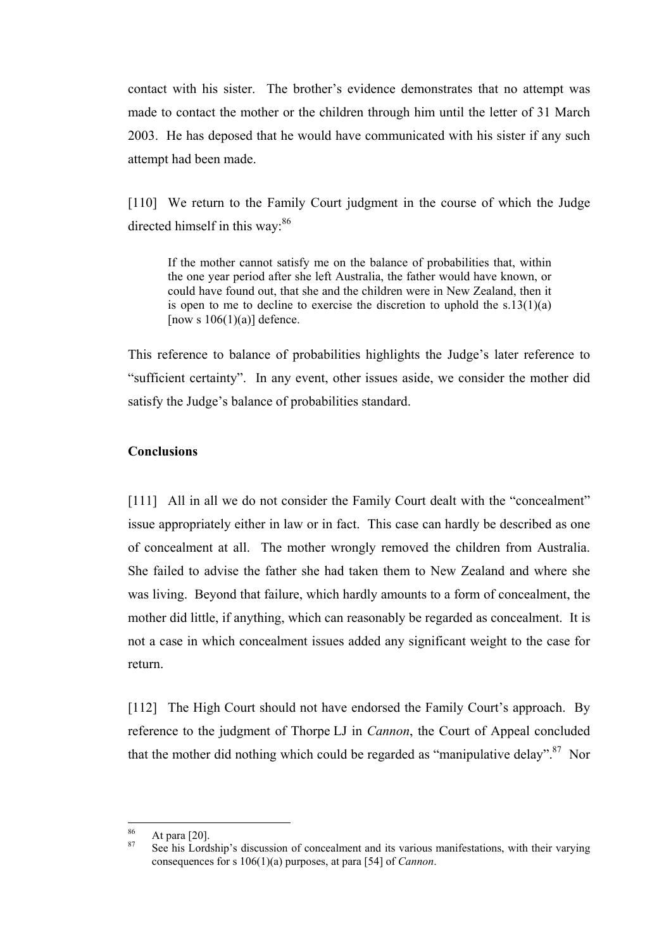contact with his sister. The brother's evidence demonstrates that no attempt was made to contact the mother or the children through him until the letter of 31 March 2003. He has deposed that he would have communicated with his sister if any such attempt had been made.

[110] We return to the Family Court judgment in the course of which the Judge directed himself in this way:<sup>86</sup>

If the mother cannot satisfy me on the balance of probabilities that, within the one year period after she left Australia, the father would have known, or could have found out, that she and the children were in New Zealand, then it is open to me to decline to exercise the discretion to uphold the  $s.13(1)(a)$ [now s  $106(1)(a)$ ] defence.

This reference to balance of probabilities highlights the Judge's later reference to "sufficient certainty". In any event, other issues aside, we consider the mother did satisfy the Judge's balance of probabilities standard.

# **Conclusions**

[111] All in all we do not consider the Family Court dealt with the "concealment" issue appropriately either in law or in fact. This case can hardly be described as one of concealment at all. The mother wrongly removed the children from Australia. She failed to advise the father she had taken them to New Zealand and where she was living. Beyond that failure, which hardly amounts to a form of concealment, the mother did little, if anything, which can reasonably be regarded as concealment. It is not a case in which concealment issues added any significant weight to the case for return.

[112] The High Court should not have endorsed the Family Court's approach. By reference to the judgment of Thorpe LJ in *Cannon*, the Court of Appeal concluded that the mother did nothing which could be regarded as "manipulative delay".<sup>87</sup> Nor

<sup>86</sup> 

<sup>&</sup>lt;sup>86</sup> At para [20].<br><sup>87</sup> See his Lordship's discussion of concealment and its various manifestations, with their varying consequences for s 106(1)(a) purposes, at para [54] of *Cannon*.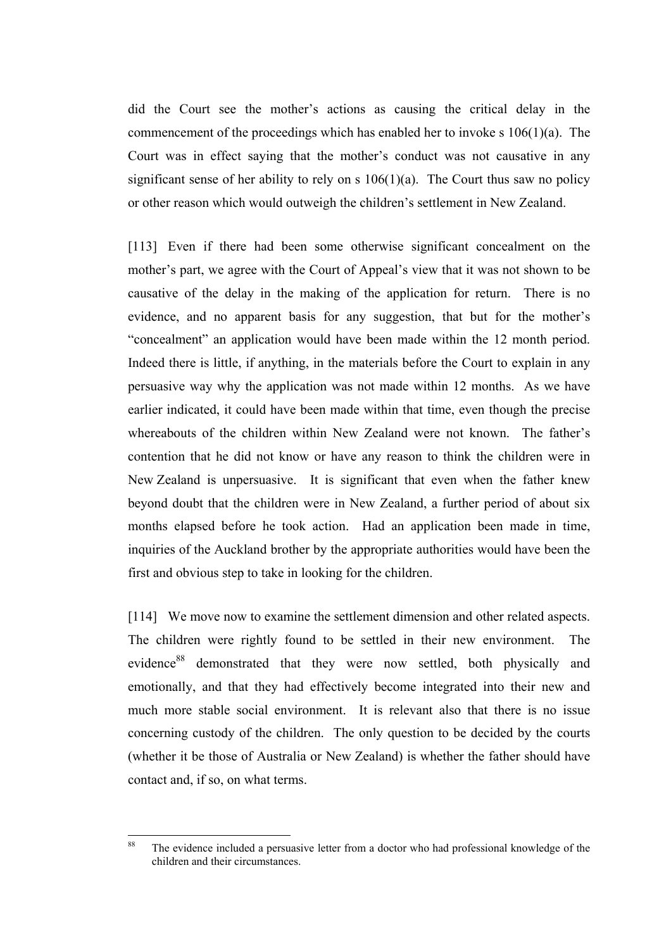did the Court see the mother's actions as causing the critical delay in the commencement of the proceedings which has enabled her to invoke s 106(1)(a). The Court was in effect saying that the mother's conduct was not causative in any significant sense of her ability to rely on s  $106(1)(a)$ . The Court thus saw no policy or other reason which would outweigh the children's settlement in New Zealand.

[113] Even if there had been some otherwise significant concealment on the mother's part, we agree with the Court of Appeal's view that it was not shown to be causative of the delay in the making of the application for return. There is no evidence, and no apparent basis for any suggestion, that but for the mother's "concealment" an application would have been made within the 12 month period. Indeed there is little, if anything, in the materials before the Court to explain in any persuasive way why the application was not made within 12 months. As we have earlier indicated, it could have been made within that time, even though the precise whereabouts of the children within New Zealand were not known. The father's contention that he did not know or have any reason to think the children were in New Zealand is unpersuasive. It is significant that even when the father knew beyond doubt that the children were in New Zealand, a further period of about six months elapsed before he took action. Had an application been made in time, inquiries of the Auckland brother by the appropriate authorities would have been the first and obvious step to take in looking for the children.

[114] We move now to examine the settlement dimension and other related aspects. The children were rightly found to be settled in their new environment. The evidence<sup>88</sup> demonstrated that they were now settled, both physically and emotionally, and that they had effectively become integrated into their new and much more stable social environment. It is relevant also that there is no issue concerning custody of the children. The only question to be decided by the courts (whether it be those of Australia or New Zealand) is whether the father should have contact and, if so, on what terms.

 $88$ The evidence included a persuasive letter from a doctor who had professional knowledge of the children and their circumstances.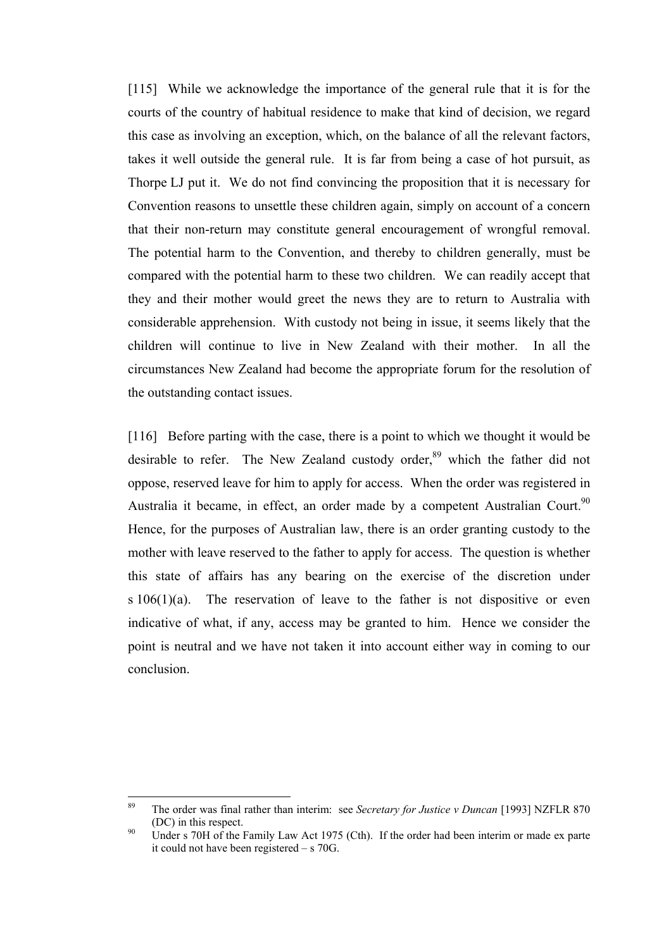[115] While we acknowledge the importance of the general rule that it is for the courts of the country of habitual residence to make that kind of decision, we regard this case as involving an exception, which, on the balance of all the relevant factors, takes it well outside the general rule. It is far from being a case of hot pursuit, as Thorpe LJ put it. We do not find convincing the proposition that it is necessary for Convention reasons to unsettle these children again, simply on account of a concern that their non-return may constitute general encouragement of wrongful removal. The potential harm to the Convention, and thereby to children generally, must be compared with the potential harm to these two children. We can readily accept that they and their mother would greet the news they are to return to Australia with considerable apprehension. With custody not being in issue, it seems likely that the children will continue to live in New Zealand with their mother. In all the circumstances New Zealand had become the appropriate forum for the resolution of the outstanding contact issues.

[116] Before parting with the case, there is a point to which we thought it would be desirable to refer. The New Zealand custody order,<sup>89</sup> which the father did not oppose, reserved leave for him to apply for access. When the order was registered in Australia it became, in effect, an order made by a competent Australian Court.<sup>90</sup> Hence, for the purposes of Australian law, there is an order granting custody to the mother with leave reserved to the father to apply for access. The question is whether this state of affairs has any bearing on the exercise of the discretion under  $s 106(1)(a)$ . The reservation of leave to the father is not dispositive or even indicative of what, if any, access may be granted to him. Hence we consider the point is neutral and we have not taken it into account either way in coming to our conclusion.

 $\overline{89}$ <sup>89</sup> The order was final rather than interim: see *Secretary for Justice v Duncan* [1993] NZFLR 870 (DC) in this respect.<br><sup>90</sup> Under s 70H of the Family Law Act 1975 (Cth). If the order had been interim or made ex parte

it could not have been registered – s 70G.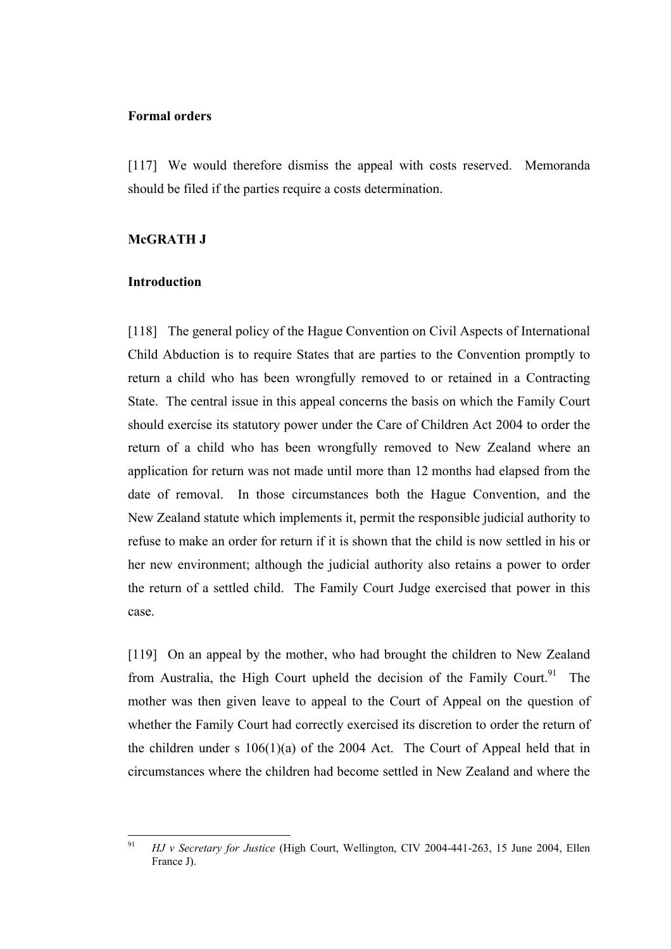## **Formal orders**

[117] We would therefore dismiss the appeal with costs reserved. Memoranda should be filed if the parties require a costs determination.

## **McGRATH J**

## **Introduction**

[118] The general policy of the Hague Convention on Civil Aspects of International Child Abduction is to require States that are parties to the Convention promptly to return a child who has been wrongfully removed to or retained in a Contracting State. The central issue in this appeal concerns the basis on which the Family Court should exercise its statutory power under the Care of Children Act 2004 to order the return of a child who has been wrongfully removed to New Zealand where an application for return was not made until more than 12 months had elapsed from the date of removal. In those circumstances both the Hague Convention, and the New Zealand statute which implements it, permit the responsible judicial authority to refuse to make an order for return if it is shown that the child is now settled in his or her new environment; although the judicial authority also retains a power to order the return of a settled child. The Family Court Judge exercised that power in this case.

[119] On an appeal by the mother, who had brought the children to New Zealand from Australia, the High Court upheld the decision of the Family Court.<sup>91</sup> The mother was then given leave to appeal to the Court of Appeal on the question of whether the Family Court had correctly exercised its discretion to order the return of the children under s 106(1)(a) of the 2004 Act. The Court of Appeal held that in circumstances where the children had become settled in New Zealand and where the

 $91$ <sup>91</sup> *HJ v Secretary for Justice* (High Court, Wellington, CIV 2004-441-263, 15 June 2004, Ellen France J).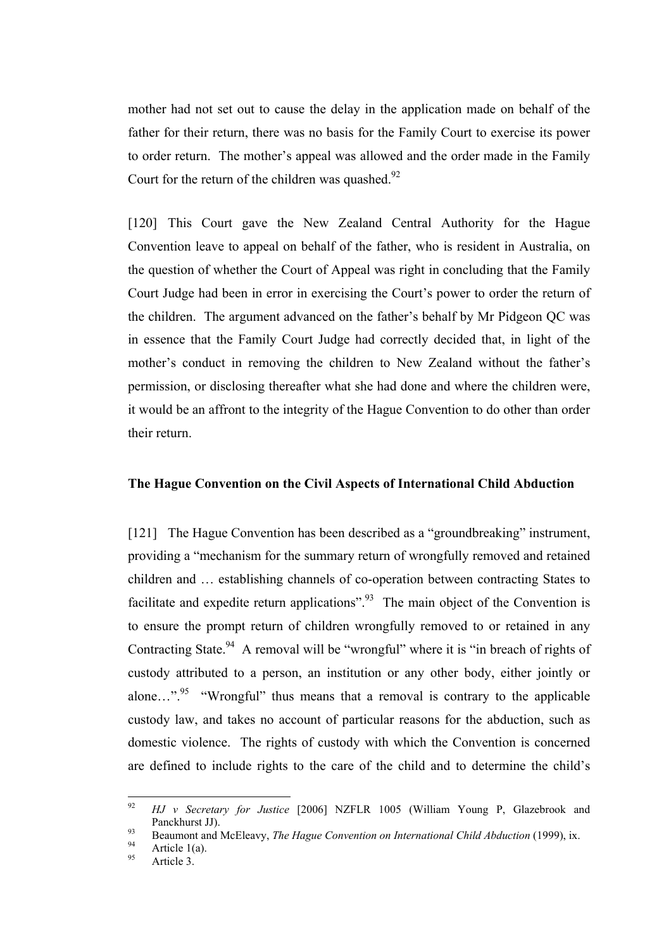mother had not set out to cause the delay in the application made on behalf of the father for their return, there was no basis for the Family Court to exercise its power to order return. The mother's appeal was allowed and the order made in the Family Court for the return of the children was quashed. $92$ 

[120] This Court gave the New Zealand Central Authority for the Hague Convention leave to appeal on behalf of the father, who is resident in Australia, on the question of whether the Court of Appeal was right in concluding that the Family Court Judge had been in error in exercising the Court's power to order the return of the children. The argument advanced on the father's behalf by Mr Pidgeon QC was in essence that the Family Court Judge had correctly decided that, in light of the mother's conduct in removing the children to New Zealand without the father's permission, or disclosing thereafter what she had done and where the children were, it would be an affront to the integrity of the Hague Convention to do other than order their return.

## **The Hague Convention on the Civil Aspects of International Child Abduction**

[121] The Hague Convention has been described as a "groundbreaking" instrument, providing a "mechanism for the summary return of wrongfully removed and retained children and … establishing channels of co-operation between contracting States to facilitate and expedite return applications".<sup>93</sup> The main object of the Convention is to ensure the prompt return of children wrongfully removed to or retained in any Contracting State.<sup>94</sup> A removal will be "wrongful" where it is "in breach of rights of custody attributed to a person, an institution or any other body, either jointly or alone...".<sup>95</sup> "Wrongful" thus means that a removal is contrary to the applicable custody law, and takes no account of particular reasons for the abduction, such as domestic violence. The rights of custody with which the Convention is concerned are defined to include rights to the care of the child and to determine the child's

<sup>92</sup> <sup>92</sup> *HJ v Secretary for Justice* [2006] NZFLR 1005 (William Young P, Glazebrook and Panckhurst JJ).<br>
93 Beaumont and McEleavy, *The Hague Convention on International Child Abduction* (1999), ix.<br>
95 Article 3.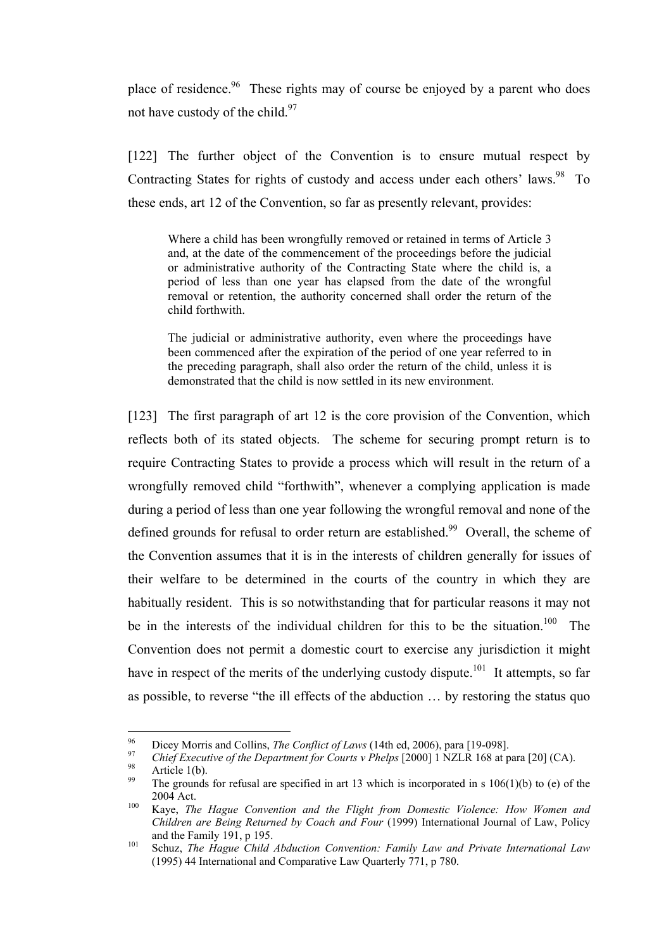place of residence.<sup>96</sup> These rights may of course be enjoyed by a parent who does not have custody of the child. $97$ 

[122] The further object of the Convention is to ensure mutual respect by Contracting States for rights of custody and access under each others' laws.<sup>98</sup> To these ends, art 12 of the Convention, so far as presently relevant, provides:

Where a child has been wrongfully removed or retained in terms of Article 3 and, at the date of the commencement of the proceedings before the judicial or administrative authority of the Contracting State where the child is, a period of less than one year has elapsed from the date of the wrongful removal or retention, the authority concerned shall order the return of the child forthwith.

The judicial or administrative authority, even where the proceedings have been commenced after the expiration of the period of one year referred to in the preceding paragraph, shall also order the return of the child, unless it is demonstrated that the child is now settled in its new environment.

[123] The first paragraph of art 12 is the core provision of the Convention, which reflects both of its stated objects. The scheme for securing prompt return is to require Contracting States to provide a process which will result in the return of a wrongfully removed child "forthwith", whenever a complying application is made during a period of less than one year following the wrongful removal and none of the defined grounds for refusal to order return are established.<sup>99</sup> Overall, the scheme of the Convention assumes that it is in the interests of children generally for issues of their welfare to be determined in the courts of the country in which they are habitually resident. This is so notwithstanding that for particular reasons it may not be in the interests of the individual children for this to be the situation.<sup>100</sup> The Convention does not permit a domestic court to exercise any jurisdiction it might have in respect of the merits of the underlying custody dispute.<sup>101</sup> It attempts, so far as possible, to reverse "the ill effects of the abduction … by restoring the status quo

<sup>96</sup> 

<sup>&</sup>lt;sup>96</sup> Dicey Morris and Collins, *The Conflict of Laws* (14th ed, 2006), para [19-098].<br> *Chief Executive of the Department for Courts v Phelps* [2000] 1 NZLR 168 at para [20] (CA).<br>
<sup>98</sup> Article 1(b).<br>
The grounds for refu

<sup>2004</sup> Act.<br><sup>100</sup> Kaye, *The Hague Convention and the Flight from Domestic Violence: How Women and* 

*Children are Being Returned by Coach and Four* (1999) International Journal of Law, Policy and the Family 191, p 195.<br><sup>101</sup> Schuz, *The Hague Child Abduction Convention: Family Law and Private International Law* 

<sup>(1995) 44</sup> International and Comparative Law Quarterly 771, p 780.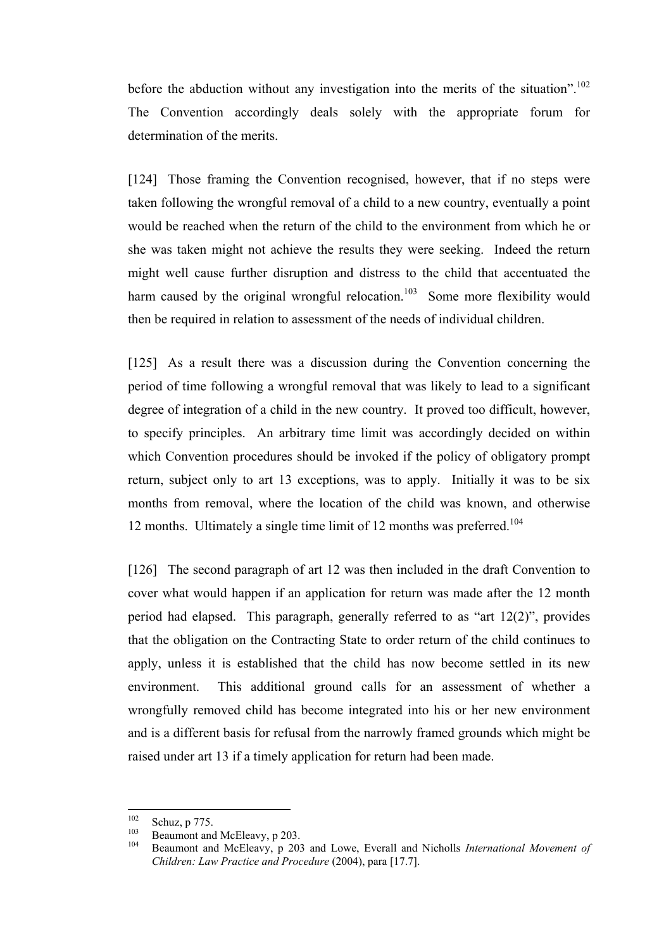before the abduction without any investigation into the merits of the situation".<sup>102</sup> The Convention accordingly deals solely with the appropriate forum for determination of the merits.

[124] Those framing the Convention recognised, however, that if no steps were taken following the wrongful removal of a child to a new country, eventually a point would be reached when the return of the child to the environment from which he or she was taken might not achieve the results they were seeking. Indeed the return might well cause further disruption and distress to the child that accentuated the harm caused by the original wrongful relocation.<sup>103</sup> Some more flexibility would then be required in relation to assessment of the needs of individual children.

[125] As a result there was a discussion during the Convention concerning the period of time following a wrongful removal that was likely to lead to a significant degree of integration of a child in the new country. It proved too difficult, however, to specify principles. An arbitrary time limit was accordingly decided on within which Convention procedures should be invoked if the policy of obligatory prompt return, subject only to art 13 exceptions, was to apply. Initially it was to be six months from removal, where the location of the child was known, and otherwise 12 months. Ultimately a single time limit of 12 months was preferred.<sup>104</sup>

[126] The second paragraph of art 12 was then included in the draft Convention to cover what would happen if an application for return was made after the 12 month period had elapsed. This paragraph, generally referred to as "art 12(2)", provides that the obligation on the Contracting State to order return of the child continues to apply, unless it is established that the child has now become settled in its new environment. This additional ground calls for an assessment of whether a wrongfully removed child has become integrated into his or her new environment and is a different basis for refusal from the narrowly framed grounds which might be raised under art 13 if a timely application for return had been made.

<sup>102</sup> 

<sup>102</sup> Schuz, p 775. 103 Beaumont and McEleavy, p 203. <sup>104</sup> Beaumont and McEleavy, p 203 and Lowe, Everall and Nicholls *International Movement of Children: Law Practice and Procedure* (2004), para [17.7].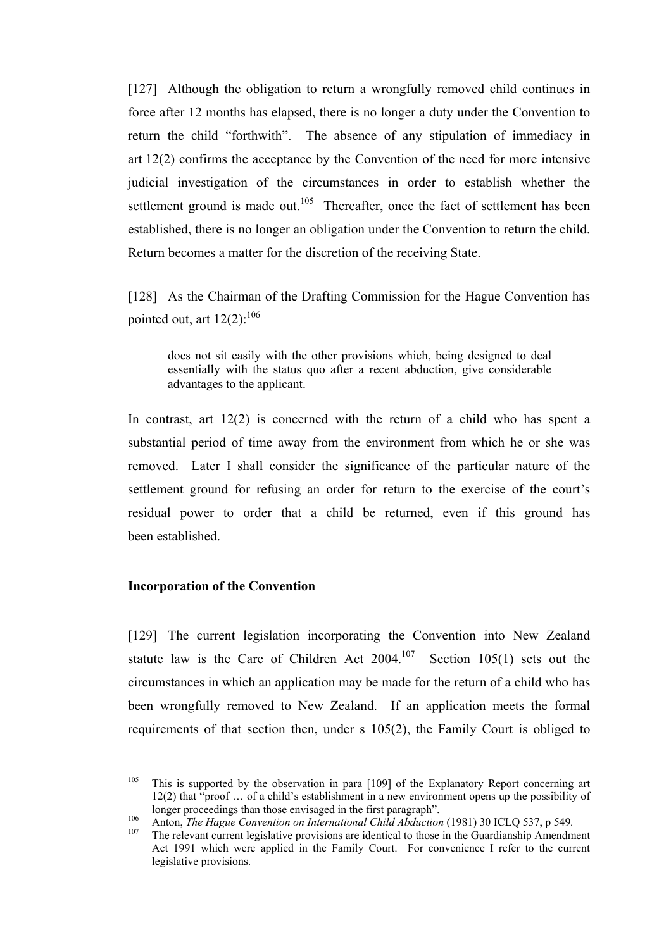[127] Although the obligation to return a wrongfully removed child continues in force after 12 months has elapsed, there is no longer a duty under the Convention to return the child "forthwith". The absence of any stipulation of immediacy in art 12(2) confirms the acceptance by the Convention of the need for more intensive judicial investigation of the circumstances in order to establish whether the settlement ground is made out.<sup>105</sup> Thereafter, once the fact of settlement has been established, there is no longer an obligation under the Convention to return the child. Return becomes a matter for the discretion of the receiving State.

[128] As the Chairman of the Drafting Commission for the Hague Convention has pointed out, art  $12(2)$ :<sup>106</sup>

does not sit easily with the other provisions which, being designed to deal essentially with the status quo after a recent abduction, give considerable advantages to the applicant.

In contrast, art 12(2) is concerned with the return of a child who has spent a substantial period of time away from the environment from which he or she was removed. Later I shall consider the significance of the particular nature of the settlement ground for refusing an order for return to the exercise of the court's residual power to order that a child be returned, even if this ground has been established.

## **Incorporation of the Convention**

[129] The current legislation incorporating the Convention into New Zealand statute law is the Care of Children Act  $2004$ .<sup>107</sup> Section 105(1) sets out the circumstances in which an application may be made for the return of a child who has been wrongfully removed to New Zealand. If an application meets the formal requirements of that section then, under s 105(2), the Family Court is obliged to

<sup>105</sup> <sup>105</sup> This is supported by the observation in para [109] of the Explanatory Report concerning art 12(2) that "proof … of a child's establishment in a new environment opens up the possibility of longer proceedings than those envisaged in the first paragraph".<br>
Anton, *The Hague Convention on International Child Abduction* (1981) 30 ICLQ 537, p 549.<br>
The relevant current legislative provisions are identical to thos

Act 1991 which were applied in the Family Court. For convenience I refer to the current legislative provisions.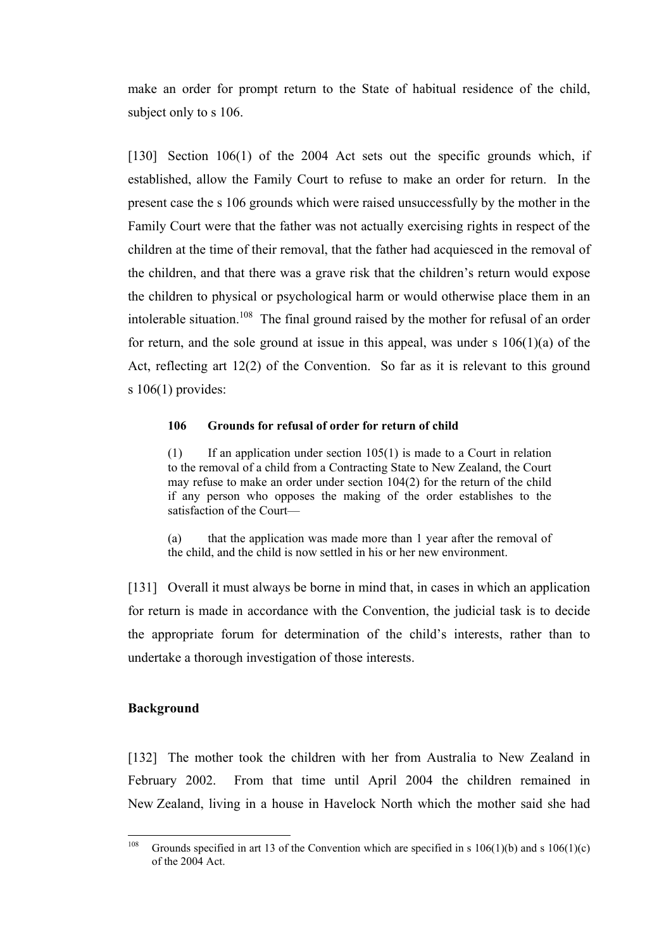make an order for prompt return to the State of habitual residence of the child, subject only to s 106.

[130] Section 106(1) of the 2004 Act sets out the specific grounds which, if established, allow the Family Court to refuse to make an order for return. In the present case the s 106 grounds which were raised unsuccessfully by the mother in the Family Court were that the father was not actually exercising rights in respect of the children at the time of their removal, that the father had acquiesced in the removal of the children, and that there was a grave risk that the children's return would expose the children to physical or psychological harm or would otherwise place them in an intolerable situation.<sup>108</sup> The final ground raised by the mother for refusal of an order for return, and the sole ground at issue in this appeal, was under  $s \ 106(1)(a)$  of the Act, reflecting art 12(2) of the Convention. So far as it is relevant to this ground s  $106(1)$  provides:

#### **106 Grounds for refusal of order for return of child**

 $(1)$  If an application under section 105(1) is made to a Court in relation to the removal of a child from a Contracting State to New Zealand, the Court may refuse to make an order under section 104(2) for the return of the child if any person who opposes the making of the order establishes to the satisfaction of the Court—

(a) that the application was made more than 1 year after the removal of the child, and the child is now settled in his or her new environment.

[131] Overall it must always be borne in mind that, in cases in which an application for return is made in accordance with the Convention, the judicial task is to decide the appropriate forum for determination of the child's interests, rather than to undertake a thorough investigation of those interests.

## **Background**

[132] The mother took the children with her from Australia to New Zealand in February 2002. From that time until April 2004 the children remained in New Zealand, living in a house in Havelock North which the mother said she had

<sup>108</sup> Grounds specified in art 13 of the Convention which are specified in s  $106(1)(b)$  and s  $106(1)(c)$ of the 2004 Act.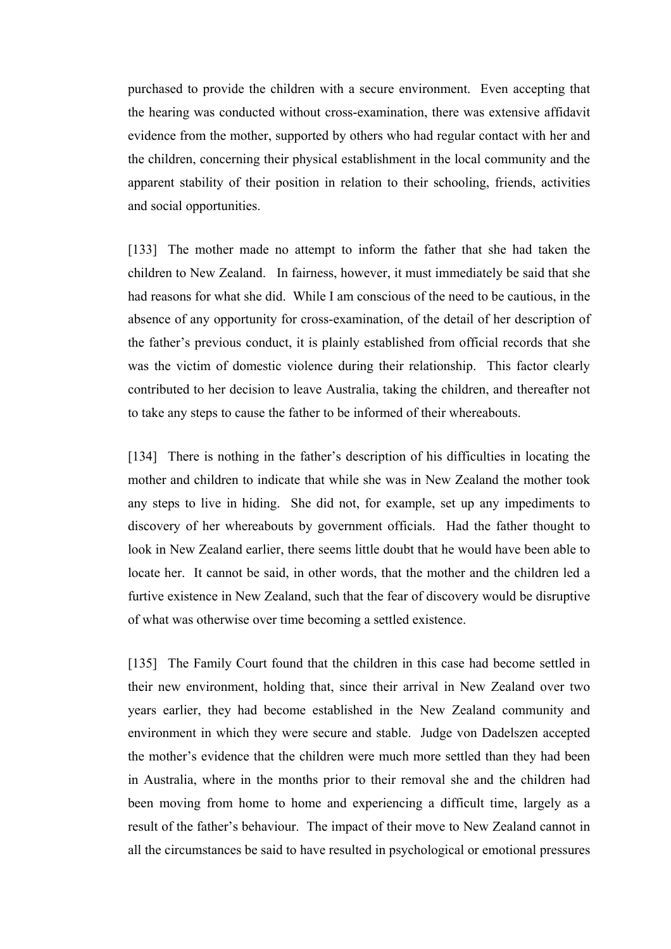purchased to provide the children with a secure environment. Even accepting that the hearing was conducted without cross-examination, there was extensive affidavit evidence from the mother, supported by others who had regular contact with her and the children, concerning their physical establishment in the local community and the apparent stability of their position in relation to their schooling, friends, activities and social opportunities.

[133] The mother made no attempt to inform the father that she had taken the children to New Zealand. In fairness, however, it must immediately be said that she had reasons for what she did. While I am conscious of the need to be cautious, in the absence of any opportunity for cross-examination, of the detail of her description of the father's previous conduct, it is plainly established from official records that she was the victim of domestic violence during their relationship. This factor clearly contributed to her decision to leave Australia, taking the children, and thereafter not to take any steps to cause the father to be informed of their whereabouts.

[134] There is nothing in the father's description of his difficulties in locating the mother and children to indicate that while she was in New Zealand the mother took any steps to live in hiding. She did not, for example, set up any impediments to discovery of her whereabouts by government officials. Had the father thought to look in New Zealand earlier, there seems little doubt that he would have been able to locate her. It cannot be said, in other words, that the mother and the children led a furtive existence in New Zealand, such that the fear of discovery would be disruptive of what was otherwise over time becoming a settled existence.

[135] The Family Court found that the children in this case had become settled in their new environment, holding that, since their arrival in New Zealand over two years earlier, they had become established in the New Zealand community and environment in which they were secure and stable. Judge von Dadelszen accepted the mother's evidence that the children were much more settled than they had been in Australia, where in the months prior to their removal she and the children had been moving from home to home and experiencing a difficult time, largely as a result of the father's behaviour. The impact of their move to New Zealand cannot in all the circumstances be said to have resulted in psychological or emotional pressures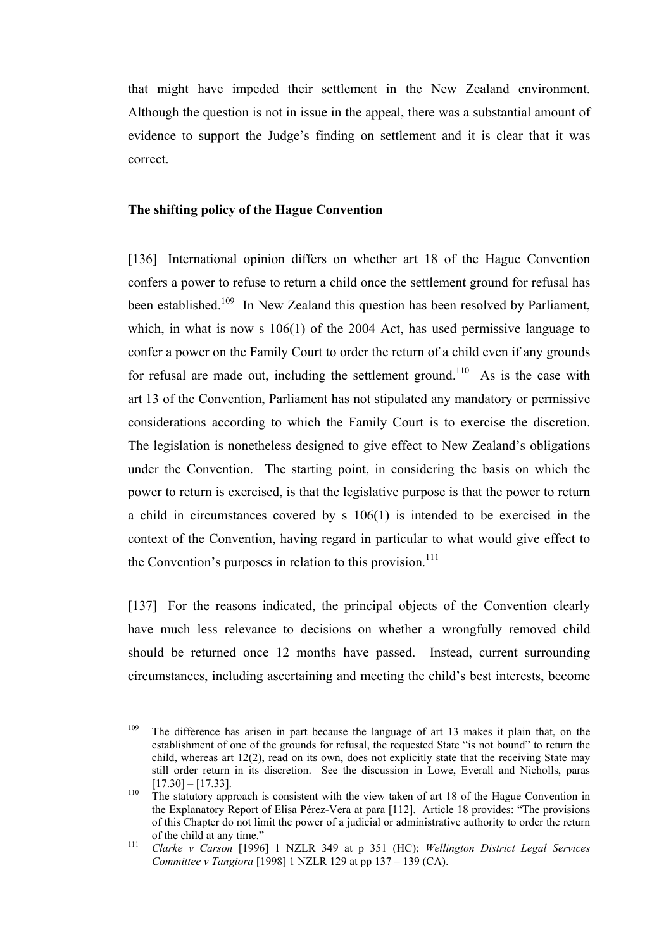that might have impeded their settlement in the New Zealand environment. Although the question is not in issue in the appeal, there was a substantial amount of evidence to support the Judge's finding on settlement and it is clear that it was correct.

#### **The shifting policy of the Hague Convention**

[136] International opinion differs on whether art 18 of the Hague Convention confers a power to refuse to return a child once the settlement ground for refusal has been established.<sup>109</sup> In New Zealand this question has been resolved by Parliament, which, in what is now s 106(1) of the 2004 Act, has used permissive language to confer a power on the Family Court to order the return of a child even if any grounds for refusal are made out, including the settlement ground.<sup>110</sup> As is the case with art 13 of the Convention, Parliament has not stipulated any mandatory or permissive considerations according to which the Family Court is to exercise the discretion. The legislation is nonetheless designed to give effect to New Zealand's obligations under the Convention. The starting point, in considering the basis on which the power to return is exercised, is that the legislative purpose is that the power to return a child in circumstances covered by s 106(1) is intended to be exercised in the context of the Convention, having regard in particular to what would give effect to the Convention's purposes in relation to this provision.<sup>111</sup>

[137] For the reasons indicated, the principal objects of the Convention clearly have much less relevance to decisions on whether a wrongfully removed child should be returned once 12 months have passed. Instead, current surrounding circumstances, including ascertaining and meeting the child's best interests, become

<sup>109</sup> The difference has arisen in part because the language of art 13 makes it plain that, on the establishment of one of the grounds for refusal, the requested State "is not bound" to return the child, whereas art 12(2), read on its own, does not explicitly state that the receiving State may still order return in its discretion. See the discussion in Lowe, Everall and Nicholls, paras  $[17.30] - [17.33]$ .<br><sup>110</sup> The statutory approach is consistent with the view taken of art 18 of the Hague Convention in

the Explanatory Report of Elisa Pérez-Vera at para [112]. Article 18 provides: "The provisions of this Chapter do not limit the power of a judicial or administrative authority to order the return of the child at any time." <sup>111</sup> *Clarke v Carson* [1996] 1 NZLR 349 at p 351 (HC); *Wellington District Legal Services*

*Committee v Tangiora* [1998] 1 NZLR 129 at pp 137 – 139 (CA).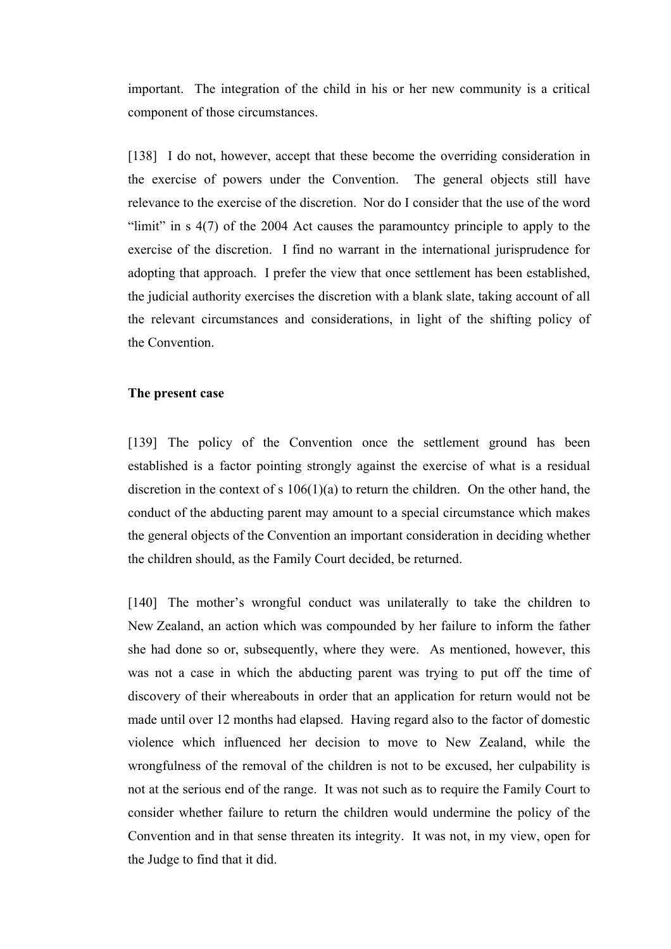important.The integration of the child in his or her new community is a critical component of those circumstances.

[138] I do not, however, accept that these become the overriding consideration in the exercise of powers under the Convention. The general objects still have relevance to the exercise of the discretion. Nor do I consider that the use of the word "limit" in s 4(7) of the 2004 Act causes the paramountcy principle to apply to the exercise of the discretion. I find no warrant in the international jurisprudence for adopting that approach. I prefer the view that once settlement has been established, the judicial authority exercises the discretion with a blank slate, taking account of all the relevant circumstances and considerations, in light of the shifting policy of the Convention.

## **The present case**

[139] The policy of the Convention once the settlement ground has been established is a factor pointing strongly against the exercise of what is a residual discretion in the context of s 106(1)(a) to return the children. On the other hand, the conduct of the abducting parent may amount to a special circumstance which makes the general objects of the Convention an important consideration in deciding whether the children should, as the Family Court decided, be returned.

[140] The mother's wrongful conduct was unilaterally to take the children to New Zealand, an action which was compounded by her failure to inform the father she had done so or, subsequently, where they were. As mentioned, however, this was not a case in which the abducting parent was trying to put off the time of discovery of their whereabouts in order that an application for return would not be made until over 12 months had elapsed. Having regard also to the factor of domestic violence which influenced her decision to move to New Zealand, while the wrongfulness of the removal of the children is not to be excused, her culpability is not at the serious end of the range. It was not such as to require the Family Court to consider whether failure to return the children would undermine the policy of the Convention and in that sense threaten its integrity. It was not, in my view, open for the Judge to find that it did.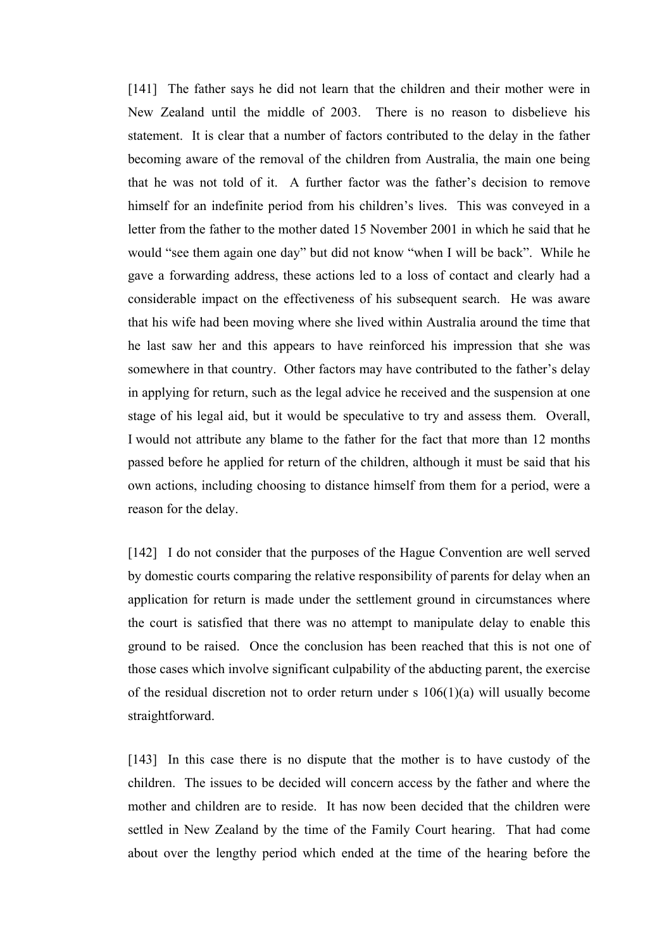[141] The father says he did not learn that the children and their mother were in New Zealand until the middle of 2003. There is no reason to disbelieve his statement. It is clear that a number of factors contributed to the delay in the father becoming aware of the removal of the children from Australia, the main one being that he was not told of it. A further factor was the father's decision to remove himself for an indefinite period from his children's lives. This was conveyed in a letter from the father to the mother dated 15 November 2001 in which he said that he would "see them again one day" but did not know "when I will be back". While he gave a forwarding address, these actions led to a loss of contact and clearly had a considerable impact on the effectiveness of his subsequent search. He was aware that his wife had been moving where she lived within Australia around the time that he last saw her and this appears to have reinforced his impression that she was somewhere in that country. Other factors may have contributed to the father's delay in applying for return, such as the legal advice he received and the suspension at one stage of his legal aid, but it would be speculative to try and assess them. Overall, I would not attribute any blame to the father for the fact that more than 12 months passed before he applied for return of the children, although it must be said that his own actions, including choosing to distance himself from them for a period, were a reason for the delay.

[142] I do not consider that the purposes of the Hague Convention are well served by domestic courts comparing the relative responsibility of parents for delay when an application for return is made under the settlement ground in circumstances where the court is satisfied that there was no attempt to manipulate delay to enable this ground to be raised. Once the conclusion has been reached that this is not one of those cases which involve significant culpability of the abducting parent, the exercise of the residual discretion not to order return under s 106(1)(a) will usually become straightforward.

[143] In this case there is no dispute that the mother is to have custody of the children. The issues to be decided will concern access by the father and where the mother and children are to reside. It has now been decided that the children were settled in New Zealand by the time of the Family Court hearing. That had come about over the lengthy period which ended at the time of the hearing before the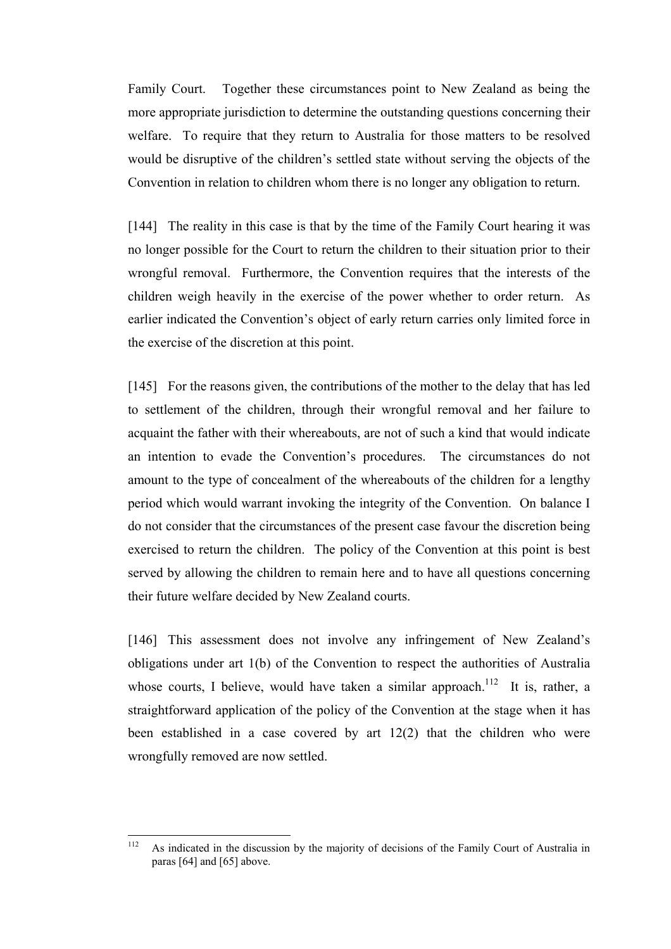Family Court. Together these circumstances point to New Zealand as being the more appropriate jurisdiction to determine the outstanding questions concerning their welfare. To require that they return to Australia for those matters to be resolved would be disruptive of the children's settled state without serving the objects of the Convention in relation to children whom there is no longer any obligation to return.

[144] The reality in this case is that by the time of the Family Court hearing it was no longer possible for the Court to return the children to their situation prior to their wrongful removal. Furthermore, the Convention requires that the interests of the children weigh heavily in the exercise of the power whether to order return. As earlier indicated the Convention's object of early return carries only limited force in the exercise of the discretion at this point.

[145] For the reasons given, the contributions of the mother to the delay that has led to settlement of the children, through their wrongful removal and her failure to acquaint the father with their whereabouts, are not of such a kind that would indicate an intention to evade the Convention's procedures. The circumstances do not amount to the type of concealment of the whereabouts of the children for a lengthy period which would warrant invoking the integrity of the Convention. On balance I do not consider that the circumstances of the present case favour the discretion being exercised to return the children. The policy of the Convention at this point is best served by allowing the children to remain here and to have all questions concerning their future welfare decided by New Zealand courts.

[146] This assessment does not involve any infringement of New Zealand's obligations under art 1(b) of the Convention to respect the authorities of Australia whose courts, I believe, would have taken a similar approach.<sup>112</sup> It is, rather, a straightforward application of the policy of the Convention at the stage when it has been established in a case covered by art 12(2) that the children who were wrongfully removed are now settled.

 $112$ As indicated in the discussion by the majority of decisions of the Family Court of Australia in paras [64] and [65] above.